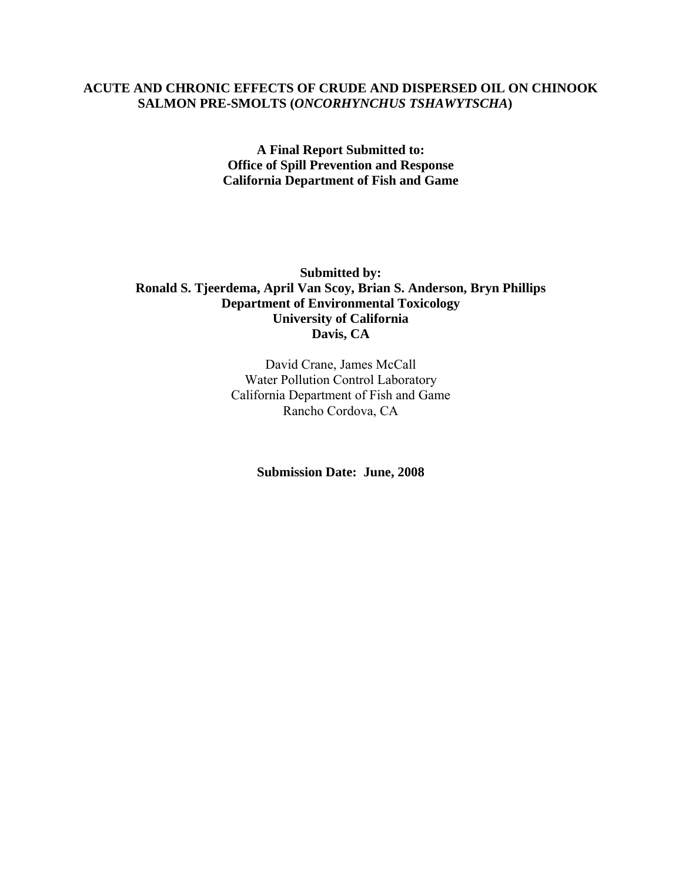## **ACUTE AND CHRONIC EFFECTS OF CRUDE AND DISPERSED OIL ON CHINOOK SALMON PRE-SMOLTS (***ONCORHYNCHUS TSHAWYTSCHA***)**

**A Final Report Submitted to: Office of Spill Prevention and Response California Department of Fish and Game** 

**Submitted by: Ronald S. Tjeerdema, April Van Scoy, Brian S. Anderson, Bryn Phillips Department of Environmental Toxicology University of California Davis, CA** 

> David Crane, James McCall Water Pollution Control Laboratory California Department of Fish and Game Rancho Cordova, CA

> > **Submission Date: June, 2008**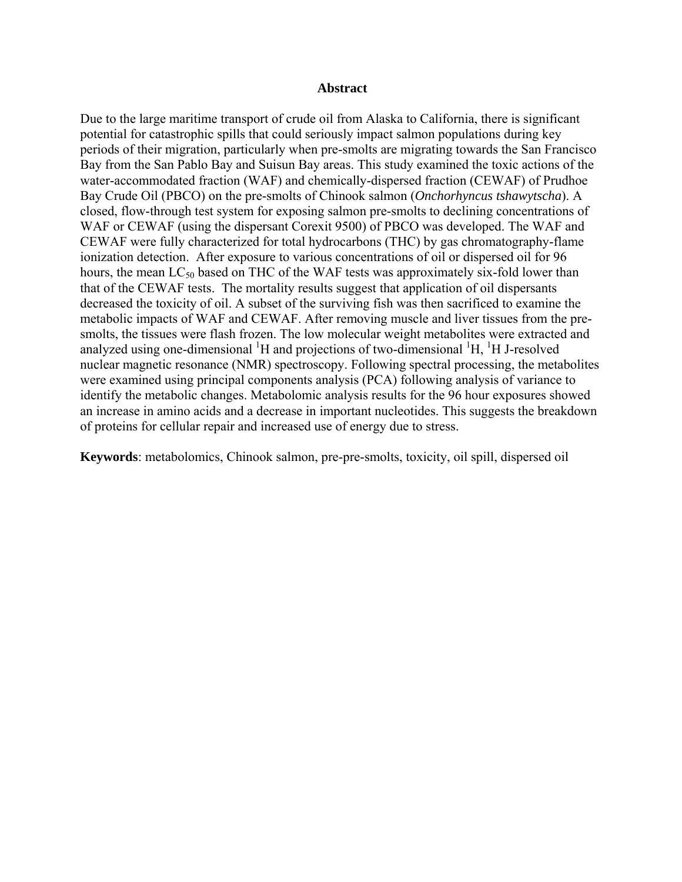#### **Abstract**

Due to the large maritime transport of crude oil from Alaska to California, there is significant potential for catastrophic spills that could seriously impact salmon populations during key periods of their migration, particularly when pre-smolts are migrating towards the San Francisco Bay from the San Pablo Bay and Suisun Bay areas. This study examined the toxic actions of the water-accommodated fraction (WAF) and chemically-dispersed fraction (CEWAF) of Prudhoe Bay Crude Oil (PBCO) on the pre-smolts of Chinook salmon (*Onchorhyncus tshawytscha*). A closed, flow-through test system for exposing salmon pre-smolts to declining concentrations of WAF or CEWAF (using the dispersant Corexit 9500) of PBCO was developed. The WAF and CEWAF were fully characterized for total hydrocarbons (THC) by gas chromatography-flame ionization detection. After exposure to various concentrations of oil or dispersed oil for 96 hours, the mean  $LC_{50}$  based on THC of the WAF tests was approximately six-fold lower than that of the CEWAF tests. The mortality results suggest that application of oil dispersants decreased the toxicity of oil. A subset of the surviving fish was then sacrificed to examine the metabolic impacts of WAF and CEWAF. After removing muscle and liver tissues from the presmolts, the tissues were flash frozen. The low molecular weight metabolites were extracted and analyzed using one-dimensional  ${}^{1}H$  and projections of two-dimensional  ${}^{1}H$ ,  ${}^{1}H$  J-resolved nuclear magnetic resonance (NMR) spectroscopy. Following spectral processing, the metabolites were examined using principal components analysis (PCA) following analysis of variance to identify the metabolic changes. Metabolomic analysis results for the 96 hour exposures showed an increase in amino acids and a decrease in important nucleotides. This suggests the breakdown of proteins for cellular repair and increased use of energy due to stress.

**Keywords**: metabolomics, Chinook salmon, pre-pre-smolts, toxicity, oil spill, dispersed oil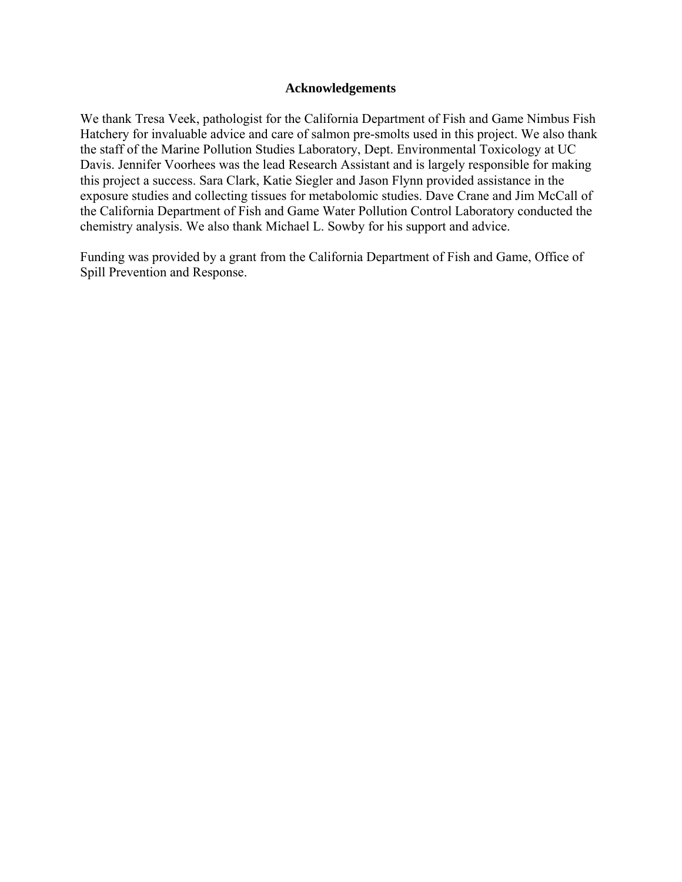#### **Acknowledgements**

We thank Tresa Veek, pathologist for the California Department of Fish and Game Nimbus Fish Hatchery for invaluable advice and care of salmon pre-smolts used in this project. We also thank the staff of the Marine Pollution Studies Laboratory, Dept. Environmental Toxicology at UC Davis. Jennifer Voorhees was the lead Research Assistant and is largely responsible for making this project a success. Sara Clark, Katie Siegler and Jason Flynn provided assistance in the exposure studies and collecting tissues for metabolomic studies. Dave Crane and Jim McCall of the California Department of Fish and Game Water Pollution Control Laboratory conducted the chemistry analysis. We also thank Michael L. Sowby for his support and advice.

Funding was provided by a grant from the California Department of Fish and Game, Office of Spill Prevention and Response.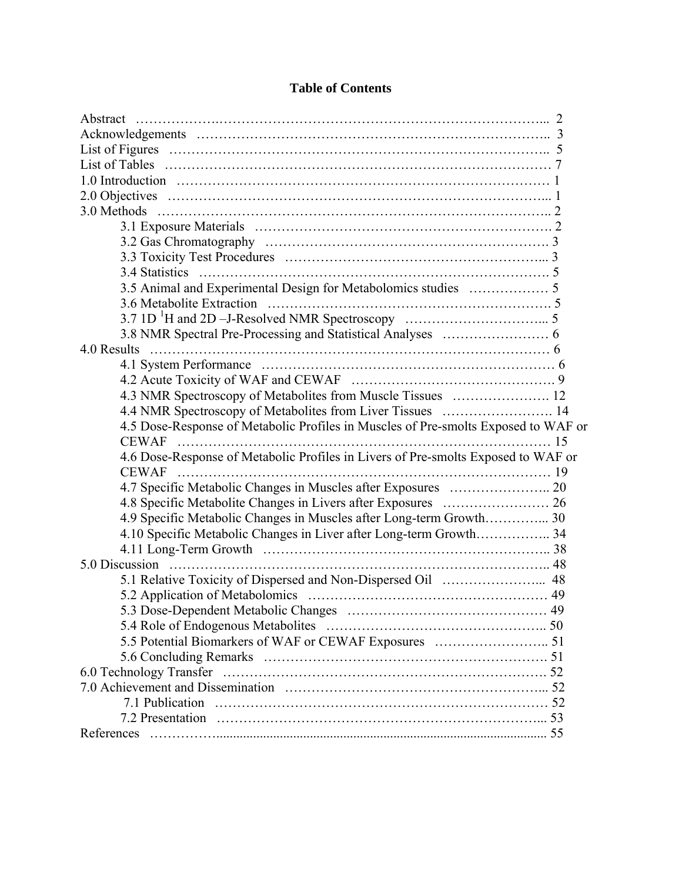| Abstract                                                                           |  |
|------------------------------------------------------------------------------------|--|
|                                                                                    |  |
|                                                                                    |  |
|                                                                                    |  |
|                                                                                    |  |
|                                                                                    |  |
|                                                                                    |  |
|                                                                                    |  |
|                                                                                    |  |
|                                                                                    |  |
|                                                                                    |  |
|                                                                                    |  |
|                                                                                    |  |
|                                                                                    |  |
|                                                                                    |  |
| 4.0 Results                                                                        |  |
|                                                                                    |  |
|                                                                                    |  |
| 4.3 NMR Spectroscopy of Metabolites from Muscle Tissues  12                        |  |
| 4.4 NMR Spectroscopy of Metabolites from Liver Tissues  14                         |  |
| 4.5 Dose-Response of Metabolic Profiles in Muscles of Pre-smolts Exposed to WAF or |  |
|                                                                                    |  |
| 4.6 Dose-Response of Metabolic Profiles in Livers of Pre-smolts Exposed to WAF or  |  |
|                                                                                    |  |
| 4.7 Specific Metabolic Changes in Muscles after Exposures  20                      |  |
|                                                                                    |  |
| 4.9 Specific Metabolic Changes in Muscles after Long-term Growth 30                |  |
| 4.10 Specific Metabolic Changes in Liver after Long-term Growth 34                 |  |
|                                                                                    |  |
|                                                                                    |  |
|                                                                                    |  |
|                                                                                    |  |
|                                                                                    |  |
|                                                                                    |  |
|                                                                                    |  |
|                                                                                    |  |
|                                                                                    |  |
|                                                                                    |  |
|                                                                                    |  |
|                                                                                    |  |
| References                                                                         |  |

# **Table of Contents**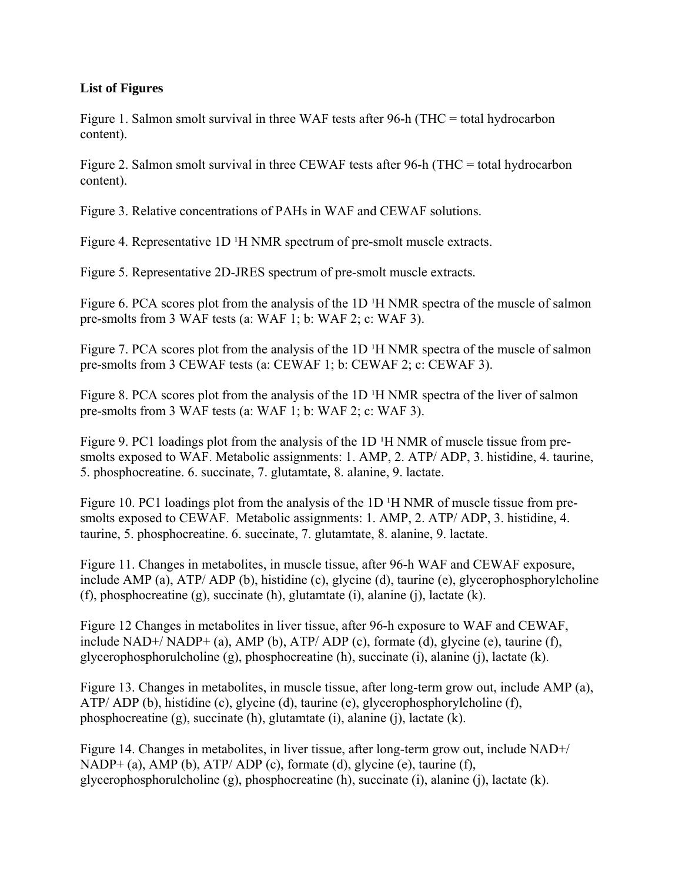## **List of Figures**

Figure 1. Salmon smolt survival in three WAF tests after 96-h (THC = total hydrocarbon content).

Figure 2. Salmon smolt survival in three CEWAF tests after 96-h (THC = total hydrocarbon content).

Figure 3. Relative concentrations of PAHs in WAF and CEWAF solutions.

Figure 4. Representative 1D <sup>1</sup>H NMR spectrum of pre-smolt muscle extracts.

Figure 5. Representative 2D-JRES spectrum of pre-smolt muscle extracts.

Figure 6. PCA scores plot from the analysis of the 1D <sup>1</sup>H NMR spectra of the muscle of salmon pre-smolts from 3 WAF tests (a: WAF 1; b: WAF 2; c: WAF 3).

Figure 7. PCA scores plot from the analysis of the 1D <sup>1</sup>H NMR spectra of the muscle of salmon pre-smolts from 3 CEWAF tests (a: CEWAF 1; b: CEWAF 2; c: CEWAF 3).

Figure 8. PCA scores plot from the analysis of the  $1D<sup>T</sup>H NMR$  spectra of the liver of salmon pre-smolts from 3 WAF tests (a: WAF 1; b: WAF 2; c: WAF 3).

Figure 9. PC1 loadings plot from the analysis of the  $1D<sup>T</sup>H NMR$  of muscle tissue from presmolts exposed to WAF. Metabolic assignments: 1. AMP, 2. ATP/ ADP, 3. histidine, 4. taurine, 5. phosphocreatine. 6. succinate, 7. glutamtate, 8. alanine, 9. lactate.

Figure 10. PC1 loadings plot from the analysis of the  $1D<sup>T</sup>H NMR$  of muscle tissue from presmolts exposed to CEWAF. Metabolic assignments: 1. AMP, 2. ATP/ ADP, 3. histidine, 4. taurine, 5. phosphocreatine. 6. succinate, 7. glutamtate, 8. alanine, 9. lactate.

Figure 11. Changes in metabolites, in muscle tissue, after 96-h WAF and CEWAF exposure, include AMP (a), ATP/ ADP (b), histidine (c), glycine (d), taurine (e), glycerophosphorylcholine (f), phosphocreatine (g), succinate (h), glutamtate (i), alanine (j), lactate (k).

Figure 12 Changes in metabolites in liver tissue, after 96-h exposure to WAF and CEWAF, include NAD+/ NADP+ (a), AMP (b), ATP/ ADP (c), formate (d), glycine (e), taurine (f), glycerophosphorulcholine (g), phosphocreatine (h), succinate (i), alanine (j), lactate (k).

Figure 13. Changes in metabolites, in muscle tissue, after long-term grow out, include AMP (a), ATP/ ADP (b), histidine (c), glycine (d), taurine (e), glycerophosphorylcholine (f), phosphocreatine (g), succinate (h), glutamtate (i), alanine (j), lactate (k).

Figure 14. Changes in metabolites, in liver tissue, after long-term grow out, include NAD+/ NADP+ (a), AMP (b), ATP/ ADP (c), formate (d), glycine (e), taurine (f), glycerophosphorulcholine (g), phosphocreatine (h), succinate (i), alanine (j), lactate (k).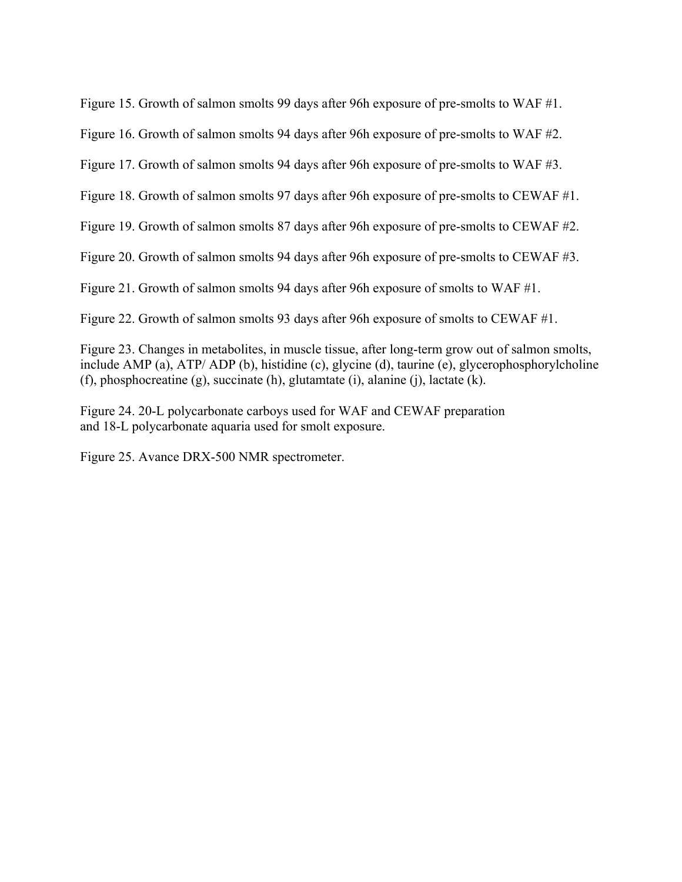Figure 15. Growth of salmon smolts 99 days after 96h exposure of pre-smolts to WAF #1.

Figure 16. Growth of salmon smolts 94 days after 96h exposure of pre-smolts to WAF #2.

Figure 17. Growth of salmon smolts 94 days after 96h exposure of pre-smolts to WAF #3.

Figure 18. Growth of salmon smolts 97 days after 96h exposure of pre-smolts to CEWAF #1.

Figure 19. Growth of salmon smolts 87 days after 96h exposure of pre-smolts to CEWAF #2.

Figure 20. Growth of salmon smolts 94 days after 96h exposure of pre-smolts to CEWAF #3.

Figure 21. Growth of salmon smolts 94 days after 96h exposure of smolts to WAF #1.

Figure 22. Growth of salmon smolts 93 days after 96h exposure of smolts to CEWAF #1.

Figure 23. Changes in metabolites, in muscle tissue, after long-term grow out of salmon smolts, include AMP (a), ATP/ ADP (b), histidine (c), glycine (d), taurine (e), glycerophosphorylcholine (f), phosphocreatine (g), succinate (h), glutamtate (i), alanine (j), lactate (k).

Figure 24. 20-L polycarbonate carboys used for WAF and CEWAF preparation and 18-L polycarbonate aquaria used for smolt exposure.

Figure 25. Avance DRX-500 NMR spectrometer.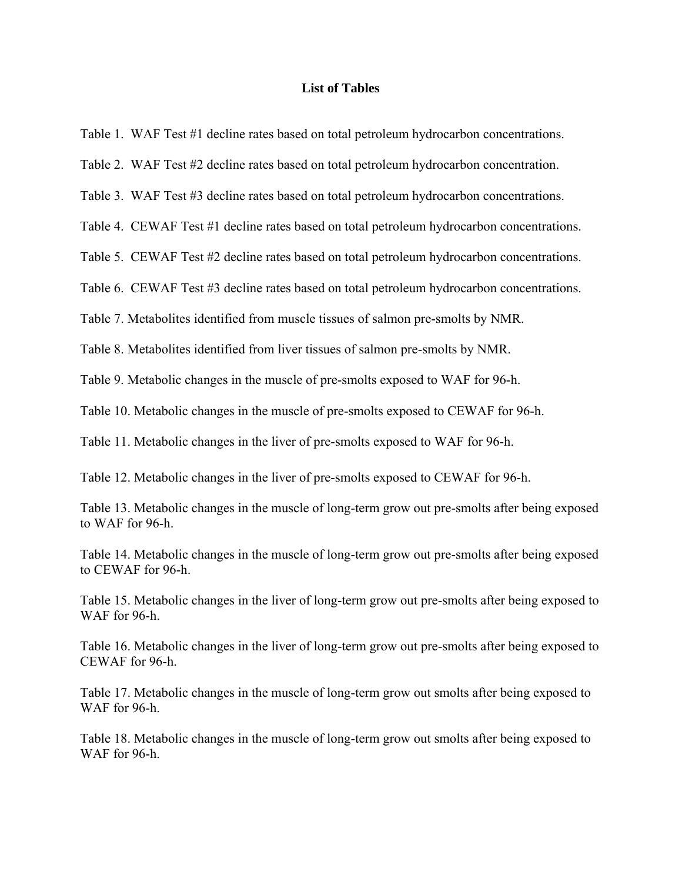#### **List of Tables**

Table 1. WAF Test #1 decline rates based on total petroleum hydrocarbon concentrations.

Table 2. WAF Test #2 decline rates based on total petroleum hydrocarbon concentration.

Table 3. WAF Test #3 decline rates based on total petroleum hydrocarbon concentrations.

Table 4. CEWAF Test #1 decline rates based on total petroleum hydrocarbon concentrations.

Table 5. CEWAF Test #2 decline rates based on total petroleum hydrocarbon concentrations.

Table 6. CEWAF Test #3 decline rates based on total petroleum hydrocarbon concentrations.

Table 7. Metabolites identified from muscle tissues of salmon pre-smolts by NMR.

Table 8. Metabolites identified from liver tissues of salmon pre-smolts by NMR.

Table 9. Metabolic changes in the muscle of pre-smolts exposed to WAF for 96-h.

Table 10. Metabolic changes in the muscle of pre-smolts exposed to CEWAF for 96-h.

Table 11. Metabolic changes in the liver of pre-smolts exposed to WAF for 96-h.

Table 12. Metabolic changes in the liver of pre-smolts exposed to CEWAF for 96-h.

Table 13. Metabolic changes in the muscle of long-term grow out pre-smolts after being exposed to WAF for 96-h.

Table 14. Metabolic changes in the muscle of long-term grow out pre-smolts after being exposed to CEWAF for 96-h.

Table 15. Metabolic changes in the liver of long-term grow out pre-smolts after being exposed to WAF for 96-h

Table 16. Metabolic changes in the liver of long-term grow out pre-smolts after being exposed to CEWAF for 96-h.

Table 17. Metabolic changes in the muscle of long-term grow out smolts after being exposed to WAF for 96-h.

Table 18. Metabolic changes in the muscle of long-term grow out smolts after being exposed to WAF for 96-h.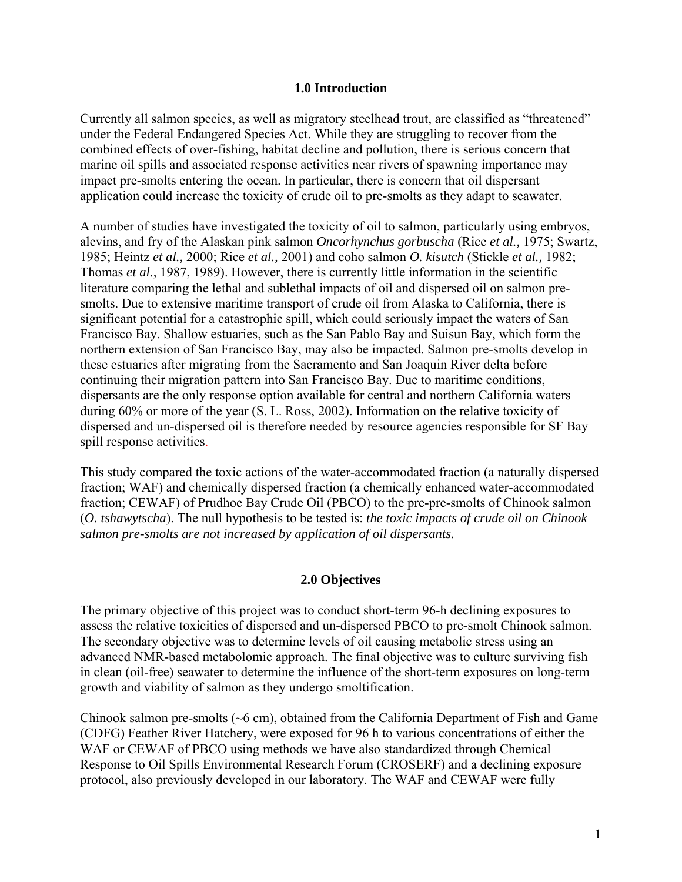### **1.0 Introduction**

Currently all salmon species, as well as migratory steelhead trout, are classified as "threatened" under the Federal Endangered Species Act. While they are struggling to recover from the combined effects of over-fishing, habitat decline and pollution, there is serious concern that marine oil spills and associated response activities near rivers of spawning importance may impact pre-smolts entering the ocean. In particular, there is concern that oil dispersant application could increase the toxicity of crude oil to pre-smolts as they adapt to seawater.

A number of studies have investigated the toxicity of oil to salmon, particularly using embryos, alevins, and fry of the Alaskan pink salmon *Oncorhynchus gorbuscha* (Rice *et al.,* 1975; Swartz, 1985; Heintz *et al.,* 2000; Rice *et al.,* 2001) and coho salmon *O. kisutch* (Stickle *et al.,* 1982; Thomas *et al.,* 1987, 1989). However, there is currently little information in the scientific literature comparing the lethal and sublethal impacts of oil and dispersed oil on salmon presmolts. Due to extensive maritime transport of crude oil from Alaska to California, there is significant potential for a catastrophic spill, which could seriously impact the waters of San Francisco Bay. Shallow estuaries, such as the San Pablo Bay and Suisun Bay, which form the northern extension of San Francisco Bay, may also be impacted. Salmon pre-smolts develop in these estuaries after migrating from the Sacramento and San Joaquin River delta before continuing their migration pattern into San Francisco Bay. Due to maritime conditions, dispersants are the only response option available for central and northern California waters during 60% or more of the year (S. L. Ross, 2002). Information on the relative toxicity of dispersed and un-dispersed oil is therefore needed by resource agencies responsible for SF Bay spill response activities.

This study compared the toxic actions of the water-accommodated fraction (a naturally dispersed fraction; WAF) and chemically dispersed fraction (a chemically enhanced water-accommodated fraction; CEWAF) of Prudhoe Bay Crude Oil (PBCO) to the pre-pre-smolts of Chinook salmon (*O. tshawytscha*). The null hypothesis to be tested is: *the toxic impacts of crude oil on Chinook salmon pre-smolts are not increased by application of oil dispersants.*

### **2.0 Objectives**

The primary objective of this project was to conduct short-term 96-h declining exposures to assess the relative toxicities of dispersed and un-dispersed PBCO to pre-smolt Chinook salmon. The secondary objective was to determine levels of oil causing metabolic stress using an advanced NMR-based metabolomic approach. The final objective was to culture surviving fish in clean (oil-free) seawater to determine the influence of the short-term exposures on long-term growth and viability of salmon as they undergo smoltification.

Chinook salmon pre-smolts (~6 cm), obtained from the California Department of Fish and Game (CDFG) Feather River Hatchery, were exposed for 96 h to various concentrations of either the WAF or CEWAF of PBCO using methods we have also standardized through Chemical Response to Oil Spills Environmental Research Forum (CROSERF) and a declining exposure protocol, also previously developed in our laboratory. The WAF and CEWAF were fully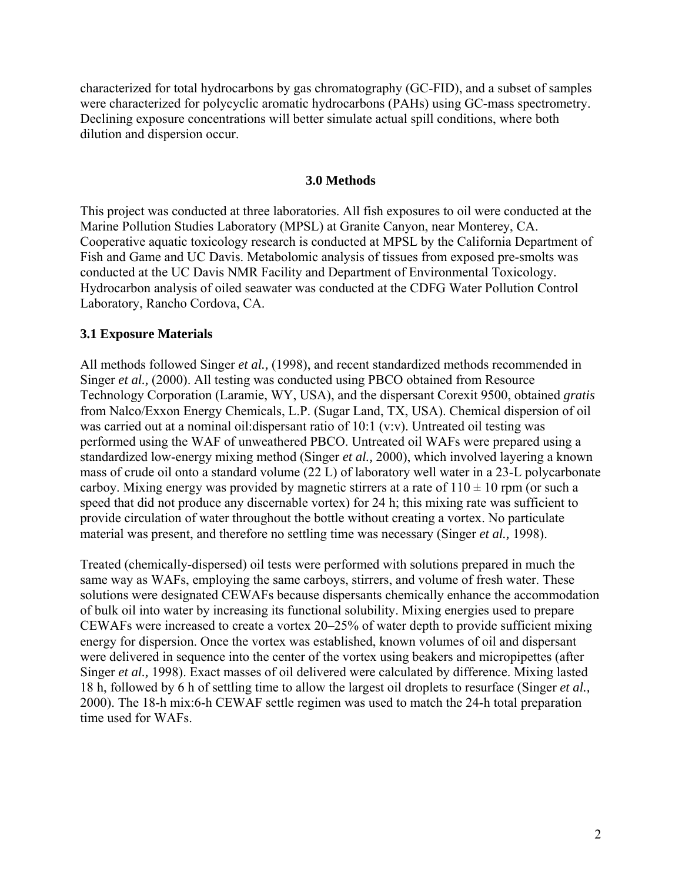characterized for total hydrocarbons by gas chromatography (GC-FID), and a subset of samples were characterized for polycyclic aromatic hydrocarbons (PAHs) using GC-mass spectrometry. Declining exposure concentrations will better simulate actual spill conditions, where both dilution and dispersion occur.

### **3.0 Methods**

This project was conducted at three laboratories. All fish exposures to oil were conducted at the Marine Pollution Studies Laboratory (MPSL) at Granite Canyon, near Monterey, CA. Cooperative aquatic toxicology research is conducted at MPSL by the California Department of Fish and Game and UC Davis. Metabolomic analysis of tissues from exposed pre-smolts was conducted at the UC Davis NMR Facility and Department of Environmental Toxicology. Hydrocarbon analysis of oiled seawater was conducted at the CDFG Water Pollution Control Laboratory, Rancho Cordova, CA.

### **3.1 Exposure Materials**

All methods followed Singer *et al.,* (1998), and recent standardized methods recommended in Singer *et al.,* (2000). All testing was conducted using PBCO obtained from Resource Technology Corporation (Laramie, WY, USA), and the dispersant Corexit 9500, obtained *gratis*  from Nalco/Exxon Energy Chemicals, L.P. (Sugar Land, TX, USA). Chemical dispersion of oil was carried out at a nominal oil:dispersant ratio of 10:1 (v:v). Untreated oil testing was performed using the WAF of unweathered PBCO. Untreated oil WAFs were prepared using a standardized low-energy mixing method (Singer *et al.,* 2000), which involved layering a known mass of crude oil onto a standard volume (22 L) of laboratory well water in a 23-L polycarbonate carboy. Mixing energy was provided by magnetic stirrers at a rate of  $110 \pm 10$  rpm (or such a speed that did not produce any discernable vortex) for 24 h; this mixing rate was sufficient to provide circulation of water throughout the bottle without creating a vortex. No particulate material was present, and therefore no settling time was necessary (Singer *et al.,* 1998).

Treated (chemically-dispersed) oil tests were performed with solutions prepared in much the same way as WAFs, employing the same carboys, stirrers, and volume of fresh water. These solutions were designated CEWAFs because dispersants chemically enhance the accommodation of bulk oil into water by increasing its functional solubility. Mixing energies used to prepare CEWAFs were increased to create a vortex 20–25% of water depth to provide sufficient mixing energy for dispersion. Once the vortex was established, known volumes of oil and dispersant were delivered in sequence into the center of the vortex using beakers and micropipettes (after Singer *et al.,* 1998). Exact masses of oil delivered were calculated by difference. Mixing lasted 18 h, followed by 6 h of settling time to allow the largest oil droplets to resurface (Singer *et al.,* 2000). The 18-h mix:6-h CEWAF settle regimen was used to match the 24-h total preparation time used for WAFs.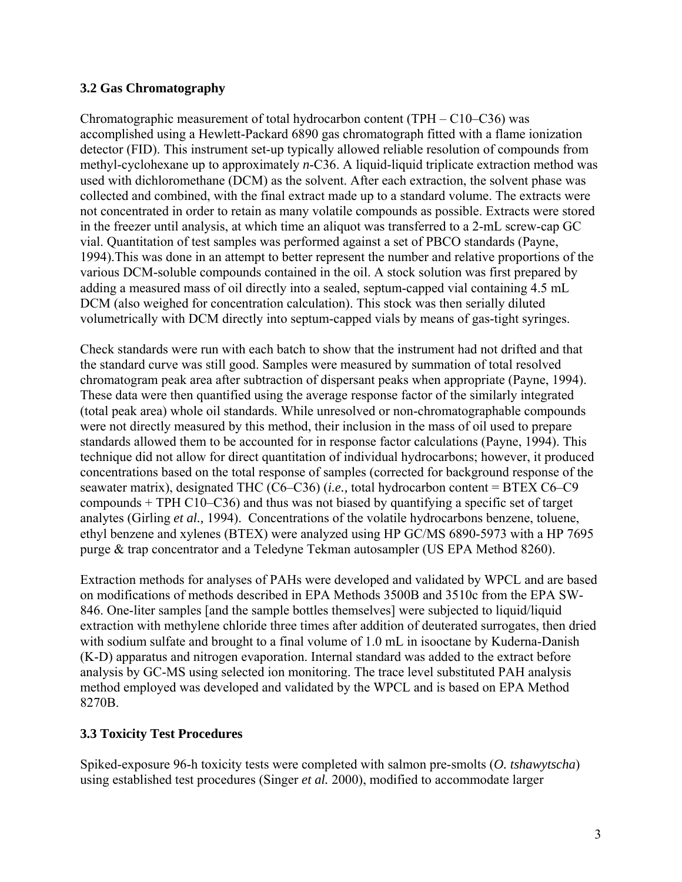# **3.2 Gas Chromatography**

Chromatographic measurement of total hydrocarbon content (TPH – C10–C36) was accomplished using a Hewlett-Packard 6890 gas chromatograph fitted with a flame ionization detector (FID). This instrument set-up typically allowed reliable resolution of compounds from methyl-cyclohexane up to approximately *n*-C36. A liquid-liquid triplicate extraction method was used with dichloromethane (DCM) as the solvent. After each extraction, the solvent phase was collected and combined, with the final extract made up to a standard volume. The extracts were not concentrated in order to retain as many volatile compounds as possible. Extracts were stored in the freezer until analysis, at which time an aliquot was transferred to a 2-mL screw-cap GC vial. Quantitation of test samples was performed against a set of PBCO standards (Payne, 1994).This was done in an attempt to better represent the number and relative proportions of the various DCM-soluble compounds contained in the oil. A stock solution was first prepared by adding a measured mass of oil directly into a sealed, septum-capped vial containing 4.5 mL DCM (also weighed for concentration calculation). This stock was then serially diluted volumetrically with DCM directly into septum-capped vials by means of gas-tight syringes.

Check standards were run with each batch to show that the instrument had not drifted and that the standard curve was still good. Samples were measured by summation of total resolved chromatogram peak area after subtraction of dispersant peaks when appropriate (Payne, 1994). These data were then quantified using the average response factor of the similarly integrated (total peak area) whole oil standards. While unresolved or non-chromatographable compounds were not directly measured by this method, their inclusion in the mass of oil used to prepare standards allowed them to be accounted for in response factor calculations (Payne, 1994). This technique did not allow for direct quantitation of individual hydrocarbons; however, it produced concentrations based on the total response of samples (corrected for background response of the seawater matrix), designated THC (C6–C36) (*i.e.,* total hydrocarbon content = BTEX C6–C9 compounds + TPH C10–C36) and thus was not biased by quantifying a specific set of target analytes (Girling *et al.,* 1994). Concentrations of the volatile hydrocarbons benzene, toluene, ethyl benzene and xylenes (BTEX) were analyzed using HP GC/MS 6890-5973 with a HP 7695 purge & trap concentrator and a Teledyne Tekman autosampler (US EPA Method 8260).

Extraction methods for analyses of PAHs were developed and validated by WPCL and are based on modifications of methods described in EPA Methods 3500B and 3510c from the EPA SW-846. One-liter samples [and the sample bottles themselves] were subjected to liquid/liquid extraction with methylene chloride three times after addition of deuterated surrogates, then dried with sodium sulfate and brought to a final volume of 1.0 mL in isooctane by Kuderna-Danish (K-D) apparatus and nitrogen evaporation. Internal standard was added to the extract before analysis by GC-MS using selected ion monitoring. The trace level substituted PAH analysis method employed was developed and validated by the WPCL and is based on EPA Method 8270B.

# **3.3 Toxicity Test Procedures**

Spiked-exposure 96-h toxicity tests were completed with salmon pre-smolts (*O. tshawytscha*) using established test procedures (Singer *et al.* 2000), modified to accommodate larger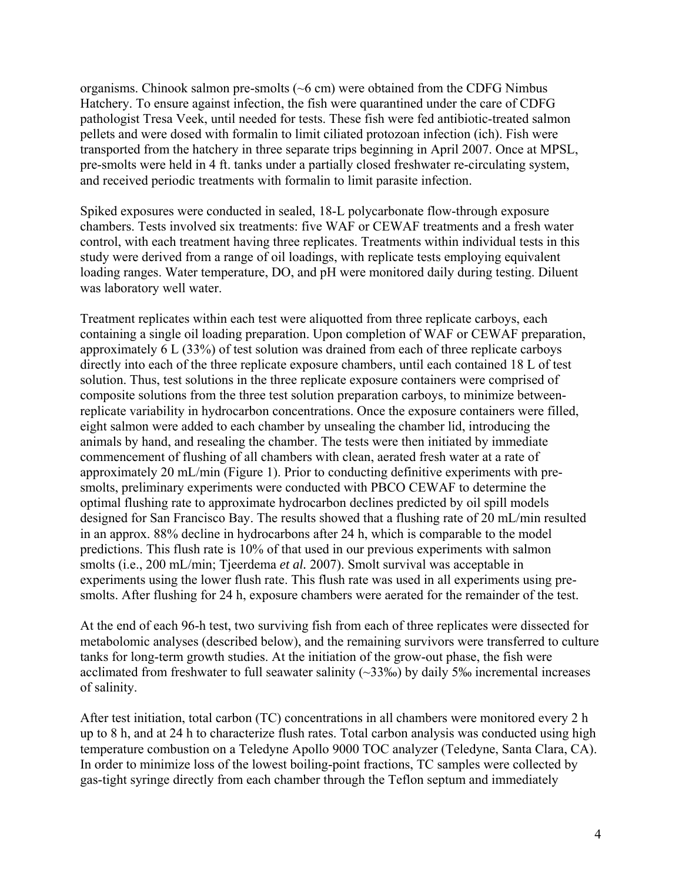organisms. Chinook salmon pre-smolts  $({\sim}6 \text{ cm})$  were obtained from the CDFG Nimbus Hatchery. To ensure against infection, the fish were quarantined under the care of CDFG pathologist Tresa Veek, until needed for tests. These fish were fed antibiotic-treated salmon pellets and were dosed with formalin to limit ciliated protozoan infection (ich). Fish were transported from the hatchery in three separate trips beginning in April 2007. Once at MPSL, pre-smolts were held in 4 ft. tanks under a partially closed freshwater re-circulating system, and received periodic treatments with formalin to limit parasite infection.

Spiked exposures were conducted in sealed, 18-L polycarbonate flow-through exposure chambers. Tests involved six treatments: five WAF or CEWAF treatments and a fresh water control, with each treatment having three replicates. Treatments within individual tests in this study were derived from a range of oil loadings, with replicate tests employing equivalent loading ranges. Water temperature, DO, and pH were monitored daily during testing. Diluent was laboratory well water.

Treatment replicates within each test were aliquotted from three replicate carboys, each containing a single oil loading preparation. Upon completion of WAF or CEWAF preparation, approximately 6 L (33%) of test solution was drained from each of three replicate carboys directly into each of the three replicate exposure chambers, until each contained 18 L of test solution. Thus, test solutions in the three replicate exposure containers were comprised of composite solutions from the three test solution preparation carboys, to minimize betweenreplicate variability in hydrocarbon concentrations. Once the exposure containers were filled, eight salmon were added to each chamber by unsealing the chamber lid, introducing the animals by hand, and resealing the chamber. The tests were then initiated by immediate commencement of flushing of all chambers with clean, aerated fresh water at a rate of approximately 20 mL/min (Figure 1). Prior to conducting definitive experiments with presmolts, preliminary experiments were conducted with PBCO CEWAF to determine the optimal flushing rate to approximate hydrocarbon declines predicted by oil spill models designed for San Francisco Bay. The results showed that a flushing rate of 20 mL/min resulted in an approx. 88% decline in hydrocarbons after 24 h, which is comparable to the model predictions. This flush rate is 10% of that used in our previous experiments with salmon smolts (i.e., 200 mL/min; Tjeerdema *et al.* 2007). Smolt survival was acceptable in experiments using the lower flush rate. This flush rate was used in all experiments using presmolts. After flushing for 24 h, exposure chambers were aerated for the remainder of the test.

At the end of each 96-h test, two surviving fish from each of three replicates were dissected for metabolomic analyses (described below), and the remaining survivors were transferred to culture tanks for long-term growth studies. At the initiation of the grow-out phase, the fish were acclimated from freshwater to full seawater salinity (~33‰) by daily 5‰ incremental increases of salinity.

After test initiation, total carbon (TC) concentrations in all chambers were monitored every 2 h up to 8 h, and at 24 h to characterize flush rates. Total carbon analysis was conducted using high temperature combustion on a Teledyne Apollo 9000 TOC analyzer (Teledyne, Santa Clara, CA). In order to minimize loss of the lowest boiling-point fractions, TC samples were collected by gas-tight syringe directly from each chamber through the Teflon septum and immediately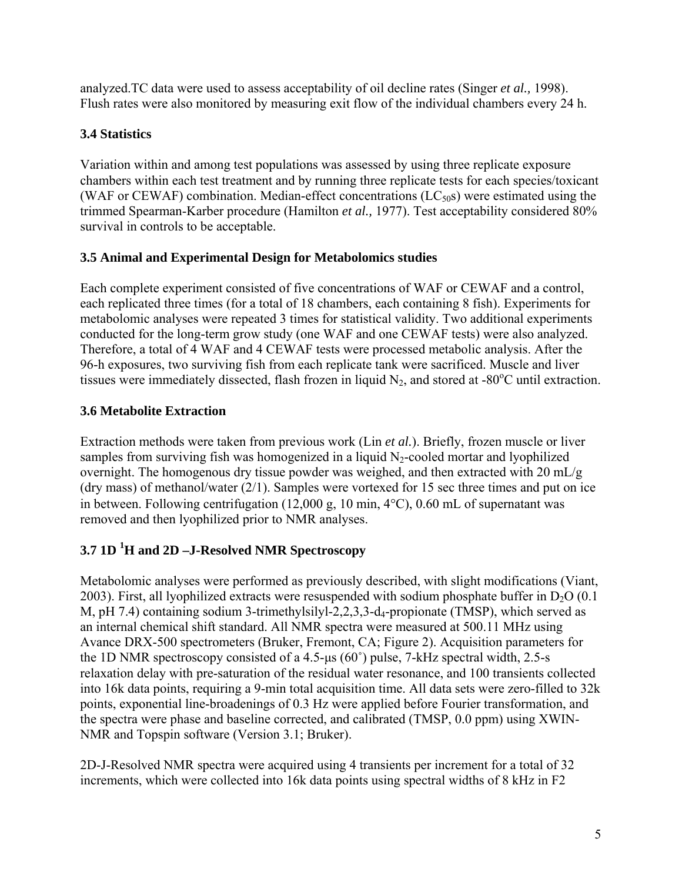analyzed.TC data were used to assess acceptability of oil decline rates (Singer *et al.,* 1998). Flush rates were also monitored by measuring exit flow of the individual chambers every 24 h.

# **3.4 Statistics**

Variation within and among test populations was assessed by using three replicate exposure chambers within each test treatment and by running three replicate tests for each species/toxicant (WAF or CEWAF) combination. Median-effect concentrations  $(LC_{50}s)$  were estimated using the trimmed Spearman-Karber procedure (Hamilton *et al.,* 1977). Test acceptability considered 80% survival in controls to be acceptable.

# **3.5 Animal and Experimental Design for Metabolomics studies**

Each complete experiment consisted of five concentrations of WAF or CEWAF and a control, each replicated three times (for a total of 18 chambers, each containing 8 fish). Experiments for metabolomic analyses were repeated 3 times for statistical validity. Two additional experiments conducted for the long-term grow study (one WAF and one CEWAF tests) were also analyzed. Therefore, a total of 4 WAF and 4 CEWAF tests were processed metabolic analysis. After the 96-h exposures, two surviving fish from each replicate tank were sacrificed. Muscle and liver tissues were immediately dissected, flash frozen in liquid  $N_2$ , and stored at -80 $^{\circ}$ C until extraction.

# **3.6 Metabolite Extraction**

Extraction methods were taken from previous work (Lin *et al.*). Briefly, frozen muscle or liver samples from surviving fish was homogenized in a liquid  $N_2$ -cooled mortar and lyophilized overnight. The homogenous dry tissue powder was weighed, and then extracted with 20 mL/g (dry mass) of methanol/water (2/1). Samples were vortexed for 15 sec three times and put on ice in between. Following centrifugation (12,000 g, 10 min, 4°C), 0.60 mL of supernatant was removed and then lyophilized prior to NMR analyses.

# **3.7 1D 1 H and 2D –J-Resolved NMR Spectroscopy**

Metabolomic analyses were performed as previously described, with slight modifications (Viant, 2003). First, all lyophilized extracts were resuspended with sodium phosphate buffer in  $D_2O(0.1)$ M, pH 7.4) containing sodium 3-trimethylsilyl-2,2,3,3-d<sub>4</sub>-propionate (TMSP), which served as an internal chemical shift standard. All NMR spectra were measured at 500.11 MHz using Avance DRX-500 spectrometers (Bruker, Fremont, CA; Figure 2). Acquisition parameters for the 1D NMR spectroscopy consisted of a 4.5-µs (60˚) pulse, 7-kHz spectral width, 2.5-s relaxation delay with pre-saturation of the residual water resonance, and 100 transients collected into 16k data points, requiring a 9-min total acquisition time. All data sets were zero-filled to 32k points, exponential line-broadenings of 0.3 Hz were applied before Fourier transformation, and the spectra were phase and baseline corrected, and calibrated (TMSP, 0.0 ppm) using XWIN-NMR and Topspin software (Version 3.1; Bruker).

2D-J-Resolved NMR spectra were acquired using 4 transients per increment for a total of 32 increments, which were collected into 16k data points using spectral widths of 8 kHz in F2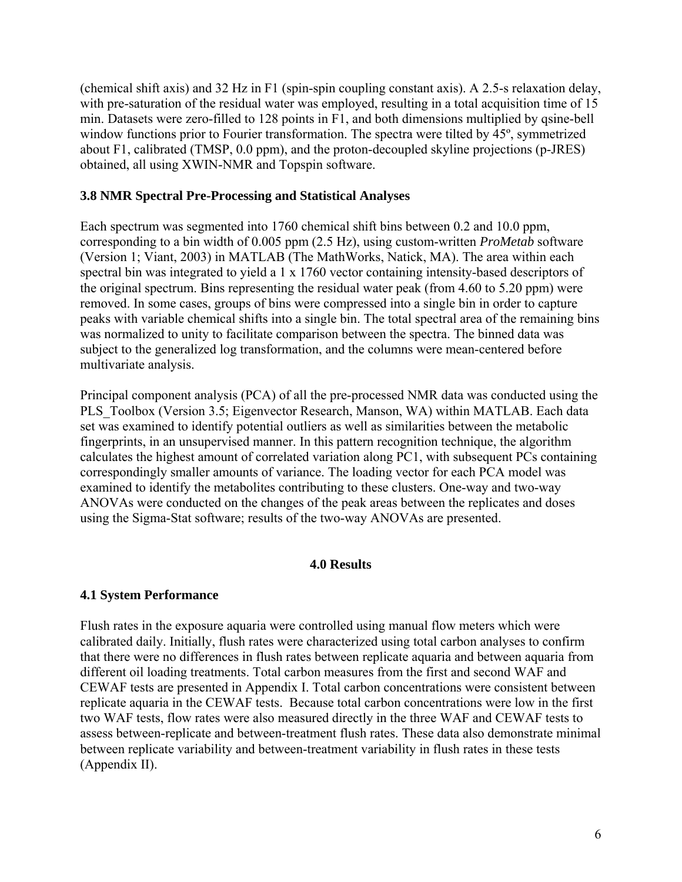(chemical shift axis) and 32 Hz in F1 (spin-spin coupling constant axis). A 2.5-s relaxation delay, with pre-saturation of the residual water was employed, resulting in a total acquisition time of 15 min. Datasets were zero-filled to 128 points in F1, and both dimensions multiplied by qsine-bell window functions prior to Fourier transformation. The spectra were tilted by 45<sup>°</sup>, symmetrized about F1, calibrated (TMSP, 0.0 ppm), and the proton-decoupled skyline projections (p-JRES) obtained, all using XWIN-NMR and Topspin software.

### **3.8 NMR Spectral Pre-Processing and Statistical Analyses**

Each spectrum was segmented into 1760 chemical shift bins between 0.2 and 10.0 ppm, corresponding to a bin width of 0.005 ppm (2.5 Hz), using custom-written *ProMetab* software (Version 1; Viant, 2003) in MATLAB (The MathWorks, Natick, MA). The area within each spectral bin was integrated to yield a 1 x 1760 vector containing intensity-based descriptors of the original spectrum. Bins representing the residual water peak (from 4.60 to 5.20 ppm) were removed. In some cases, groups of bins were compressed into a single bin in order to capture peaks with variable chemical shifts into a single bin. The total spectral area of the remaining bins was normalized to unity to facilitate comparison between the spectra. The binned data was subject to the generalized log transformation, and the columns were mean-centered before multivariate analysis.

Principal component analysis (PCA) of all the pre-processed NMR data was conducted using the PLS Toolbox (Version 3.5; Eigenvector Research, Manson, WA) within MATLAB. Each data set was examined to identify potential outliers as well as similarities between the metabolic fingerprints, in an unsupervised manner. In this pattern recognition technique, the algorithm calculates the highest amount of correlated variation along PC1, with subsequent PCs containing correspondingly smaller amounts of variance. The loading vector for each PCA model was examined to identify the metabolites contributing to these clusters. One-way and two-way ANOVAs were conducted on the changes of the peak areas between the replicates and doses using the Sigma-Stat software; results of the two-way ANOVAs are presented.

### **4.0 Results**

# **4.1 System Performance**

Flush rates in the exposure aquaria were controlled using manual flow meters which were calibrated daily. Initially, flush rates were characterized using total carbon analyses to confirm that there were no differences in flush rates between replicate aquaria and between aquaria from different oil loading treatments. Total carbon measures from the first and second WAF and CEWAF tests are presented in Appendix I. Total carbon concentrations were consistent between replicate aquaria in the CEWAF tests. Because total carbon concentrations were low in the first two WAF tests, flow rates were also measured directly in the three WAF and CEWAF tests to assess between-replicate and between-treatment flush rates. These data also demonstrate minimal between replicate variability and between-treatment variability in flush rates in these tests (Appendix II).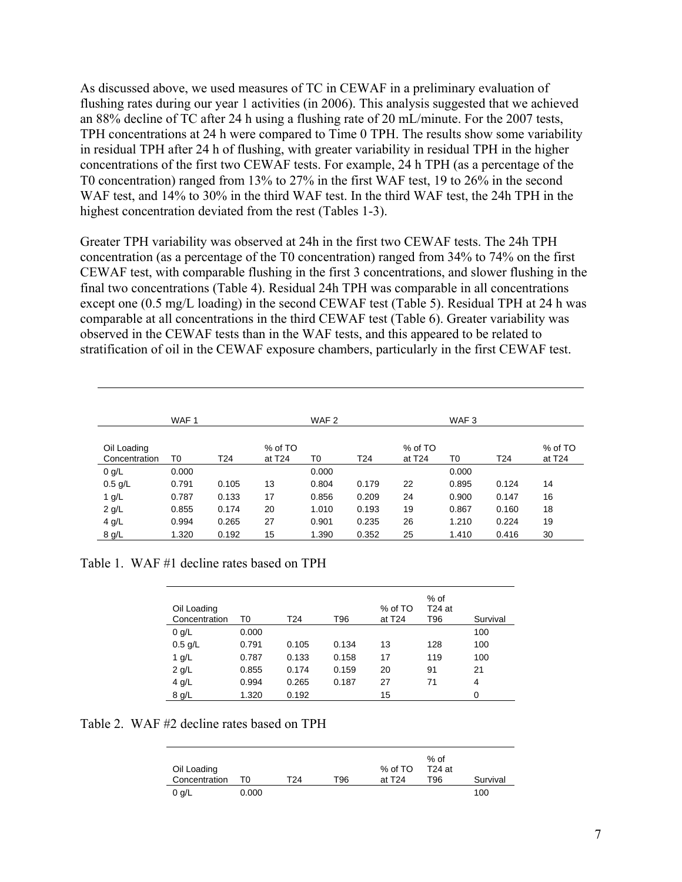As discussed above, we used measures of TC in CEWAF in a preliminary evaluation of flushing rates during our year 1 activities (in 2006). This analysis suggested that we achieved an 88% decline of TC after 24 h using a flushing rate of 20 mL/minute. For the 2007 tests, TPH concentrations at 24 h were compared to Time 0 TPH. The results show some variability in residual TPH after 24 h of flushing, with greater variability in residual TPH in the higher concentrations of the first two CEWAF tests. For example, 24 h TPH (as a percentage of the T0 concentration) ranged from 13% to 27% in the first WAF test, 19 to 26% in the second WAF test, and 14% to 30% in the third WAF test. In the third WAF test, the 24h TPH in the highest concentration deviated from the rest (Tables 1-3).

Greater TPH variability was observed at 24h in the first two CEWAF tests. The 24h TPH concentration (as a percentage of the T0 concentration) ranged from 34% to 74% on the first CEWAF test, with comparable flushing in the first 3 concentrations, and slower flushing in the final two concentrations (Table 4). Residual 24h TPH was comparable in all concentrations except one (0.5 mg/L loading) in the second CEWAF test (Table 5). Residual TPH at 24 h was comparable at all concentrations in the third CEWAF test (Table 6). Greater variability was observed in the CEWAF tests than in the WAF tests, and this appeared to be related to stratification of oil in the CEWAF exposure chambers, particularly in the first CEWAF test.

|                              | WAF <sub>1</sub> |       |                     | WAF <sub>2</sub> |                 |                     | WAF <sub>3</sub> |                 |                     |
|------------------------------|------------------|-------|---------------------|------------------|-----------------|---------------------|------------------|-----------------|---------------------|
| Oil Loading<br>Concentration | T0               | T24   | % of TO<br>at $T24$ | T <sub>0</sub>   | T <sub>24</sub> | % of TO<br>at $T24$ | T0               | T <sub>24</sub> | % of TO<br>at $T24$ |
| $0$ g/L                      | 0.000            |       |                     | 0.000            |                 |                     | 0.000            |                 |                     |
| $0.5$ g/L                    | 0.791            | 0.105 | 13                  | 0.804            | 0.179           | 22                  | 0.895            | 0.124           | 14                  |
| $1$ g/L                      | 0.787            | 0.133 | 17                  | 0.856            | 0.209           | 24                  | 0.900            | 0.147           | 16                  |
| $2$ g/L                      | 0.855            | 0.174 | 20                  | 1.010            | 0.193           | 19                  | 0.867            | 0.160           | 18                  |
| $4$ g/L                      | 0.994            | 0.265 | 27                  | 0.901            | 0.235           | 26                  | 1.210            | 0.224           | 19                  |
| 8 g/L                        | 1.320            | 0.192 | 15                  | 1.390            | 0.352           | 25                  | 1.410            | 0.416           | 30                  |

Table 1. WAF #1 decline rates based on TPH

| Oil Loading<br>Concentration | T0    | T24   | T96   | % of TO<br>at T <sub>24</sub> | % of<br>$T24$ at<br>T96 | Survival |
|------------------------------|-------|-------|-------|-------------------------------|-------------------------|----------|
| $0$ g/L                      | 0.000 |       |       |                               |                         | 100      |
| $0.5$ g/L                    | 0.791 | 0.105 | 0.134 | 13                            | 128                     | 100      |
| 1 $g/L$                      | 0.787 | 0.133 | 0.158 | 17                            | 119                     | 100      |
| $2$ g/L                      | 0.855 | 0.174 | 0.159 | 20                            | 91                      | 21       |
| $4$ g/L                      | 0.994 | 0.265 | 0.187 | 27                            | 71                      | 4        |
| 8 g/L                        | 1.320 | 0.192 |       | 15                            |                         | 0        |

Table 2. WAF #2 decline rates based on TPH

|               |       |     |     |          | % of     |          |
|---------------|-------|-----|-----|----------|----------|----------|
| Oil Loading   |       |     |     | % of TO  | $T24$ at |          |
| Concentration | T٥    | T24 | T96 | at $T24$ | T96      | Survival |
| $0$ g/L       | 0.000 |     |     |          |          | 100      |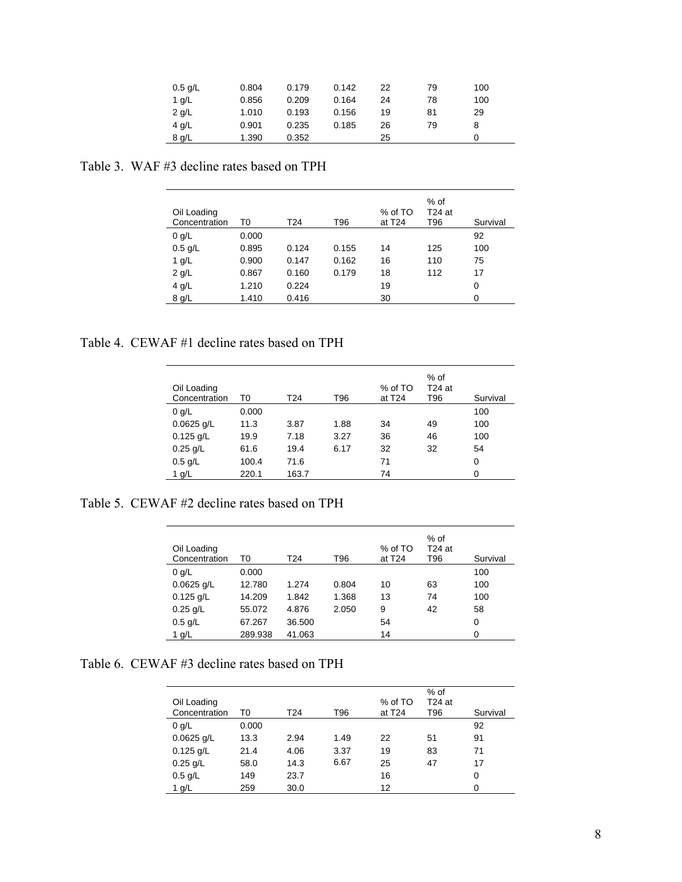| $0.5$ g/L | 0.804 | 0.179 | 0.142 | 22 | 79 | 100 |  |
|-----------|-------|-------|-------|----|----|-----|--|
| 1 g/L     | 0.856 | 0.209 | 0.164 | 24 | 78 | 100 |  |
| $2$ g/L   | 1.010 | 0.193 | 0.156 | 19 | 81 | 29  |  |
| 4 g/L     | 0.901 | 0.235 | 0.185 | 26 | 79 | 8   |  |
| 8 g/L     | 1.390 | 0.352 |       | 25 |    |     |  |

Table 3. WAF #3 decline rates based on TPH

| Oil Loading<br>Concentration | T0    | T24   | T96   | % of TO<br>at T <sub>24</sub> | % of<br>$T24$ at<br>T96 | Survival |
|------------------------------|-------|-------|-------|-------------------------------|-------------------------|----------|
| $0$ g/L                      | 0.000 |       |       |                               |                         | 92       |
| $0.5$ g/L                    | 0.895 | 0.124 | 0.155 | 14                            | 125                     | 100      |
| 1 $g/L$                      | 0.900 | 0.147 | 0.162 | 16                            | 110                     | 75       |
| $2$ g/L                      | 0.867 | 0.160 | 0.179 | 18                            | 112                     | 17       |
| $4$ g/L                      | 1.210 | 0.224 |       | 19                            |                         | 0        |
| 8 g/L                        | 1.410 | 0.416 |       | 30                            |                         | 0        |

Table 4. CEWAF #1 decline rates based on TPH

| Oil Loading<br>Concentration | T0    | T24   | T96  | % of TO<br>at $T24$ | % of<br>$T24$ at<br>T96 | Survival |
|------------------------------|-------|-------|------|---------------------|-------------------------|----------|
| $0$ g/L                      | 0.000 |       |      |                     |                         | 100      |
| $0.0625$ g/L                 | 11.3  | 3.87  | 1.88 | 34                  | 49                      | 100      |
| $0.125$ g/L                  | 19.9  | 7.18  | 3.27 | 36                  | 46                      | 100      |
| $0.25$ g/L                   | 61.6  | 19.4  | 6.17 | 32                  | 32                      | 54       |
| $0.5$ g/L                    | 100.4 | 71.6  |      | 71                  |                         | $\Omega$ |
| 1 g/L                        | 220.1 | 163.7 |      | 74                  |                         | 0        |

Table 5. CEWAF #2 decline rates based on TPH

| Oil Loading<br>Concentration | T0      | T24    | T96   | % of TO<br>at T <sub>24</sub> | % of<br>T24 at<br>T96 | Survival |
|------------------------------|---------|--------|-------|-------------------------------|-----------------------|----------|
| $0$ g/L                      | 0.000   |        |       |                               |                       | 100      |
| $0.0625$ g/L                 | 12.780  | 1.274  | 0.804 | 10                            | 63                    | 100      |
| $0.125$ g/L                  | 14.209  | 1.842  | 1.368 | 13                            | 74                    | 100      |
| $0.25$ g/L                   | 55.072  | 4.876  | 2.050 | 9                             | 42                    | 58       |
| $0.5$ g/L                    | 67.267  | 36.500 |       | 54                            |                       | 0        |
| 1 g/L                        | 289.938 | 41.063 |       | 14                            |                       | 0        |

Table 6. CEWAF #3 decline rates based on TPH

| Oil Loading<br>Concentration | T0    | T24  | T96  | % of TO<br>at T <sub>24</sub> | $%$ of<br>$T24$ at<br>T96 | Survival |
|------------------------------|-------|------|------|-------------------------------|---------------------------|----------|
| 0 q/L                        | 0.000 |      |      |                               |                           | 92       |
| $0.0625$ g/L                 | 13.3  | 2.94 | 1.49 | 22                            | 51                        | 91       |
| $0.125$ g/L                  | 21.4  | 4.06 | 3.37 | 19                            | 83                        | 71       |
| $0.25$ g/L                   | 58.0  | 14.3 | 6.67 | 25                            | 47                        | 17       |
| $0.5$ g/L                    | 149   | 23.7 |      | 16                            |                           | 0        |
| 1 g/L                        | 259   | 30.0 |      | 12                            |                           | 0        |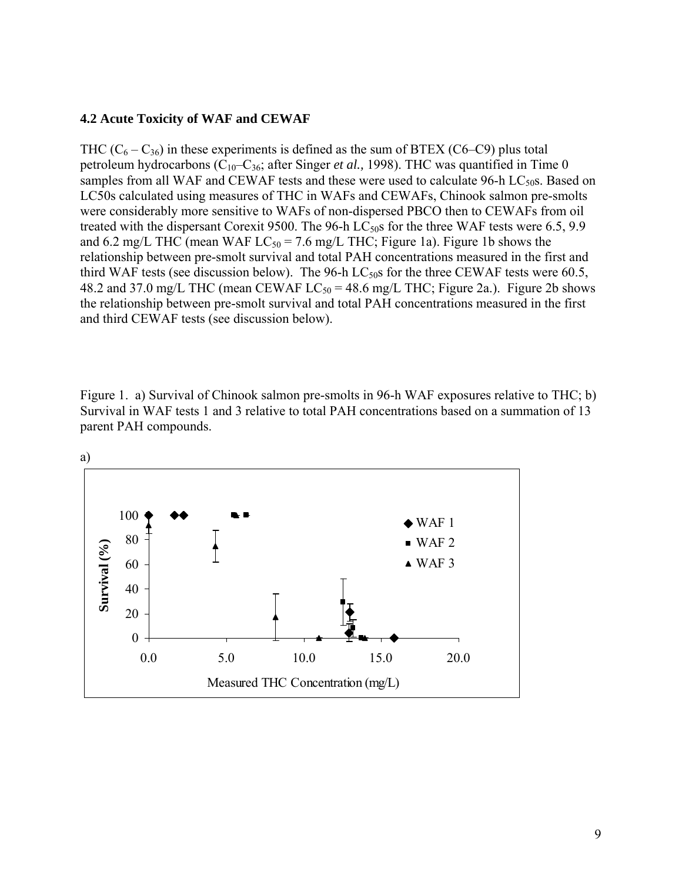### **4.2 Acute Toxicity of WAF and CEWAF**

THC  $(C_6 - C_{36})$  in these experiments is defined as the sum of BTEX (C6–C9) plus total petroleum hydrocarbons (C<sub>10</sub>-C<sub>36</sub>; after Singer *et al.*, 1998). THC was quantified in Time 0 samples from all WAF and CEWAF tests and these were used to calculate  $96-h$  LC<sub>50</sub>s. Based on LC50s calculated using measures of THC in WAFs and CEWAFs, Chinook salmon pre-smolts were considerably more sensitive to WAFs of non-dispersed PBCO then to CEWAFs from oil treated with the dispersant Corexit 9500. The 96-h  $LC_{50}$ s for the three WAF tests were 6.5, 9.9 and 6.2 mg/L THC (mean WAF  $LC_{50} = 7.6$  mg/L THC; Figure 1a). Figure 1b shows the relationship between pre-smolt survival and total PAH concentrations measured in the first and third WAF tests (see discussion below). The 96-h  $LC_{50}$ s for the three CEWAF tests were 60.5, 48.2 and 37.0 mg/L THC (mean CEWAF  $LC_{50} = 48.6$  mg/L THC; Figure 2a.). Figure 2b shows the relationship between pre-smolt survival and total PAH concentrations measured in the first and third CEWAF tests (see discussion below).

Figure 1. a) Survival of Chinook salmon pre-smolts in 96-h WAF exposures relative to THC; b) Survival in WAF tests 1 and 3 relative to total PAH concentrations based on a summation of 13 parent PAH compounds.

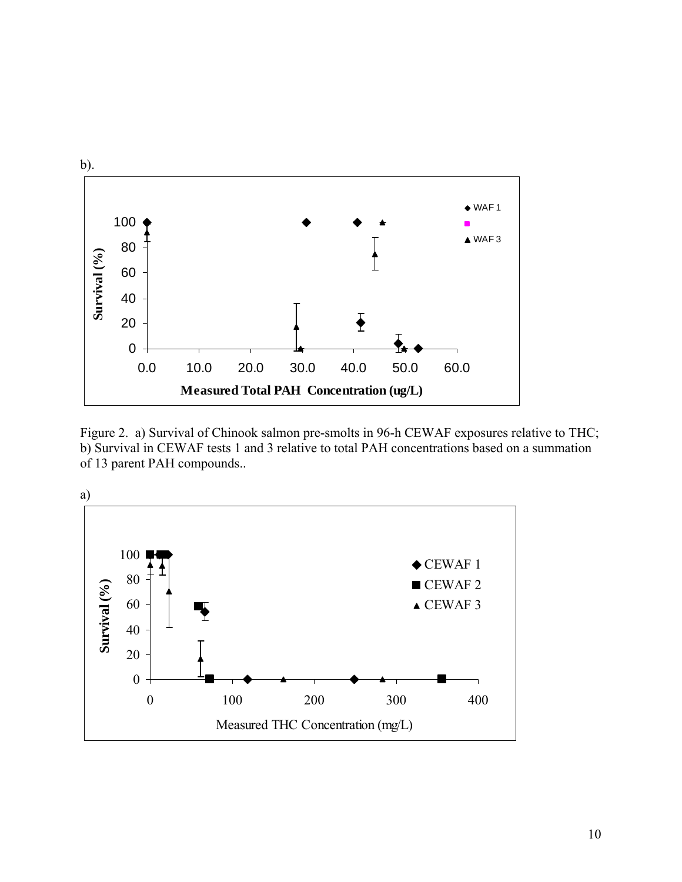

Figure 2. a) Survival of Chinook salmon pre-smolts in 96-h CEWAF exposures relative to THC; b) Survival in CEWAF tests 1 and 3 relative to total PAH concentrations based on a summation of 13 parent PAH compounds..

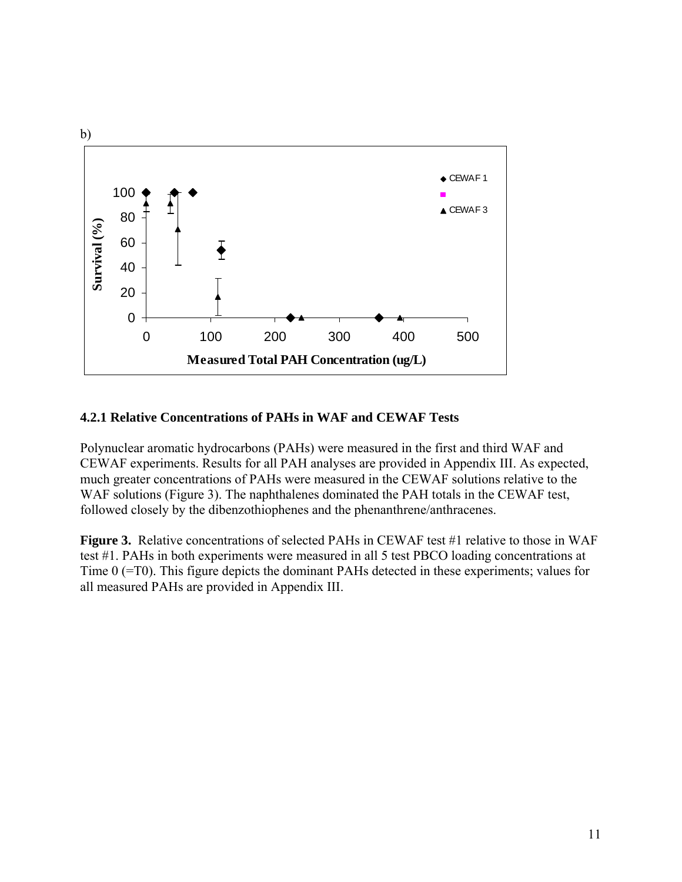

### **4.2.1 Relative Concentrations of PAHs in WAF and CEWAF Tests**

Polynuclear aromatic hydrocarbons (PAHs) were measured in the first and third WAF and CEWAF experiments. Results for all PAH analyses are provided in Appendix III. As expected, much greater concentrations of PAHs were measured in the CEWAF solutions relative to the WAF solutions (Figure 3). The naphthalenes dominated the PAH totals in the CEWAF test, followed closely by the dibenzothiophenes and the phenanthrene/anthracenes.

**Figure 3.** Relative concentrations of selected PAHs in CEWAF test #1 relative to those in WAF test #1. PAHs in both experiments were measured in all 5 test PBCO loading concentrations at Time 0 (=T0). This figure depicts the dominant PAHs detected in these experiments; values for all measured PAHs are provided in Appendix III.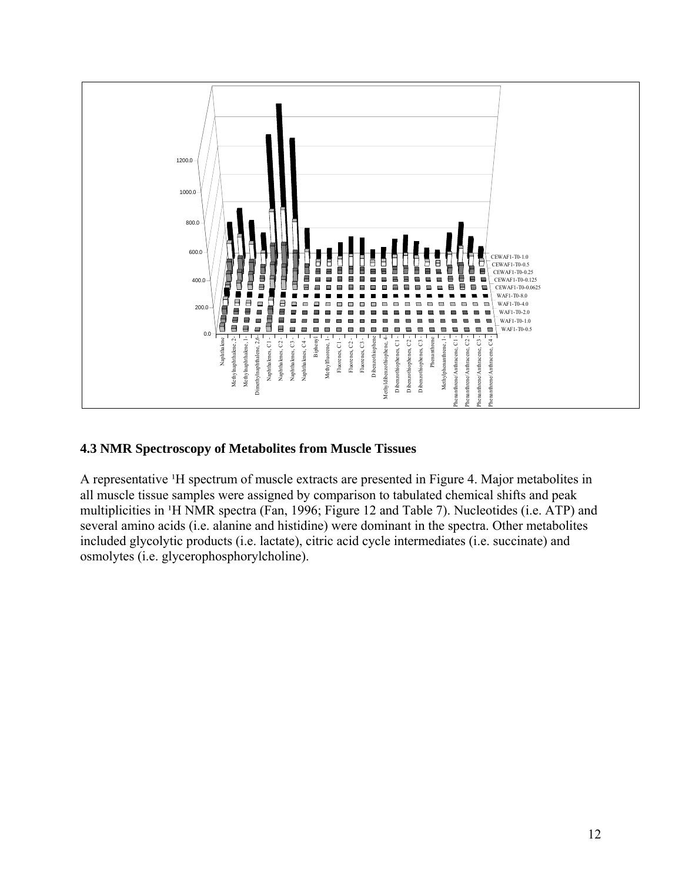

# **4.3 NMR Spectroscopy of Metabolites from Muscle Tissues**

A representative <sup>1</sup>H spectrum of muscle extracts are presented in Figure 4. Major metabolites in all muscle tissue samples were assigned by comparison to tabulated chemical shifts and peak multiplicities in <sup>1</sup>H NMR spectra (Fan, 1996; Figure 12 and Table 7). Nucleotides (i.e. ATP) and several amino acids (i.e. alanine and histidine) were dominant in the spectra. Other metabolites included glycolytic products (i.e. lactate), citric acid cycle intermediates (i.e. succinate) and osmolytes (i.e. glycerophosphorylcholine).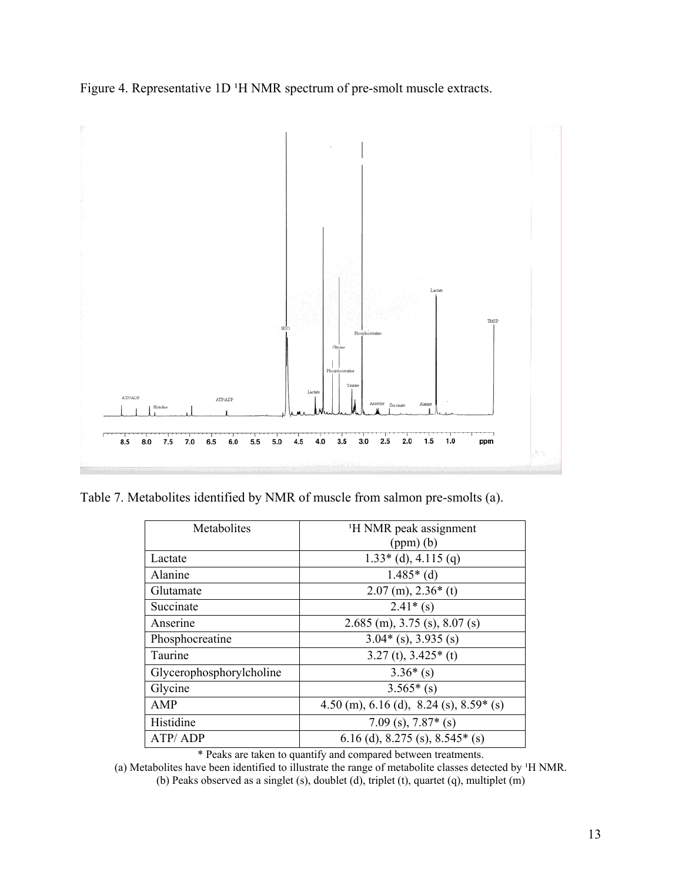Figure 4. Representative 1D <sup>1</sup>H NMR spectrum of pre-smolt muscle extracts.



Table 7. Metabolites identified by NMR of muscle from salmon pre-smolts (a).

| Metabolites              | <sup>1</sup> H NMR peak assignment      |
|--------------------------|-----------------------------------------|
|                          | $(ppm)$ $(b)$                           |
| Lactate                  | $1.33*(d)$ , 4.115 (q)                  |
| Alanine                  | $1.485*(d)$                             |
| Glutamate                | $2.07$ (m), $2.36*$ (t)                 |
| Succinate                | $2.41*(s)$                              |
| Anserine                 | $2.685$ (m), 3.75 (s), 8.07 (s)         |
| Phosphocreatine          | $3.04*(s)$ , 3.935 (s)                  |
| Taurine                  | $3.27$ (t), $3.425*$ (t)                |
| Glycerophosphorylcholine | $3.36*(s)$                              |
| Glycine                  | $3.565*(s)$                             |
| AMP                      | 4.50 (m), 6.16 (d), 8.24 (s), 8.59* (s) |
| Histidine                | 7.09 (s), $7.87*(s)$                    |
| ATP/ADP                  | 6.16 (d), 8.275 (s), 8.545* (s)         |

\* Peaks are taken to quantify and compared between treatments.

(a) Metabolites have been identified to illustrate the range of metabolite classes detected by <sup>1</sup>H NMR.

(b) Peaks observed as a singlet (s), doublet (d), triplet (t), quartet (q), multiplet (m)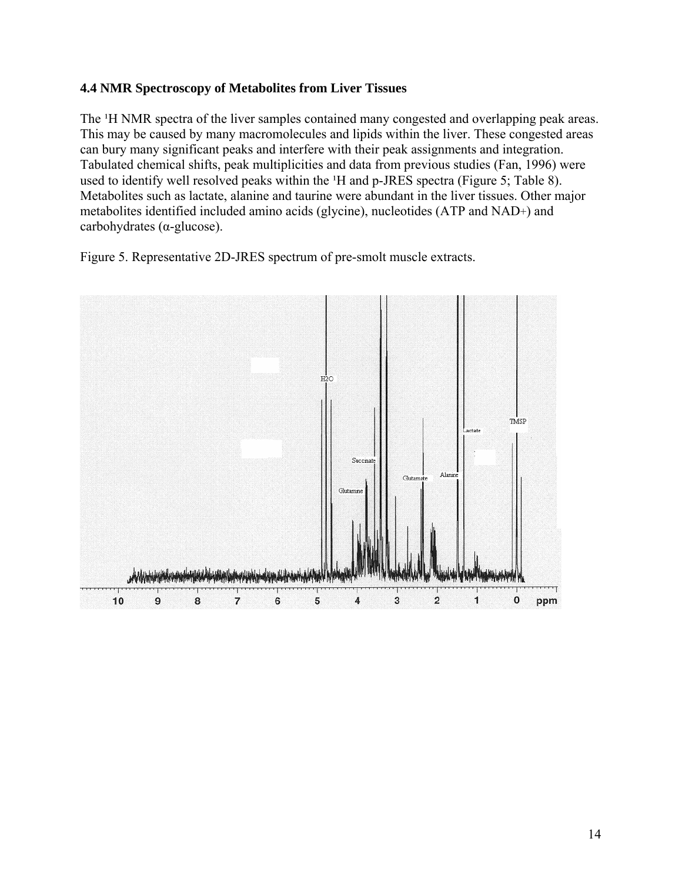# **4.4 NMR Spectroscopy of Metabolites from Liver Tissues**

The <sup>1</sup>H NMR spectra of the liver samples contained many congested and overlapping peak areas. This may be caused by many macromolecules and lipids within the liver. These congested areas can bury many significant peaks and interfere with their peak assignments and integration. Tabulated chemical shifts, peak multiplicities and data from previous studies (Fan, 1996) were used to identify well resolved peaks within the <sup>1</sup>H and p-JRES spectra (Figure 5; Table 8). Metabolites such as lactate, alanine and taurine were abundant in the liver tissues. Other major metabolites identified included amino acids (glycine), nucleotides (ATP and NAD+) and carbohydrates (α-glucose).

Figure 5. Representative 2D-JRES spectrum of pre-smolt muscle extracts.

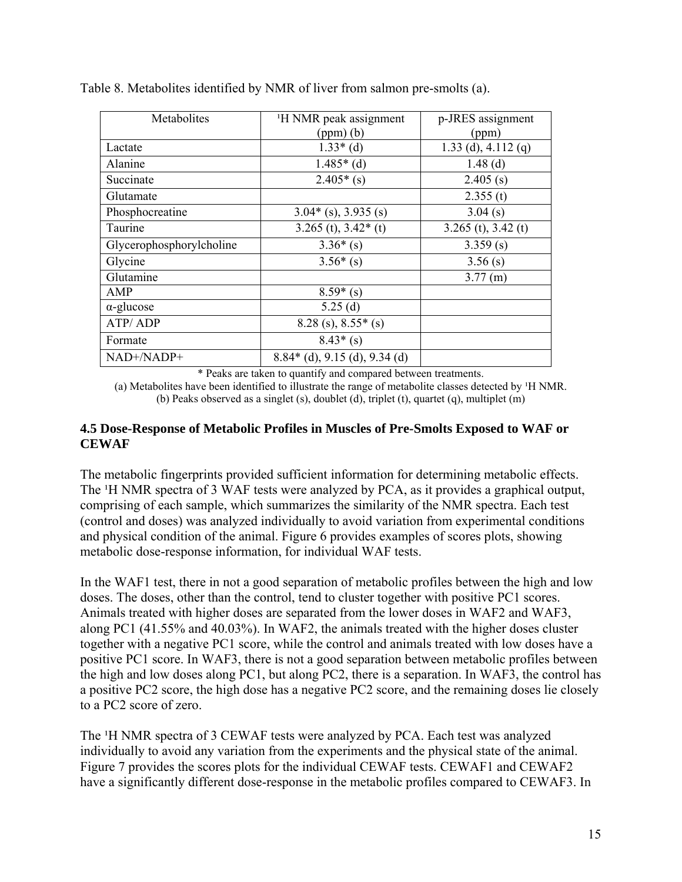| Metabolites              | <sup>1</sup> H NMR peak assignment | p-JRES assignment       |
|--------------------------|------------------------------------|-------------------------|
|                          | $(ppm)$ $(b)$                      | (ppm)                   |
| Lactate                  | $1.33*(d)$                         | 1.33 (d), 4.112 (q)     |
| Alanine                  | $1.485*(d)$                        | $1.48$ (d)              |
| Succinate                | $2.405*(s)$                        | $2.405$ (s)             |
| Glutamate                |                                    | 2.355(t)                |
| Phosphocreatine          | $3.04*(s)$ , 3.935 (s)             | 3.04(s)                 |
| Taurine                  | $3.265$ (t), $3.42*$ (t)           | $3.265$ (t), $3.42$ (t) |
| Glycerophosphorylcholine | $3.36*(s)$                         | 3.359(s)                |
| Glycine                  | $3.56*(s)$                         | 3.56(s)                 |
| Glutamine                |                                    | $3.77$ (m)              |
| AMP                      | $8.59*(s)$                         |                         |
| $\alpha$ -glucose        | 5.25(d)                            |                         |
| ATP/ADP                  | $8.28$ (s), $8.55*(s)$             |                         |
| Formate                  | $8.43*(s)$                         |                         |
| NAD+/NADP+               | $8.84*(d)$ , 9.15 (d), 9.34 (d)    |                         |

Table 8. Metabolites identified by NMR of liver from salmon pre-smolts (a).

\* Peaks are taken to quantify and compared between treatments.

(a) Metabolites have been identified to illustrate the range of metabolite classes detected by  $H NMR$ . (b) Peaks observed as a singlet (s), doublet (d), triplet (t), quartet (q), multiplet (m)

### **4.5 Dose-Response of Metabolic Profiles in Muscles of Pre-Smolts Exposed to WAF or CEWAF**

The metabolic fingerprints provided sufficient information for determining metabolic effects. The <sup>1</sup>H NMR spectra of 3 WAF tests were analyzed by PCA, as it provides a graphical output, comprising of each sample, which summarizes the similarity of the NMR spectra. Each test (control and doses) was analyzed individually to avoid variation from experimental conditions and physical condition of the animal. Figure 6 provides examples of scores plots, showing metabolic dose-response information, for individual WAF tests.

In the WAF1 test, there in not a good separation of metabolic profiles between the high and low doses. The doses, other than the control, tend to cluster together with positive PC1 scores. Animals treated with higher doses are separated from the lower doses in WAF2 and WAF3, along PC1 (41.55% and 40.03%). In WAF2, the animals treated with the higher doses cluster together with a negative PC1 score, while the control and animals treated with low doses have a positive PC1 score. In WAF3, there is not a good separation between metabolic profiles between the high and low doses along PC1, but along PC2, there is a separation. In WAF3, the control has a positive PC2 score, the high dose has a negative PC2 score, and the remaining doses lie closely to a PC2 score of zero.

The <sup>1</sup>H NMR spectra of 3 CEWAF tests were analyzed by PCA. Each test was analyzed individually to avoid any variation from the experiments and the physical state of the animal. Figure 7 provides the scores plots for the individual CEWAF tests. CEWAF1 and CEWAF2 have a significantly different dose-response in the metabolic profiles compared to CEWAF3. In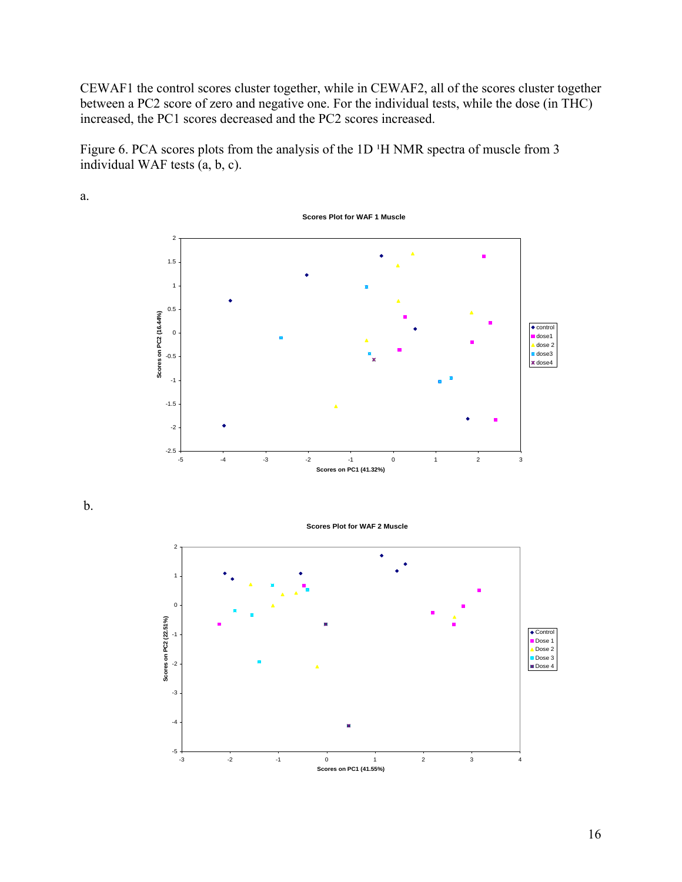CEWAF1 the control scores cluster together, while in CEWAF2, all of the scores cluster together between a PC2 score of zero and negative one. For the individual tests, while the dose (in THC) increased, the PC1 scores decreased and the PC2 scores increased.

Figure 6. PCA scores plots from the analysis of the 1D <sup>1</sup>H NMR spectra of muscle from 3 individual WAF tests (a, b, c).



a.

b.

**Scores Plot for WAF 2 Muscle**

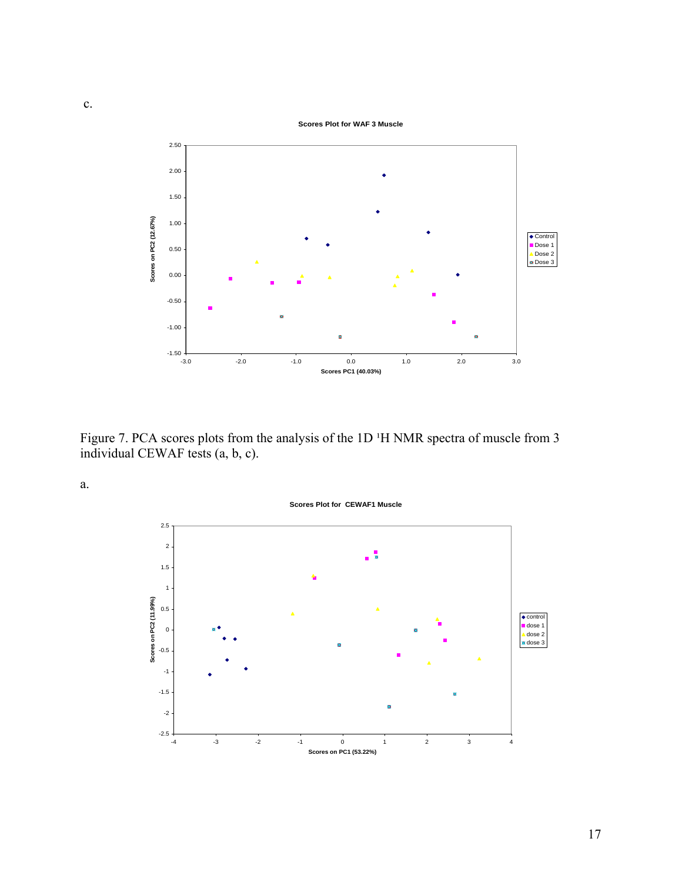

Figure 7. PCA scores plots from the analysis of the 1D <sup>1</sup>H NMR spectra of muscle from 3 individual CEWAF tests (a, b, c).

a.

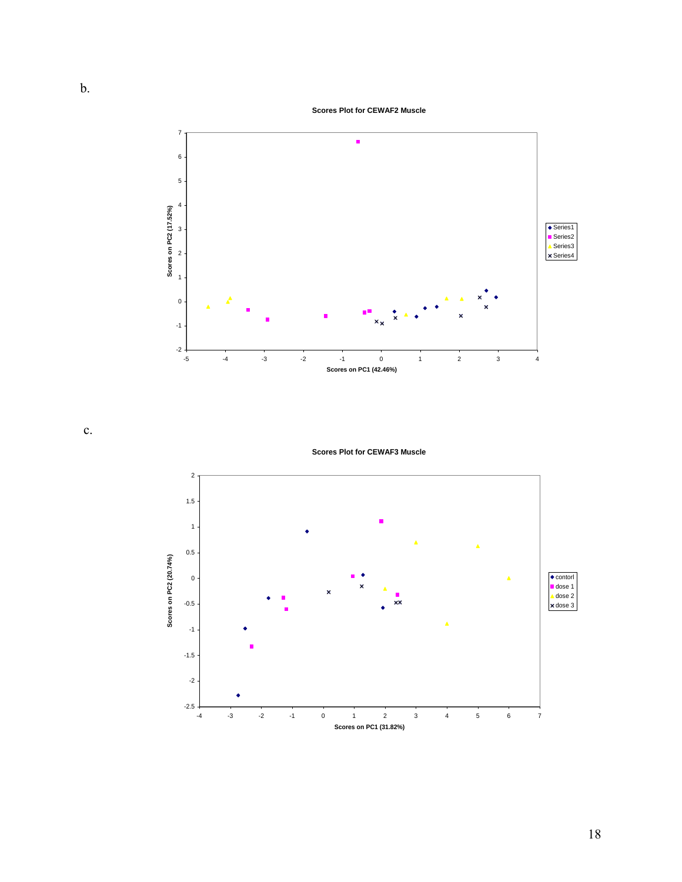**Scores Plot for CEWAF2 Muscle**



c.

**Scores Plot for CEWAF3 Muscle**

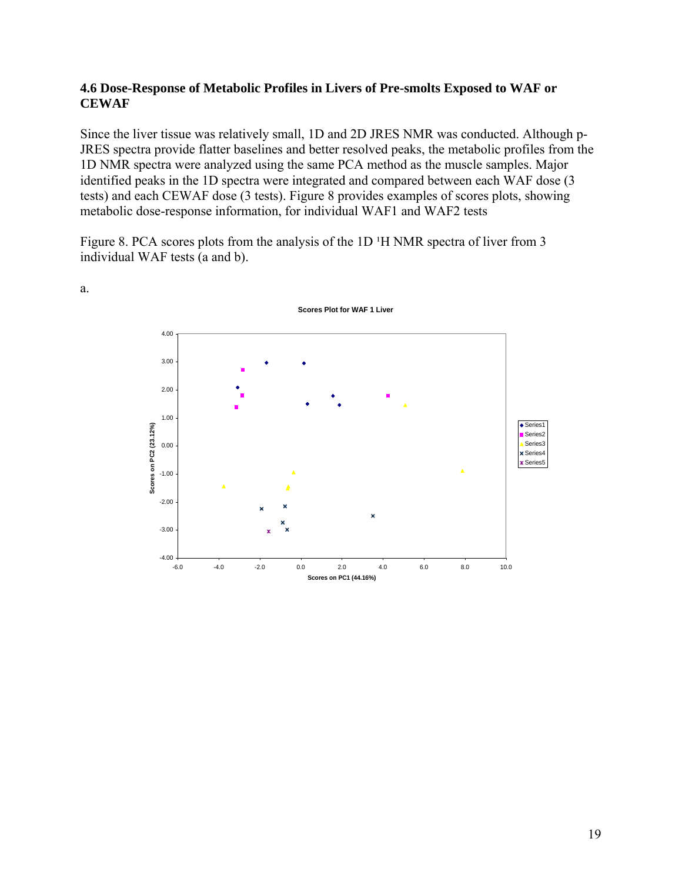## **4.6 Dose-Response of Metabolic Profiles in Livers of Pre-smolts Exposed to WAF or CEWAF**

Since the liver tissue was relatively small, 1D and 2D JRES NMR was conducted. Although p-JRES spectra provide flatter baselines and better resolved peaks, the metabolic profiles from the 1D NMR spectra were analyzed using the same PCA method as the muscle samples. Major identified peaks in the 1D spectra were integrated and compared between each WAF dose (3 tests) and each CEWAF dose (3 tests). Figure 8 provides examples of scores plots, showing metabolic dose-response information, for individual WAF1 and WAF2 tests

Figure 8. PCA scores plots from the analysis of the 1D <sup>1</sup>H NMR spectra of liver from 3 individual WAF tests (a and b).



a.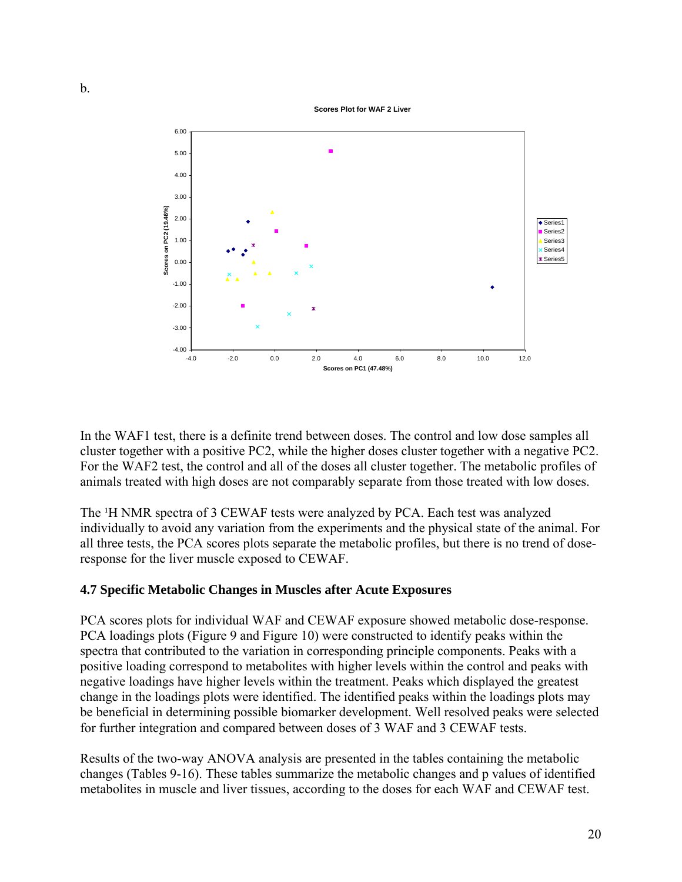**Scores Plot for WAF 2 Liver**



In the WAF1 test, there is a definite trend between doses. The control and low dose samples all cluster together with a positive PC2, while the higher doses cluster together with a negative PC2. For the WAF2 test, the control and all of the doses all cluster together. The metabolic profiles of animals treated with high doses are not comparably separate from those treated with low doses.

The <sup>1</sup>H NMR spectra of 3 CEWAF tests were analyzed by PCA. Each test was analyzed individually to avoid any variation from the experiments and the physical state of the animal. For all three tests, the PCA scores plots separate the metabolic profiles, but there is no trend of doseresponse for the liver muscle exposed to CEWAF.

# **4.7 Specific Metabolic Changes in Muscles after Acute Exposures**

PCA scores plots for individual WAF and CEWAF exposure showed metabolic dose-response. PCA loadings plots (Figure 9 and Figure 10) were constructed to identify peaks within the spectra that contributed to the variation in corresponding principle components. Peaks with a positive loading correspond to metabolites with higher levels within the control and peaks with negative loadings have higher levels within the treatment. Peaks which displayed the greatest change in the loadings plots were identified. The identified peaks within the loadings plots may be beneficial in determining possible biomarker development. Well resolved peaks were selected for further integration and compared between doses of 3 WAF and 3 CEWAF tests.

Results of the two-way ANOVA analysis are presented in the tables containing the metabolic changes (Tables 9-16). These tables summarize the metabolic changes and p values of identified metabolites in muscle and liver tissues, according to the doses for each WAF and CEWAF test.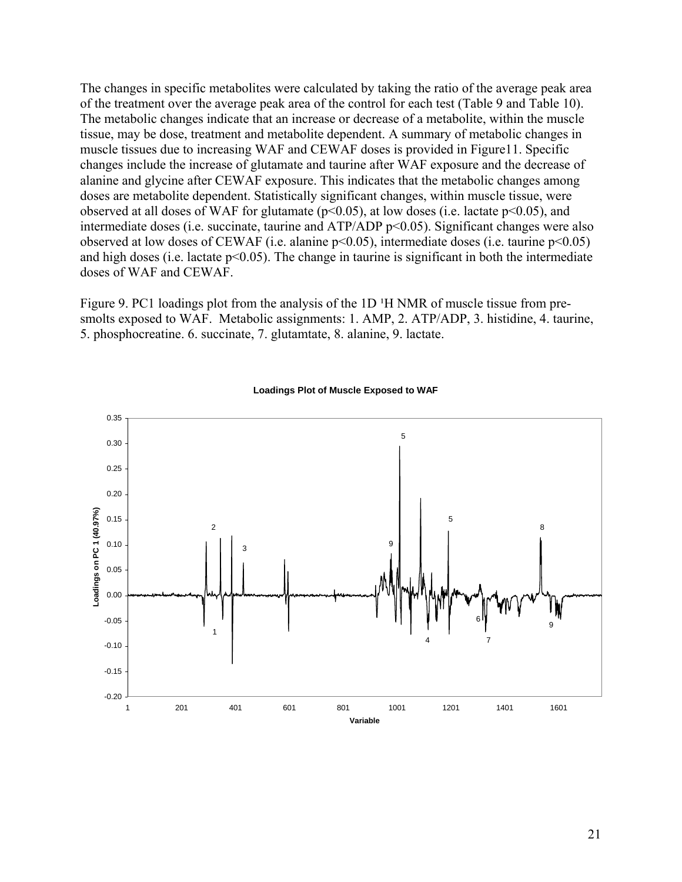The changes in specific metabolites were calculated by taking the ratio of the average peak area of the treatment over the average peak area of the control for each test (Table 9 and Table 10). The metabolic changes indicate that an increase or decrease of a metabolite, within the muscle tissue, may be dose, treatment and metabolite dependent. A summary of metabolic changes in muscle tissues due to increasing WAF and CEWAF doses is provided in Figure11. Specific changes include the increase of glutamate and taurine after WAF exposure and the decrease of alanine and glycine after CEWAF exposure. This indicates that the metabolic changes among doses are metabolite dependent. Statistically significant changes, within muscle tissue, were observed at all doses of WAF for glutamate ( $p<0.05$ ), at low doses (i.e. lactate  $p<0.05$ ), and intermediate doses (i.e. succinate, taurine and ATP/ADP p<0.05). Significant changes were also observed at low doses of CEWAF (i.e. alanine p<0.05), intermediate doses (i.e. taurine p<0.05) and high doses (i.e. lactate  $p<0.05$ ). The change in taurine is significant in both the intermediate doses of WAF and CEWAF.

Figure 9. PC1 loadings plot from the analysis of the 1D <sup>1</sup>H NMR of muscle tissue from presmolts exposed to WAF. Metabolic assignments: 1. AMP, 2. ATP/ADP, 3. histidine, 4. taurine, 5. phosphocreatine. 6. succinate, 7. glutamtate, 8. alanine, 9. lactate.



#### **Loadings Plot of Muscle Exposed to WAF**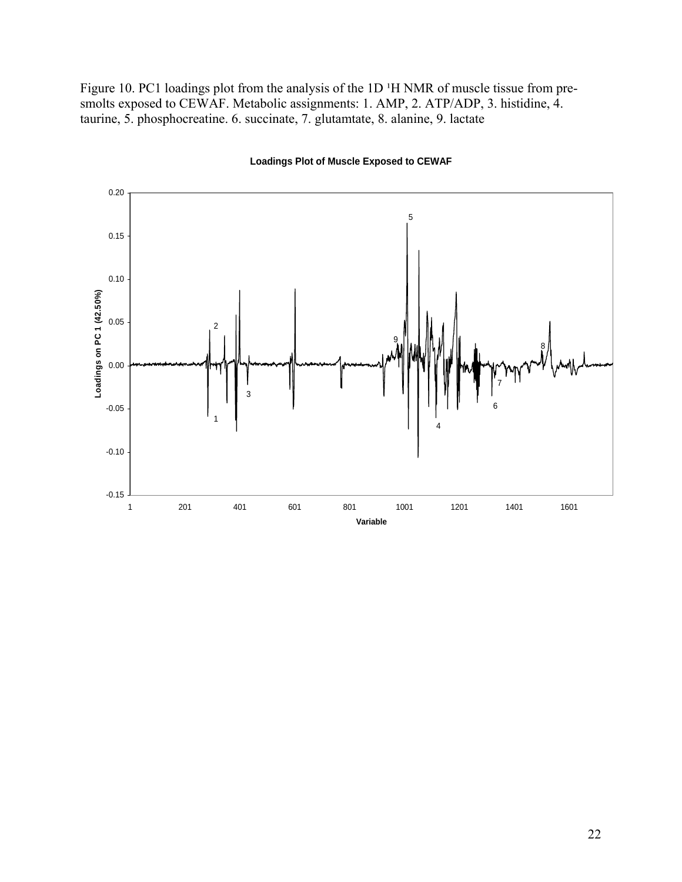Figure 10. PC1 loadings plot from the analysis of the 1D <sup>1</sup>H NMR of muscle tissue from presmolts exposed to CEWAF. Metabolic assignments: 1. AMP, 2. ATP/ADP, 3. histidine, 4. taurine, 5. phosphocreatine. 6. succinate, 7. glutamtate, 8. alanine, 9. lactate



#### **Loadings Plot of Muscle Exposed to CEWAF**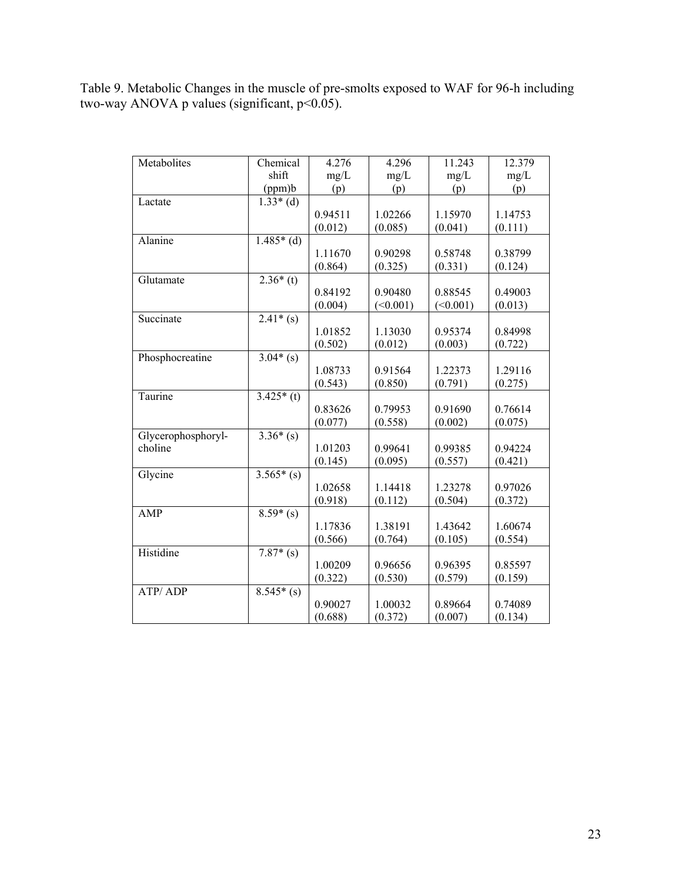Table 9. Metabolic Changes in the muscle of pre-smolts exposed to WAF for 96-h including two-way ANOVA p values (significant, p<0.05).

| Metabolites        | Chemical    | 4.276   | 4.296    | 11.243   | 12.379  |
|--------------------|-------------|---------|----------|----------|---------|
|                    | shift       | mg/L    | mg/L     | mg/L     | mg/L    |
|                    | (ppm)b      | (p)     | (p)      | (p)      | (p)     |
| Lactate            | $1.33*(d)$  |         |          |          |         |
|                    |             | 0.94511 | 1.02266  | 1.15970  | 1.14753 |
|                    |             | (0.012) | (0.085)  | (0.041)  | (0.111) |
| Alanine            | $1.485*(d)$ |         |          |          |         |
|                    |             | 1.11670 | 0.90298  | 0.58748  | 0.38799 |
|                    |             | (0.864) | (0.325)  | (0.331)  | (0.124) |
| Glutamate          | $2.36*(t)$  |         |          |          |         |
|                    |             | 0.84192 | 0.90480  | 0.88545  | 0.49003 |
|                    |             | (0.004) | (<0.001) | (<0.001) | (0.013) |
| Succinate          | $2.41*(s)$  |         |          |          |         |
|                    |             | 1.01852 | 1.13030  | 0.95374  | 0.84998 |
|                    |             | (0.502) | (0.012)  | (0.003)  | (0.722) |
| Phosphocreatine    | $3.04*(s)$  |         |          |          |         |
|                    |             | 1.08733 | 0.91564  | 1.22373  | 1.29116 |
|                    |             | (0.543) | (0.850)  | (0.791)  | (0.275) |
| Taurine            | $3.425*(t)$ |         |          |          |         |
|                    |             | 0.83626 | 0.79953  | 0.91690  | 0.76614 |
|                    |             | (0.077) | (0.558)  | (0.002)  | (0.075) |
| Glycerophosphoryl- | $3.36*(s)$  |         |          |          |         |
| choline            |             | 1.01203 | 0.99641  | 0.99385  | 0.94224 |
|                    |             | (0.145) | (0.095)  | (0.557)  | (0.421) |
| Glycine            | $3.565*(s)$ |         |          |          |         |
|                    |             | 1.02658 | 1.14418  | 1.23278  | 0.97026 |
|                    |             | (0.918) | (0.112)  | (0.504)  | (0.372) |
| <b>AMP</b>         | $8.59*(s)$  |         |          |          |         |
|                    |             | 1.17836 | 1.38191  | 1.43642  | 1.60674 |
|                    |             | (0.566) | (0.764)  | (0.105)  | (0.554) |
| Histidine          | $7.87*(s)$  |         |          |          |         |
|                    |             | 1.00209 | 0.96656  | 0.96395  | 0.85597 |
|                    |             | (0.322) | (0.530)  | (0.579)  | (0.159) |
| ATP/ADP            | $8.545*(s)$ |         |          |          |         |
|                    |             | 0.90027 | 1.00032  | 0.89664  | 0.74089 |
|                    |             | (0.688) | (0.372)  | (0.007)  | (0.134) |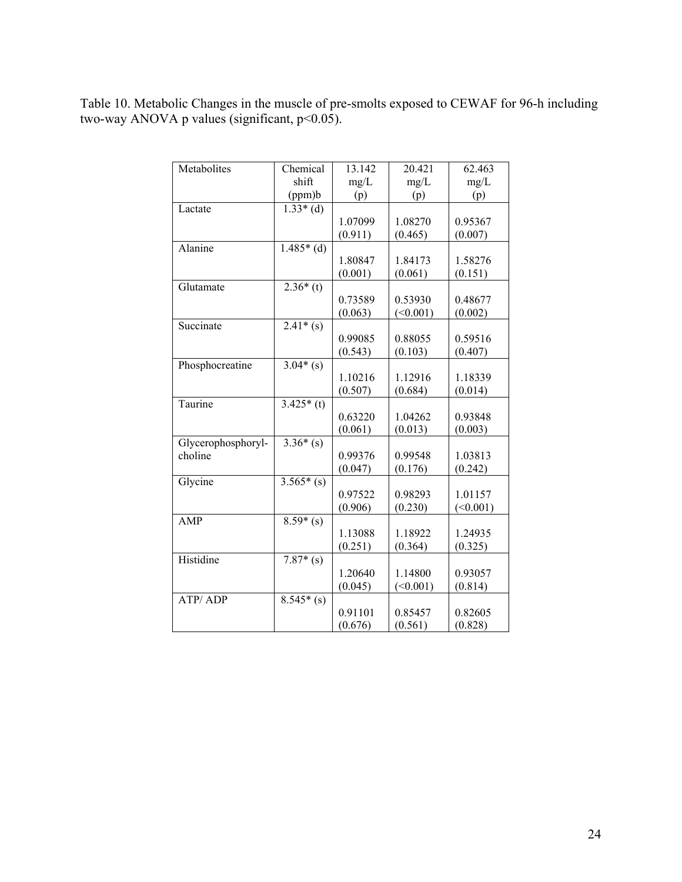Table 10. Metabolic Changes in the muscle of pre-smolts exposed to CEWAF for 96-h including two-way ANOVA p values (significant,  $p$ <0.05).

| Metabolites        | Chemical    | 13.142  | 20.421   | 62.463   |
|--------------------|-------------|---------|----------|----------|
|                    | shift       | mg/L    | mg/L     | mg/L     |
|                    | (ppm)b      | (p)     | (p)      | (p)      |
| Lactate            | $1.33*(d)$  |         |          |          |
|                    |             | 1.07099 | 1.08270  | 0.95367  |
|                    |             | (0.911) | (0.465)  | (0.007)  |
| Alanine            | $1.485*(d)$ |         |          |          |
|                    |             | 1.80847 | 1.84173  | 1.58276  |
|                    |             | (0.001) | (0.061)  | (0.151)  |
| Glutamate          | $2.36*(t)$  |         |          |          |
|                    |             | 0.73589 | 0.53930  | 0.48677  |
|                    |             | (0.063) | (<0.001) | (0.002)  |
| Succinate          | $2.41*(s)$  |         |          |          |
|                    |             | 0.99085 | 0.88055  | 0.59516  |
|                    |             | (0.543) | (0.103)  | (0.407)  |
| Phosphocreatine    | $3.04*(s)$  |         |          |          |
|                    |             | 1.10216 | 1.12916  | 1.18339  |
|                    |             | (0.507) | (0.684)  | (0.014)  |
| Taurine            | $3.425*(t)$ |         |          |          |
|                    |             | 0.63220 | 1.04262  | 0.93848  |
|                    |             | (0.061) | (0.013)  | (0.003)  |
| Glycerophosphoryl- | $3.36*(s)$  |         |          |          |
| choline            |             | 0.99376 | 0.99548  | 1.03813  |
|                    |             | (0.047) | (0.176)  | (0.242)  |
| Glycine            | $3.565*(s)$ |         |          |          |
|                    |             | 0.97522 | 0.98293  | 1.01157  |
|                    |             | (0.906) | (0.230)  | (<0.001) |
| <b>AMP</b>         | $8.59*(s)$  |         |          |          |
|                    |             | 1.13088 | 1.18922  | 1.24935  |
|                    |             | (0.251) | (0.364)  | (0.325)  |
| Histidine          | $7.87*(s)$  |         |          |          |
|                    |             | 1.20640 | 1.14800  | 0.93057  |
|                    |             | (0.045) | (<0.001) | (0.814)  |
| <b>ATP/ADP</b>     | $8.545*(s)$ |         |          |          |
|                    |             | 0.91101 | 0.85457  | 0.82605  |
|                    |             | (0.676) | (0.561)  | (0.828)  |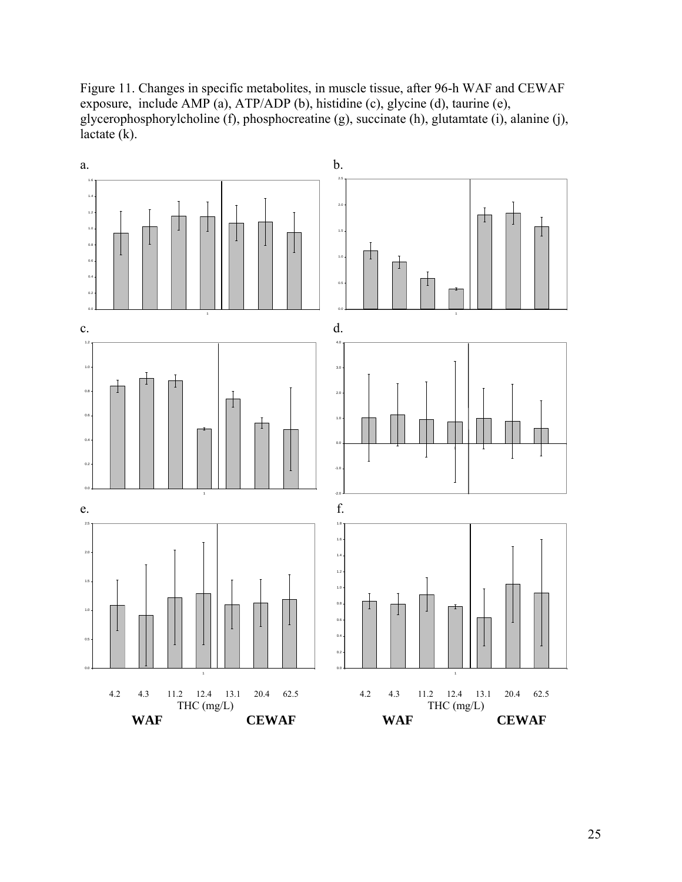Figure 11. Changes in specific metabolites, in muscle tissue, after 96-h WAF and CEWAF exposure, include AMP (a), ATP/ADP (b), histidine (c), glycine (d), taurine (e), glycerophosphorylcholine (f), phosphocreatine (g), succinate (h), glutamtate (i), alanine (j), lactate (k).

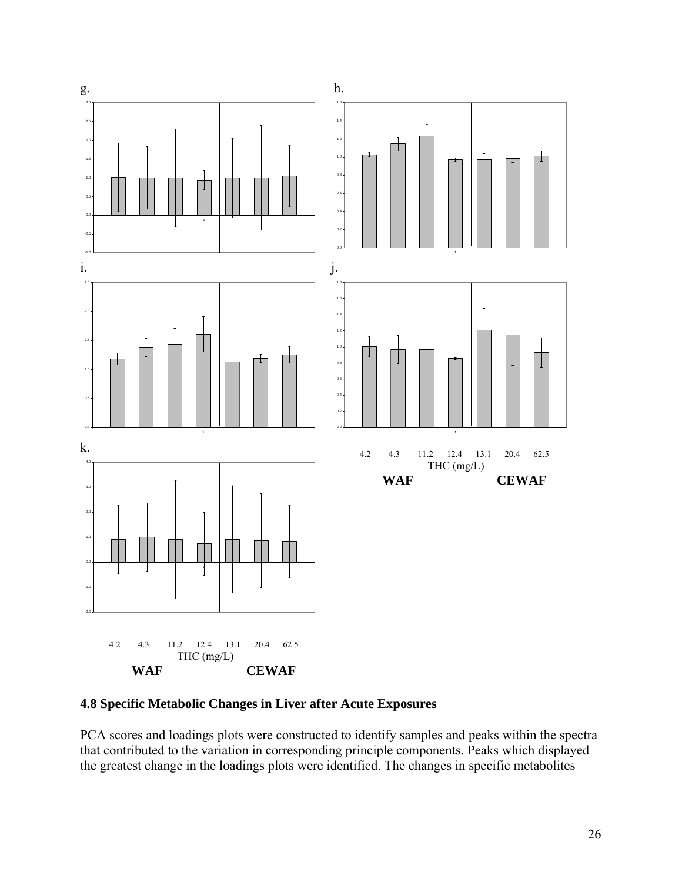

**4.8 Specific Metabolic Changes in Liver after Acute Exposures**

PCA scores and loadings plots were constructed to identify samples and peaks within the spectra that contributed to the variation in corresponding principle components. Peaks which displayed the greatest change in the loadings plots were identified. The changes in specific metabolites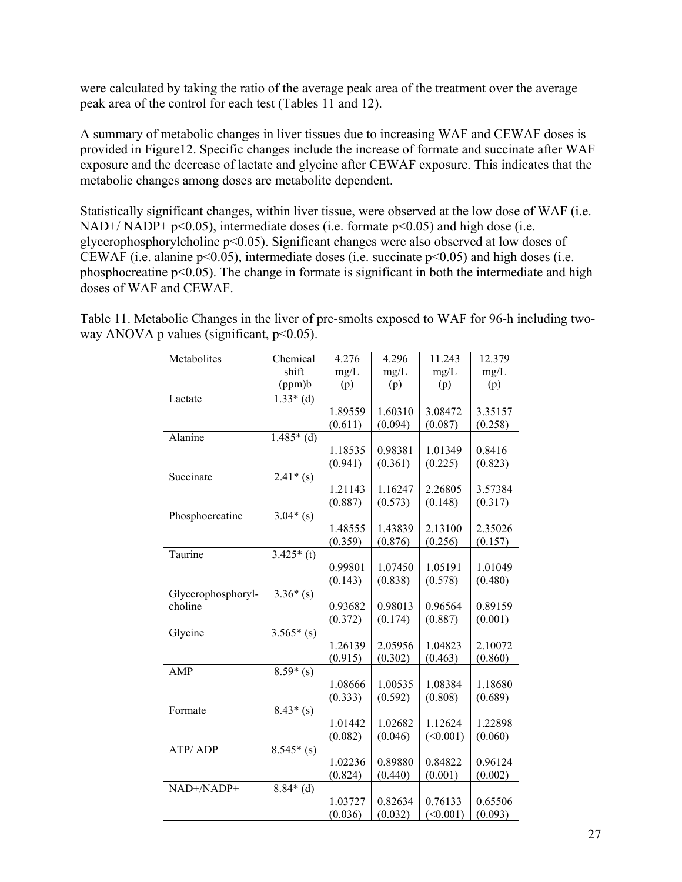were calculated by taking the ratio of the average peak area of the treatment over the average peak area of the control for each test (Tables 11 and 12).

A summary of metabolic changes in liver tissues due to increasing WAF and CEWAF doses is provided in Figure12. Specific changes include the increase of formate and succinate after WAF exposure and the decrease of lactate and glycine after CEWAF exposure. This indicates that the metabolic changes among doses are metabolite dependent.

Statistically significant changes, within liver tissue, were observed at the low dose of WAF (i.e. NAD+/ NADP+  $p<0.05$ ), intermediate doses (i.e. formate  $p<0.05$ ) and high dose (i.e. glycerophosphorylcholine p<0.05). Significant changes were also observed at low doses of CEWAF (i.e. alanine p<0.05), intermediate doses (i.e. succinate p<0.05) and high doses (i.e. phosphocreatine p<0.05). The change in formate is significant in both the intermediate and high doses of WAF and CEWAF.

| Metabolites        | Chemical    | 4.276   | 4.296   | 11.243   | 12.379  |
|--------------------|-------------|---------|---------|----------|---------|
|                    | shift       | mg/L    | mg/L    | mg/L     | mg/L    |
|                    | (ppm)b      | (p)     | (p)     | (p)      | (p)     |
| Lactate            | $1.33*(d)$  |         |         |          |         |
|                    |             | 1.89559 | 1.60310 | 3.08472  | 3.35157 |
|                    |             | (0.611) | (0.094) | (0.087)  | (0.258) |
| Alanine            | $1.485*(d)$ |         |         |          |         |
|                    |             | 1.18535 | 0.98381 | 1.01349  | 0.8416  |
|                    |             | (0.941) | (0.361) | (0.225)  | (0.823) |
| Succinate          | $2.41*(s)$  |         |         |          |         |
|                    |             | 1.21143 | 1.16247 | 2.26805  | 3.57384 |
|                    |             | (0.887) | (0.573) | (0.148)  | (0.317) |
| Phosphocreatine    | $3.04*(s)$  |         |         |          |         |
|                    |             | 1.48555 | 1.43839 | 2.13100  | 2.35026 |
|                    |             | (0.359) | (0.876) | (0.256)  | (0.157) |
| Taurine            | $3.425*(t)$ |         |         |          |         |
|                    |             | 0.99801 | 1.07450 | 1.05191  | 1.01049 |
|                    |             | (0.143) | (0.838) | (0.578)  | (0.480) |
| Glycerophosphoryl- | $3.36*(s)$  |         |         |          |         |
| choline            |             | 0.93682 | 0.98013 | 0.96564  | 0.89159 |
|                    |             | (0.372) | (0.174) | (0.887)  | (0.001) |
| Glycine            | $3.565*(s)$ |         |         |          |         |
|                    |             | 1.26139 | 2.05956 | 1.04823  | 2.10072 |
|                    |             | (0.915) | (0.302) | (0.463)  | (0.860) |
| <b>AMP</b>         | $8.59*(s)$  |         |         |          |         |
|                    |             | 1.08666 | 1.00535 | 1.08384  | 1.18680 |
|                    |             | (0.333) | (0.592) | (0.808)  | (0.689) |
| Formate            | $8.43*(s)$  |         |         |          |         |
|                    |             | 1.01442 | 1.02682 | 1.12624  | 1.22898 |
|                    |             | (0.082) | (0.046) | (<0.001) | (0.060) |
| <b>ATP/ADP</b>     | $8.545*(s)$ |         |         |          |         |
|                    |             | 1.02236 | 0.89880 | 0.84822  | 0.96124 |
|                    |             | (0.824) | (0.440) | (0.001)  | (0.002) |
| NAD+/NADP+         | $8.84*(d)$  |         |         |          |         |
|                    |             | 1.03727 | 0.82634 | 0.76133  | 0.65506 |
|                    |             | (0.036) | (0.032) | (<0.001) | (0.093) |

Table 11. Metabolic Changes in the liver of pre-smolts exposed to WAF for 96-h including twoway ANOVA p values (significant,  $p<0.05$ ).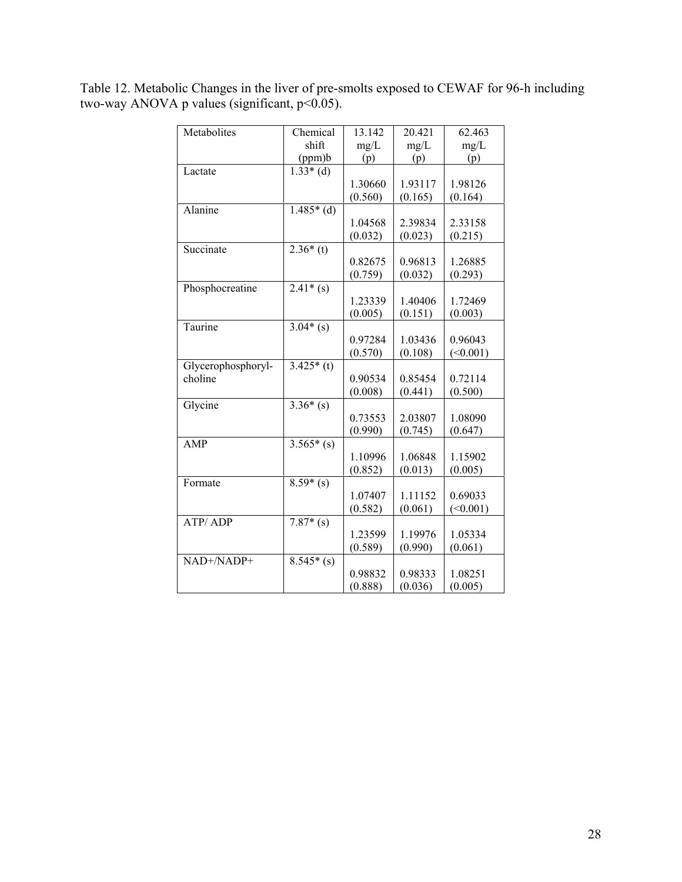Table 12. Metabolic Changes in the liver of pre-smolts exposed to CEWAF for 96-h including two-way ANOVA p values (significant, p<0.05).

| Metabolites        | Chemical    | 13.142  | 20.421  | 62.463   |
|--------------------|-------------|---------|---------|----------|
|                    | shift       | mg/L    | mg/L    | mg/L     |
|                    | (ppm)b      | (p)     | (p)     | (p)      |
| Lactate            | $1.33*(d)$  |         |         |          |
|                    |             | 1.30660 | 1.93117 | 1.98126  |
|                    |             | (0.560) | (0.165) | (0.164)  |
| Alanine            | $1.485*(d)$ |         |         |          |
|                    |             | 1.04568 | 2.39834 | 2.33158  |
|                    |             | (0.032) | (0.023) | (0.215)  |
| Succinate          | $2.36*(t)$  |         |         |          |
|                    |             | 0.82675 | 0.96813 | 1.26885  |
|                    |             | (0.759) | (0.032) | (0.293)  |
| Phosphocreatine    | $2.41*(s)$  |         |         |          |
|                    |             | 1.23339 | 1.40406 | 1.72469  |
|                    |             | (0.005) | (0.151) | (0.003)  |
| Taurine            | $3.04*(s)$  |         |         |          |
|                    |             | 0.97284 | 1.03436 | 0.96043  |
|                    |             | (0.570) | (0.108) | (<0.001) |
| Glycerophosphoryl- | $3.425*(t)$ |         |         |          |
| choline            |             | 0.90534 | 0.85454 | 0.72114  |
|                    |             | (0.008) | (0.441) | (0.500)  |
| Glycine            | $3.36*(s)$  |         |         |          |
|                    |             | 0.73553 | 2.03807 | 1.08090  |
|                    |             | (0.990) | (0.745) | (0.647)  |
| AMP                | $3.565*(s)$ |         |         |          |
|                    |             | 1.10996 | 1.06848 |          |
|                    |             |         |         | 1.15902  |
|                    |             | (0.852) | (0.013) | (0.005)  |
| Formate            | $8.59*(s)$  |         |         |          |
|                    |             | 1.07407 | 1.11152 | 0.69033  |
|                    |             | (0.582) | (0.061) | (<0.001) |
| ATP/ADP            | $7.87*(s)$  |         |         |          |
|                    |             | 1.23599 | 1.19976 | 1.05334  |
|                    |             | (0.589) | (0.990) | (0.061)  |
| NAD+/NADP+         | $8.545*(s)$ |         |         |          |
|                    |             | 0.98832 | 0.98333 | 1.08251  |
|                    |             | (0.888) | (0.036) | (0.005)  |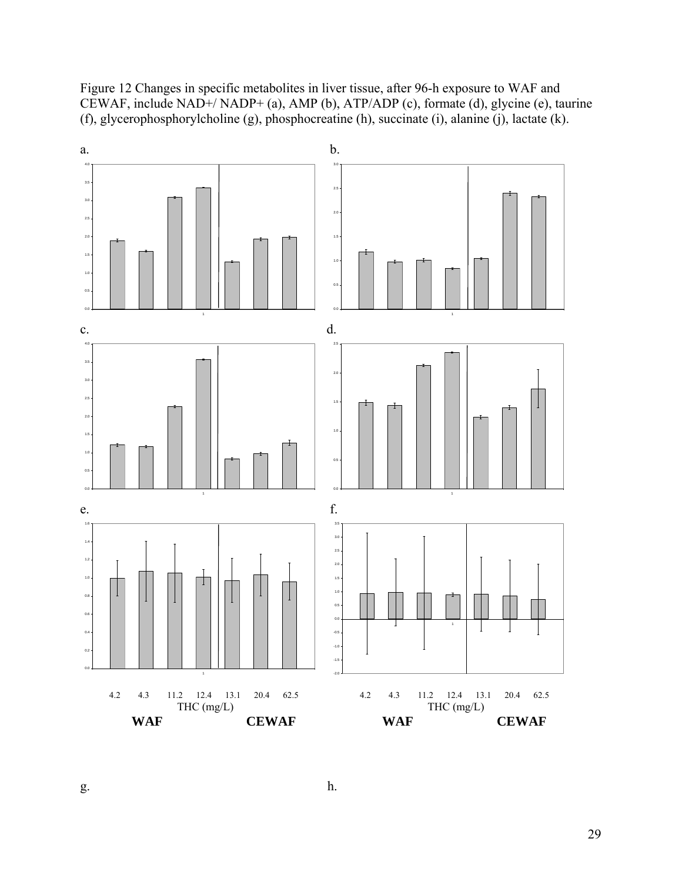Figure 12 Changes in specific metabolites in liver tissue, after 96-h exposure to WAF and CEWAF, include NAD+/ NADP+ (a), AMP (b), ATP/ADP (c), formate (d), glycine (e), taurine (f), glycerophosphorylcholine (g), phosphocreatine (h), succinate (i), alanine (j), lactate (k).



 $g.$  h.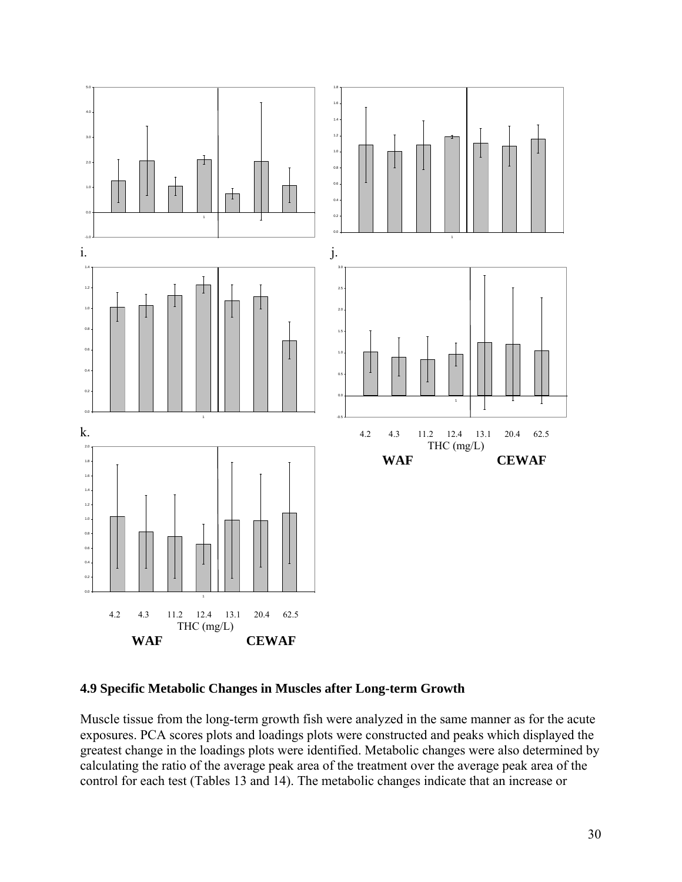

### **4.9 Specific Metabolic Changes in Muscles after Long-term Growth**

Muscle tissue from the long-term growth fish were analyzed in the same manner as for the acute exposures. PCA scores plots and loadings plots were constructed and peaks which displayed the greatest change in the loadings plots were identified. Metabolic changes were also determined by calculating the ratio of the average peak area of the treatment over the average peak area of the control for each test (Tables 13 and 14). The metabolic changes indicate that an increase or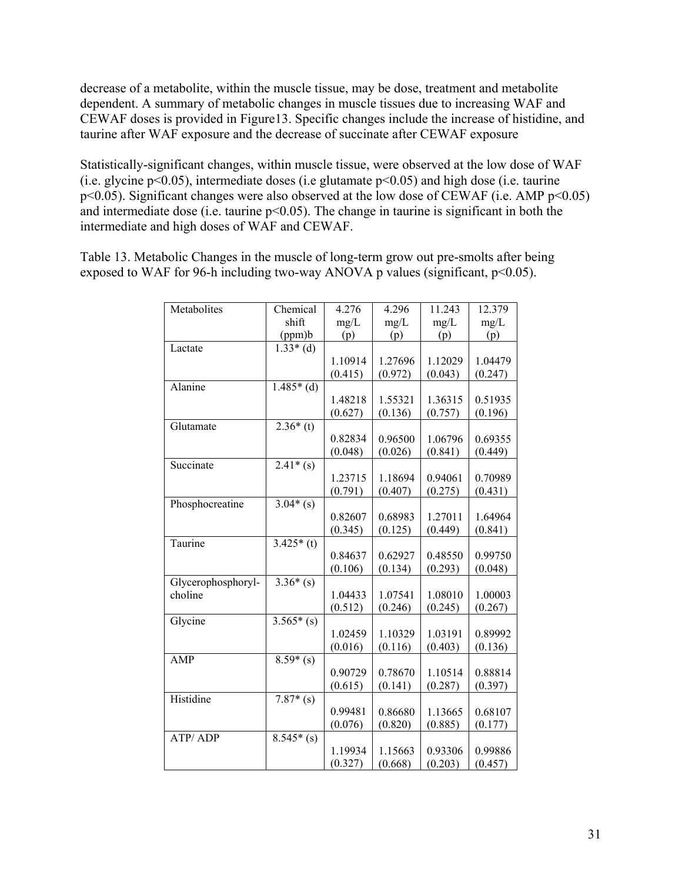decrease of a metabolite, within the muscle tissue, may be dose, treatment and metabolite dependent. A summary of metabolic changes in muscle tissues due to increasing WAF and CEWAF doses is provided in Figure13. Specific changes include the increase of histidine, and taurine after WAF exposure and the decrease of succinate after CEWAF exposure

Statistically-significant changes, within muscle tissue, were observed at the low dose of WAF (i.e. glycine  $p<0.05$ ), intermediate doses (i.e glutamate  $p<0.05$ ) and high dose (i.e. taurine p<0.05). Significant changes were also observed at the low dose of CEWAF (i.e. AMP p<0.05) and intermediate dose (i.e. taurine p<0.05). The change in taurine is significant in both the intermediate and high doses of WAF and CEWAF.

Table 13. Metabolic Changes in the muscle of long-term grow out pre-smolts after being exposed to WAF for 96-h including two-way ANOVA p values (significant,  $p<0.05$ ).

| Metabolites        | Chemical    | 4.276   | 4.296   | 11.243  | 12.379  |
|--------------------|-------------|---------|---------|---------|---------|
|                    | shift       | mg/L    | mg/L    | mg/L    | mg/L    |
|                    | (ppm)b      | (p)     | (p)     | (p)     | (p)     |
| Lactate            | $1.33*(d)$  |         |         |         |         |
|                    |             | 1.10914 | 1.27696 | 1.12029 | 1.04479 |
|                    |             | (0.415) | (0.972) | (0.043) | (0.247) |
| Alanine            | $1.485*(d)$ |         |         |         |         |
|                    |             | 1.48218 | 1.55321 | 1.36315 | 0.51935 |
|                    |             | (0.627) | (0.136) | (0.757) | (0.196) |
| Glutamate          | $2.36*(t)$  |         |         |         |         |
|                    |             | 0.82834 | 0.96500 | 1.06796 | 0.69355 |
|                    |             |         | (0.026) |         |         |
|                    |             | (0.048) |         | (0.841) | (0.449) |
| Succinate          | $2.41*(s)$  |         |         |         |         |
|                    |             | 1.23715 | 1.18694 | 0.94061 | 0.70989 |
|                    |             | (0.791) | (0.407) | (0.275) | (0.431) |
| Phosphocreatine    | $3.04*(s)$  |         |         |         |         |
|                    |             | 0.82607 | 0.68983 | 1.27011 | 1.64964 |
|                    |             | (0.345) | (0.125) | (0.449) | (0.841) |
| Taurine            | $3.425*(t)$ |         |         |         |         |
|                    |             | 0.84637 | 0.62927 | 0.48550 | 0.99750 |
|                    |             | (0.106) | (0.134) | (0.293) | (0.048) |
| Glycerophosphoryl- | $3.36*(s)$  |         |         |         |         |
| choline            |             | 1.04433 | 1.07541 | 1.08010 | 1.00003 |
|                    |             | (0.512) | (0.246) | (0.245) | (0.267) |
| Glycine            | $3.565*(s)$ |         |         |         |         |
|                    |             | 1.02459 | 1.10329 | 1.03191 | 0.89992 |
|                    |             | (0.016) | (0.116) | (0.403) | (0.136) |
| <b>AMP</b>         | $8.59*(s)$  |         |         |         |         |
|                    |             | 0.90729 | 0.78670 | 1.10514 | 0.88814 |
|                    |             | (0.615) | (0.141) | (0.287) | (0.397) |
| Histidine          | $7.87*(s)$  |         |         |         |         |
|                    |             | 0.99481 | 0.86680 | 1.13665 | 0.68107 |
|                    |             | (0.076) | (0.820) | (0.885) | (0.177) |
| <b>ATP/ADP</b>     | $8.545*(s)$ |         |         |         |         |
|                    |             | 1.19934 | 1.15663 | 0.93306 | 0.99886 |
|                    |             | (0.327) | (0.668) | (0.203) | (0.457) |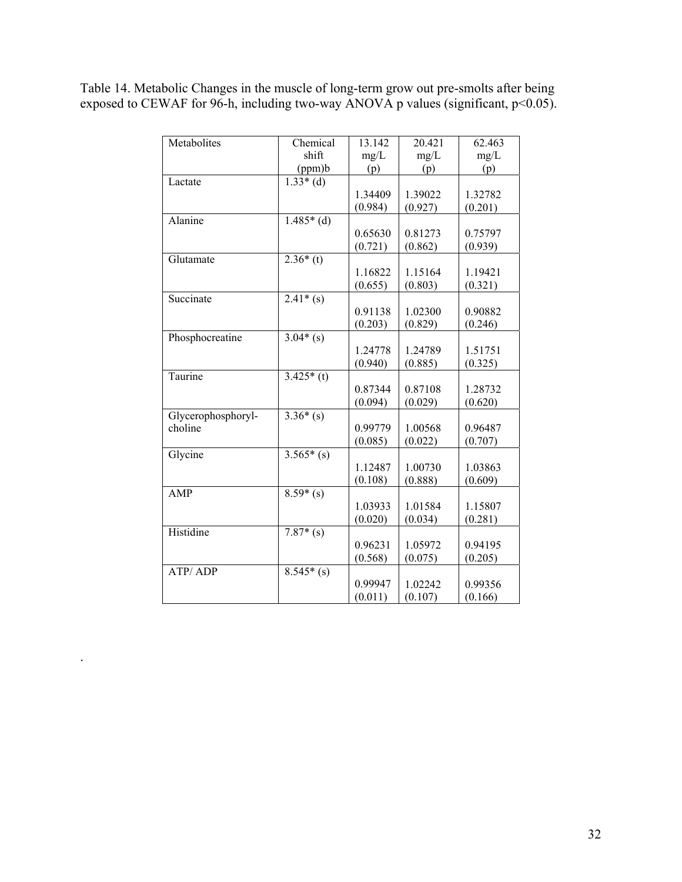Table 14. Metabolic Changes in the muscle of long-term grow out pre-smolts after being exposed to CEWAF for 96-h, including two-way ANOVA p values (significant, p<0.05).

| Metabolites           | Chemical             | 13.142  | 20.421  | 62.463  |
|-----------------------|----------------------|---------|---------|---------|
|                       | shift                | mg/L    | mg/L    | mg/L    |
|                       | (ppm)b               | (p)     | (p)     | (p)     |
| Lactate               | $1.33*(d)$           |         |         |         |
|                       |                      | 1.34409 | 1.39022 | 1.32782 |
|                       |                      | (0.984) | (0.927) | (0.201) |
| $\overline{A}$ lanine | $1.485*(d)$          |         |         |         |
|                       |                      | 0.65630 | 0.81273 | 0.75797 |
|                       |                      | (0.721) | (0.862) | (0.939) |
| Glutamate             | $2.36*(t)$           |         |         |         |
|                       |                      | 1.16822 | 1.15164 | 1.19421 |
|                       |                      | (0.655) | (0.803) | (0.321) |
| Succinate             | $2.41*(s)$           |         |         |         |
|                       |                      | 0.91138 | 1.02300 | 0.90882 |
|                       |                      | (0.203) | (0.829) | (0.246) |
| Phosphocreatine       | $3.04*(s)$           |         |         |         |
|                       |                      | 1.24778 | 1.24789 | 1.51751 |
|                       |                      | (0.940) | (0.885) | (0.325) |
| Taurine               | $3.425*(t)$          |         |         |         |
|                       |                      | 0.87344 | 0.87108 | 1.28732 |
|                       |                      | (0.094) | (0.029) | (0.620) |
| Glycerophosphoryl-    | $3.36*(s)$           |         |         |         |
| choline               |                      | 0.99779 | 1.00568 | 0.96487 |
|                       |                      | (0.085) | (0.022) | (0.707) |
| Glycine               | $3.565*(s)$          |         |         |         |
|                       |                      | 1.12487 | 1.00730 | 1.03863 |
|                       |                      | (0.108) | (0.888) | (0.609) |
| <b>AMP</b>            | $\frac{8.59}{*}$ (s) |         |         |         |
|                       |                      | 1.03933 | 1.01584 | 1.15807 |
|                       |                      | (0.020) | (0.034) | (0.281) |
| Histidine             | $7.87*(s)$           |         |         |         |
|                       |                      | 0.96231 | 1.05972 | 0.94195 |
|                       |                      | (0.568) | (0.075) | (0.205) |
| ATP/ADP               | $8.545*(s)$          |         |         |         |
|                       |                      | 0.99947 | 1.02242 | 0.99356 |
|                       |                      | (0.011) | (0.107) | (0.166) |

.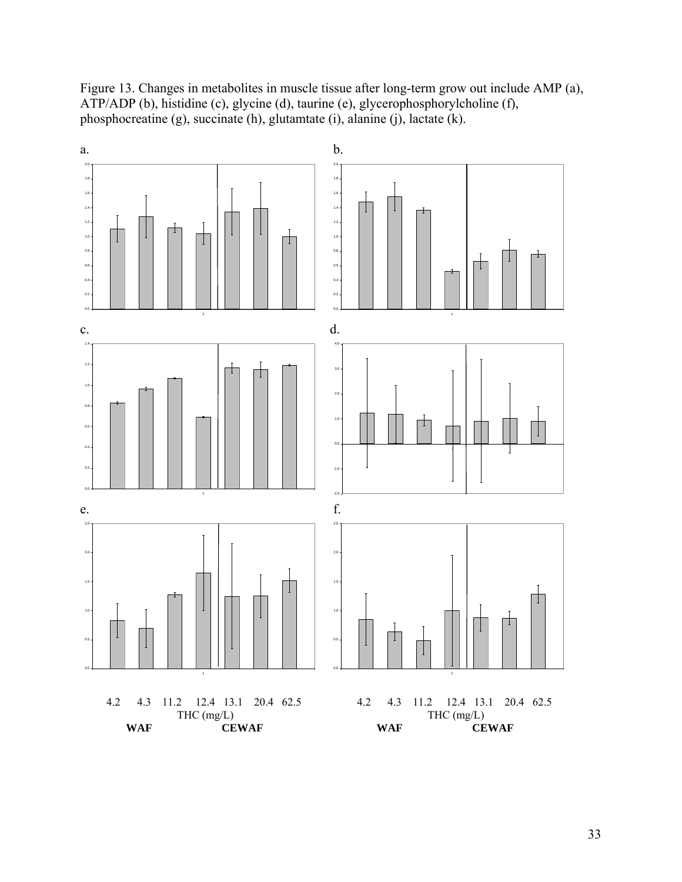Figure 13. Changes in metabolites in muscle tissue after long-term grow out include AMP (a), ATP/ADP (b), histidine (c), glycine (d), taurine (e), glycerophosphorylcholine (f), phosphocreatine (g), succinate (h), glutamtate (i), alanine (j), lactate (k).

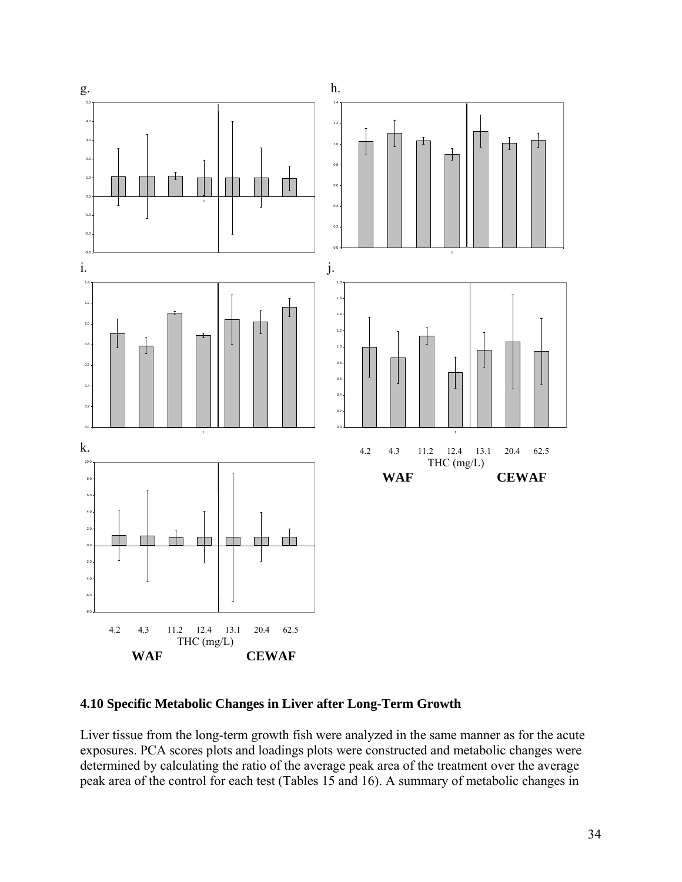

## **4.10 Specific Metabolic Changes in Liver after Long-Term Growth**

Liver tissue from the long-term growth fish were analyzed in the same manner as for the acute exposures. PCA scores plots and loadings plots were constructed and metabolic changes were determined by calculating the ratio of the average peak area of the treatment over the average peak area of the control for each test (Tables 15 and 16). A summary of metabolic changes in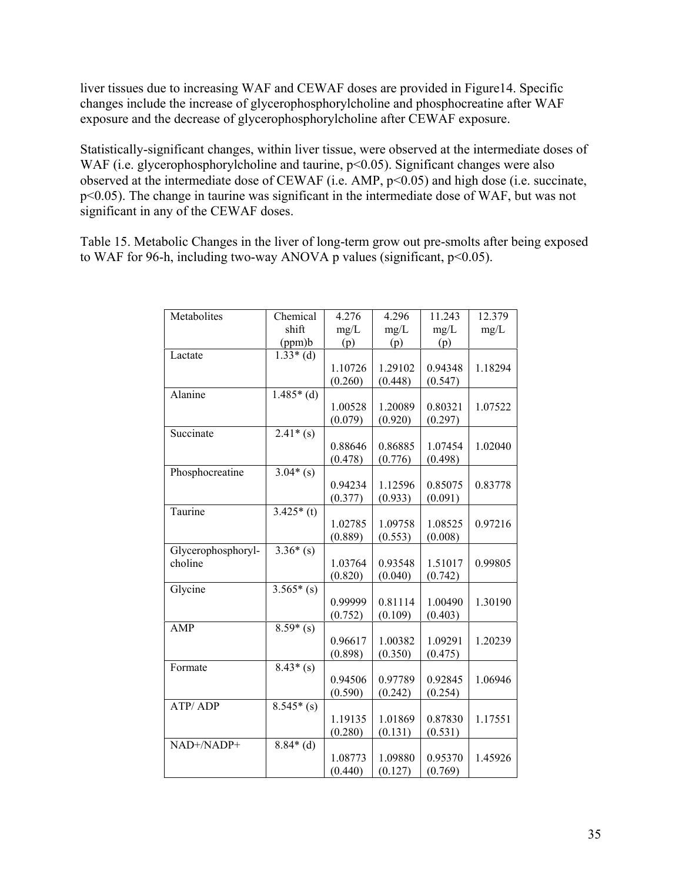liver tissues due to increasing WAF and CEWAF doses are provided in Figure14. Specific changes include the increase of glycerophosphorylcholine and phosphocreatine after WAF exposure and the decrease of glycerophosphorylcholine after CEWAF exposure.

Statistically-significant changes, within liver tissue, were observed at the intermediate doses of WAF (i.e. glycerophosphorylcholine and taurine, p<0.05). Significant changes were also observed at the intermediate dose of CEWAF (i.e. AMP, p<0.05) and high dose (i.e. succinate, p<0.05). The change in taurine was significant in the intermediate dose of WAF, but was not significant in any of the CEWAF doses.

Table 15. Metabolic Changes in the liver of long-term grow out pre-smolts after being exposed to WAF for 96-h, including two-way ANOVA p values (significant,  $p<0.05$ ).

| Metabolites        | Chemical           | 4.276   | 4.296   | 11.243  | 12.379  |
|--------------------|--------------------|---------|---------|---------|---------|
|                    | shift              | mg/L    | mg/L    | mg/L    | mg/L    |
|                    | (ppm)b             | (p)     | (p)     | (p)     |         |
| Lactate            | $1.33*(d)$         |         |         |         |         |
|                    |                    | 1.10726 | 1.29102 | 0.94348 | 1.18294 |
|                    |                    | (0.260) | (0.448) | (0.547) |         |
| Alanine            | $1.485*(d)$        |         |         |         |         |
|                    |                    | 1.00528 | 1.20089 | 0.80321 | 1.07522 |
|                    |                    | (0.079) | (0.920) | (0.297) |         |
| Succinate          | $2.41*(s)$         |         |         |         |         |
|                    |                    | 0.88646 | 0.86885 | 1.07454 | 1.02040 |
|                    |                    | (0.478) | (0.776) | (0.498) |         |
| Phosphocreatine    | $3.04*(s)$         |         |         |         |         |
|                    |                    | 0.94234 | 1.12596 | 0.85075 | 0.83778 |
|                    |                    | (0.377) | (0.933) | (0.091) |         |
| Taurine            | $3.425*$ (t)       |         |         |         |         |
|                    |                    | 1.02785 | 1.09758 | 1.08525 | 0.97216 |
|                    |                    | (0.889) | (0.553) | (0.008) |         |
| Glycerophosphoryl- | $3.36*(s)$         |         |         |         |         |
| choline            |                    | 1.03764 | 0.93548 | 1.51017 | 0.99805 |
|                    |                    | (0.820) | (0.040) | (0.742) |         |
| Glycine            | $3.565*(s)$        |         |         |         |         |
|                    |                    | 0.99999 | 0.81114 | 1.00490 | 1.30190 |
|                    |                    | (0.752) | (0.109) | (0.403) |         |
| AMP                | $8.59*(s)$         |         |         |         |         |
|                    |                    | 0.96617 | 1.00382 | 1.09291 | 1.20239 |
|                    |                    | (0.898) | (0.350) | (0.475) |         |
| Formate            | $\sqrt{8.43*}$ (s) |         |         |         |         |
|                    |                    | 0.94506 | 0.97789 | 0.92845 | 1.06946 |
|                    |                    | (0.590) | (0.242) | (0.254) |         |
| <b>ATP/ADP</b>     | $8.545*(s)$        |         |         |         |         |
|                    |                    | 1.19135 | 1.01869 | 0.87830 | 1.17551 |
|                    |                    | (0.280) | (0.131) | (0.531) |         |
| NAD+/NADP+         | $8.84*(d)$         |         |         |         |         |
|                    |                    | 1.08773 | 1.09880 | 0.95370 | 1.45926 |
|                    |                    | (0.440) | (0.127) | (0.769) |         |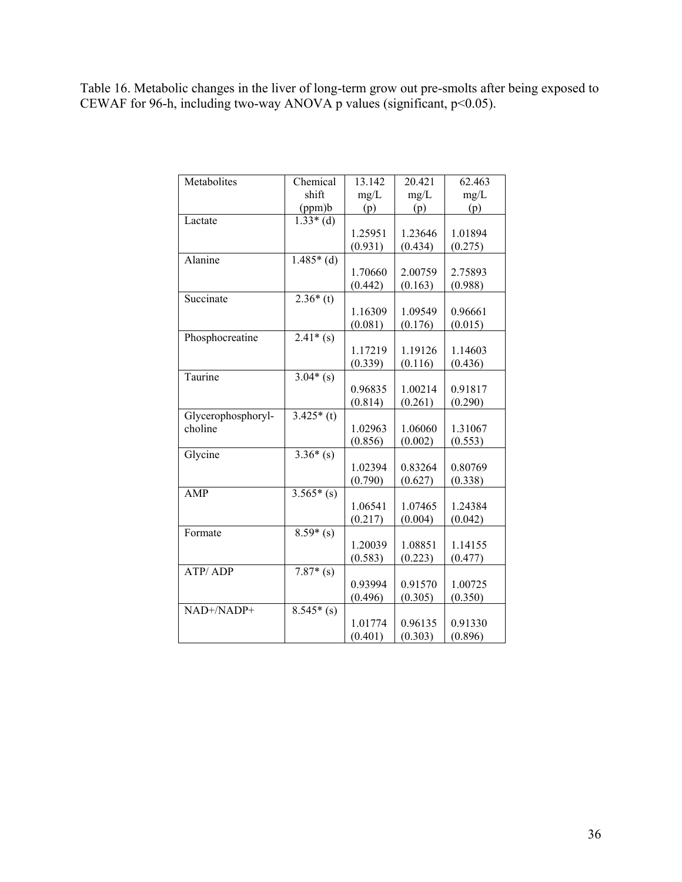Table 16. Metabolic changes in the liver of long-term grow out pre-smolts after being exposed to CEWAF for 96-h, including two-way ANOVA p values (significant,  $p<0.05$ ).

| Metabolites        | Chemical    | 13.142  | 20.421  | 62.463  |
|--------------------|-------------|---------|---------|---------|
|                    | shift       | mg/L    | mg/L    | mg/L    |
|                    | (ppm)b      | (p)     | (p)     | (p)     |
| Lactate            | $1.33*(d)$  |         |         |         |
|                    |             | 1.25951 | 1.23646 | 1.01894 |
|                    |             | (0.931) | (0.434) | (0.275) |
| Alanine            | $1.485*(d)$ |         |         |         |
|                    |             | 1.70660 | 2.00759 | 2.75893 |
|                    |             | (0.442) | (0.163) | (0.988) |
| Succinate          | $2.36*(t)$  |         |         |         |
|                    |             | 1.16309 | 1.09549 | 0.96661 |
|                    |             | (0.081) | (0.176) | (0.015) |
| Phosphocreatine    | $2.41*(s)$  |         |         |         |
|                    |             | 1.17219 | 1.19126 | 1.14603 |
|                    |             | (0.339) | (0.116) | (0.436) |
| Taurine            | $3.04*(s)$  |         |         |         |
|                    |             | 0.96835 | 1.00214 | 0.91817 |
|                    |             | (0.814) | (0.261) | (0.290) |
| Glycerophosphoryl- | $3.425*(t)$ |         |         |         |
| choline            |             | 1.02963 | 1.06060 | 1.31067 |
|                    |             | (0.856) | (0.002) | (0.553) |
| Glycine            | $3.36*(s)$  |         |         |         |
|                    |             | 1.02394 | 0.83264 | 0.80769 |
|                    |             | (0.790) | (0.627) | (0.338) |
| <b>AMP</b>         | $3.565*(s)$ |         |         |         |
|                    |             | 1.06541 | 1.07465 | 1.24384 |
|                    |             | (0.217) | (0.004) | (0.042) |
| Formate            | $8.59*(s)$  |         |         |         |
|                    |             | 1.20039 | 1.08851 | 1.14155 |
|                    |             | (0.583) | (0.223) | (0.477) |
| ATP/ADP            | $7.87*(s)$  |         |         |         |
|                    |             | 0.93994 | 0.91570 | 1.00725 |
|                    |             | (0.496) | (0.305) | (0.350) |
| NAD+/NADP+         | $8.545*(s)$ |         |         |         |
|                    |             | 1.01774 | 0.96135 | 0.91330 |
|                    |             | (0.401) | (0.303) | (0.896) |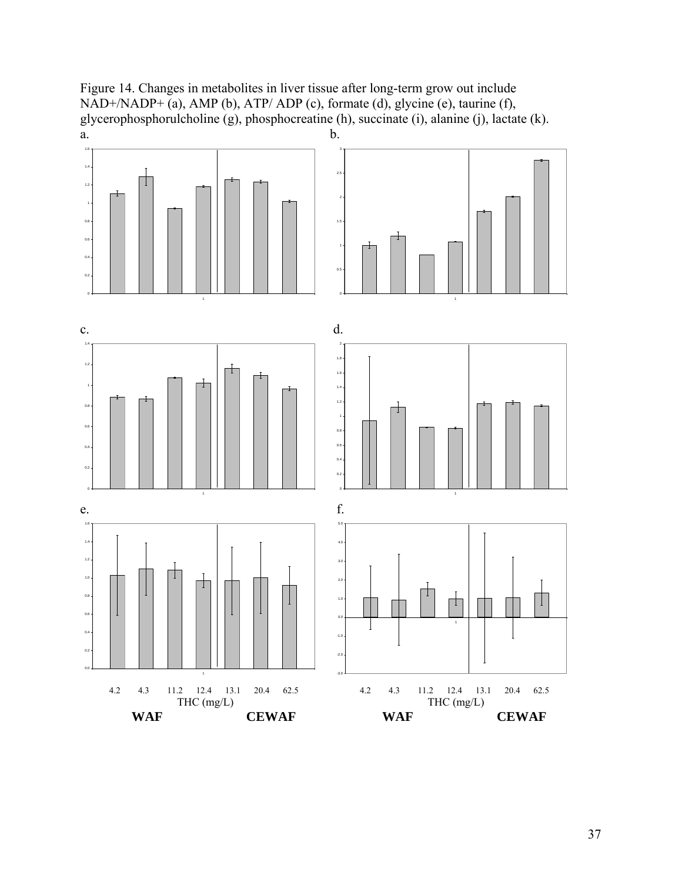Figure 14. Changes in metabolites in liver tissue after long-term grow out include NAD+/NADP+ (a), AMP (b), ATP/ ADP (c), formate (d), glycine (e), taurine (f), glycerophosphorulcholine (g), phosphocreatine (h), succinate (i), alanine (j), lactate (k).  $a.$  b.

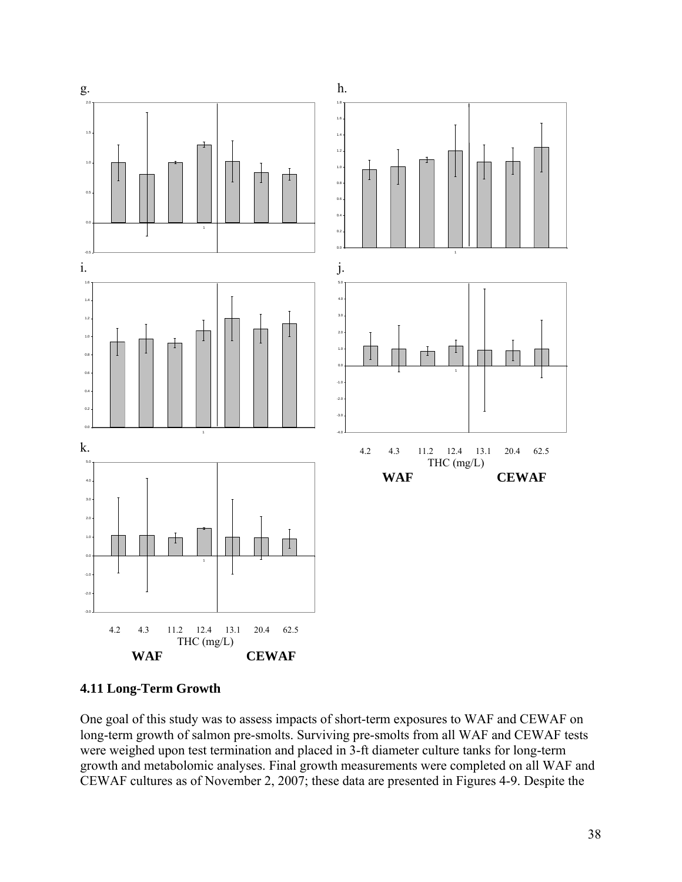

**4.11 Long-Term Growth** 

One goal of this study was to assess impacts of short-term exposures to WAF and CEWAF on long-term growth of salmon pre-smolts. Surviving pre-smolts from all WAF and CEWAF tests were weighed upon test termination and placed in 3-ft diameter culture tanks for long-term growth and metabolomic analyses. Final growth measurements were completed on all WAF and CEWAF cultures as of November 2, 2007; these data are presented in Figures 4-9. Despite the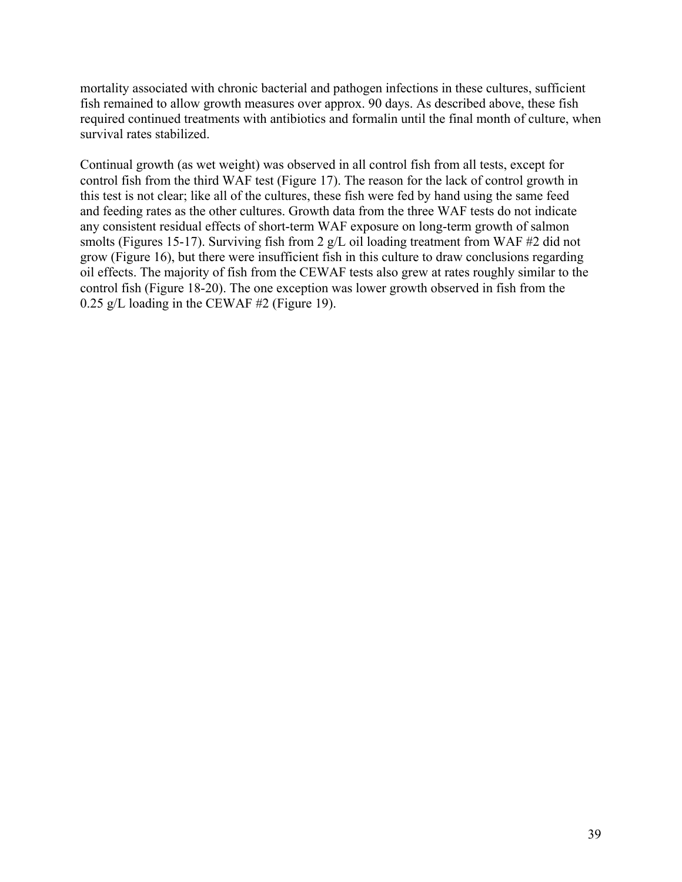mortality associated with chronic bacterial and pathogen infections in these cultures, sufficient fish remained to allow growth measures over approx. 90 days. As described above, these fish required continued treatments with antibiotics and formalin until the final month of culture, when survival rates stabilized.

Continual growth (as wet weight) was observed in all control fish from all tests, except for control fish from the third WAF test (Figure 17). The reason for the lack of control growth in this test is not clear; like all of the cultures, these fish were fed by hand using the same feed and feeding rates as the other cultures. Growth data from the three WAF tests do not indicate any consistent residual effects of short-term WAF exposure on long-term growth of salmon smolts (Figures 15-17). Surviving fish from 2 g/L oil loading treatment from WAF #2 did not grow (Figure 16), but there were insufficient fish in this culture to draw conclusions regarding oil effects. The majority of fish from the CEWAF tests also grew at rates roughly similar to the control fish (Figure 18-20). The one exception was lower growth observed in fish from the 0.25 g/L loading in the CEWAF #2 (Figure 19).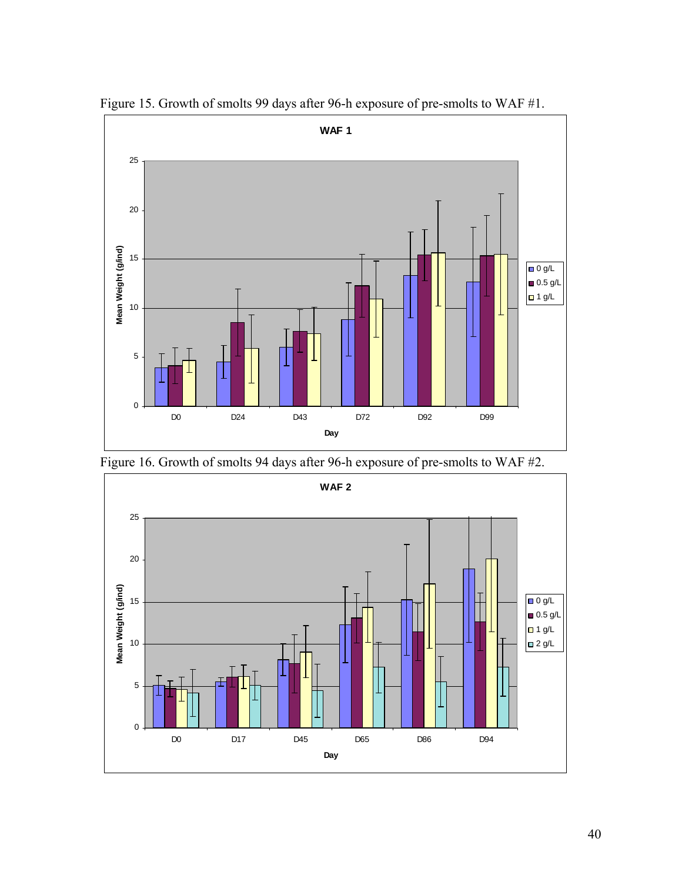

Figure 15. Growth of smolts 99 days after 96-h exposure of pre-smolts to WAF #1.



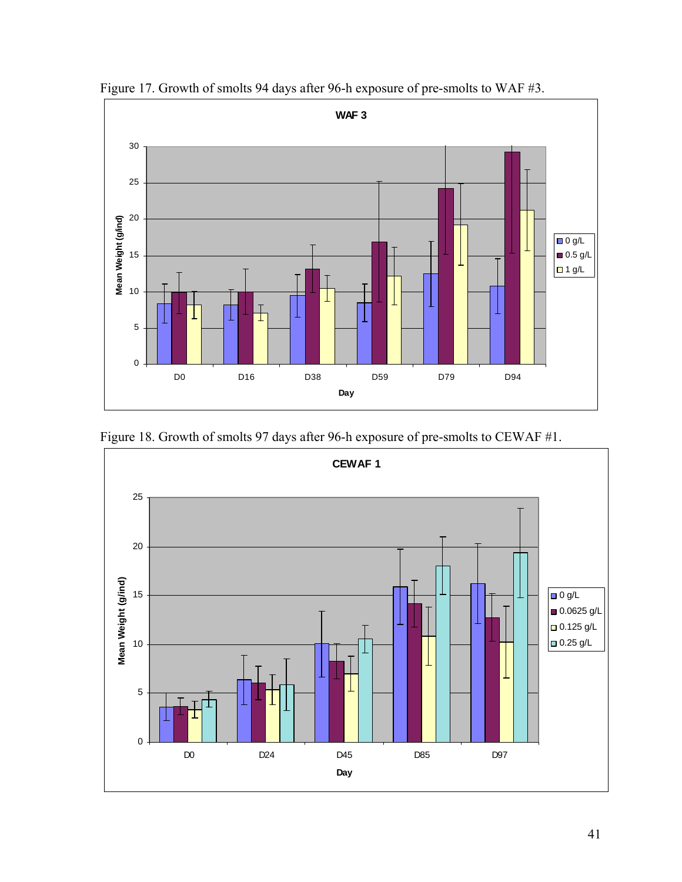

Figure 17. Growth of smolts 94 days after 96-h exposure of pre-smolts to WAF #3.



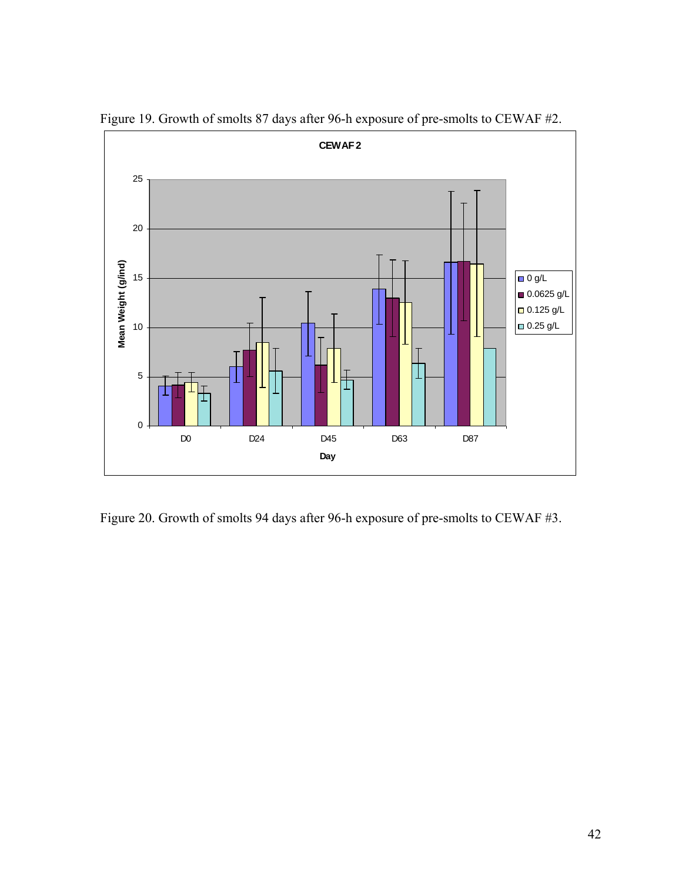

Figure 19. Growth of smolts 87 days after 96-h exposure of pre-smolts to CEWAF #2.

Figure 20. Growth of smolts 94 days after 96-h exposure of pre-smolts to CEWAF #3.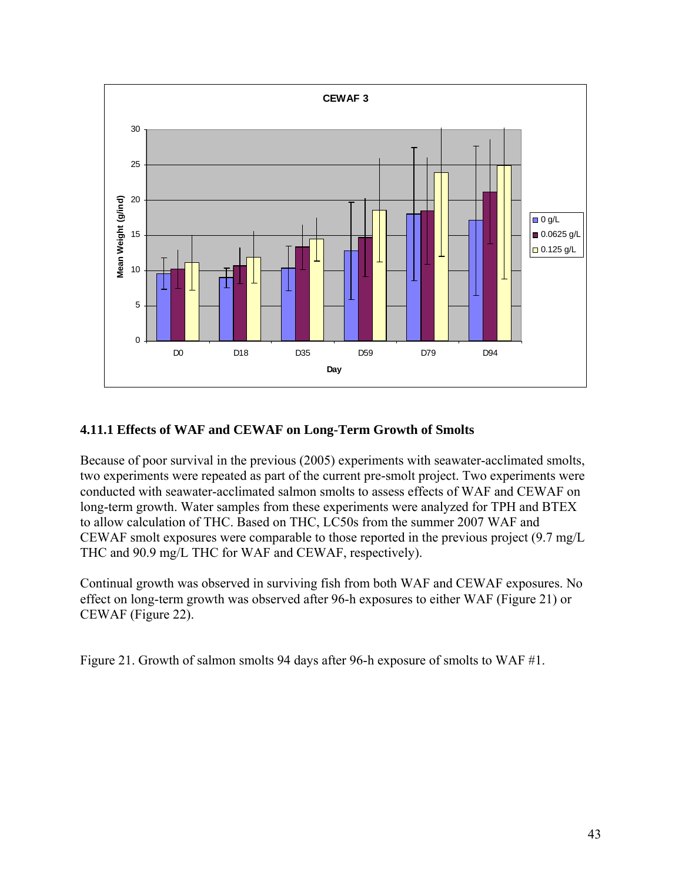

## **4.11.1 Effects of WAF and CEWAF on Long-Term Growth of Smolts**

Because of poor survival in the previous (2005) experiments with seawater-acclimated smolts, two experiments were repeated as part of the current pre-smolt project. Two experiments were conducted with seawater-acclimated salmon smolts to assess effects of WAF and CEWAF on long-term growth. Water samples from these experiments were analyzed for TPH and BTEX to allow calculation of THC. Based on THC, LC50s from the summer 2007 WAF and CEWAF smolt exposures were comparable to those reported in the previous project (9.7 mg/L THC and 90.9 mg/L THC for WAF and CEWAF, respectively).

Continual growth was observed in surviving fish from both WAF and CEWAF exposures. No effect on long-term growth was observed after 96-h exposures to either WAF (Figure 21) or CEWAF (Figure 22).

Figure 21. Growth of salmon smolts 94 days after 96-h exposure of smolts to WAF #1.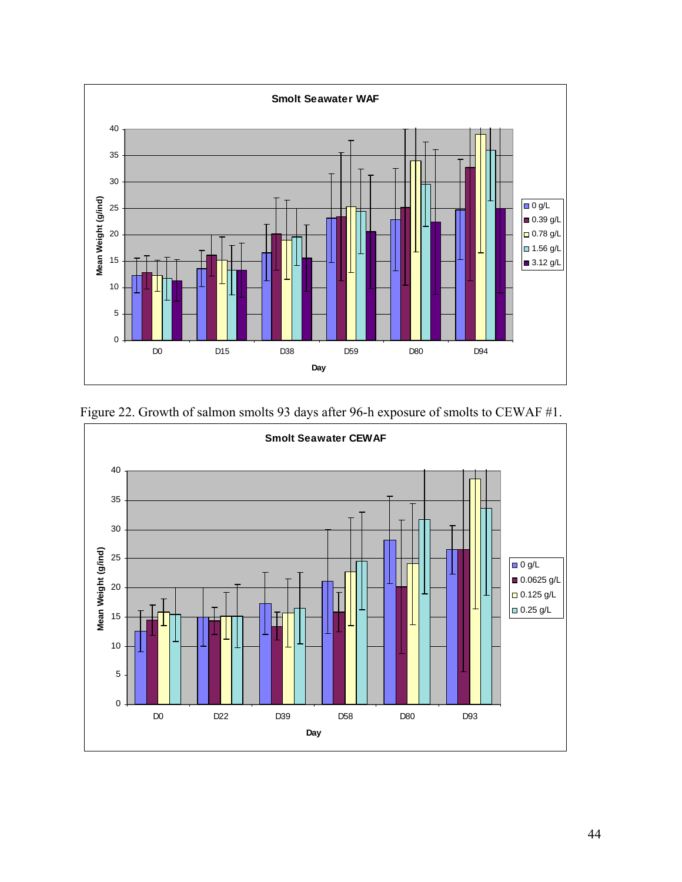

Figure 22. Growth of salmon smolts 93 days after 96-h exposure of smolts to CEWAF #1.

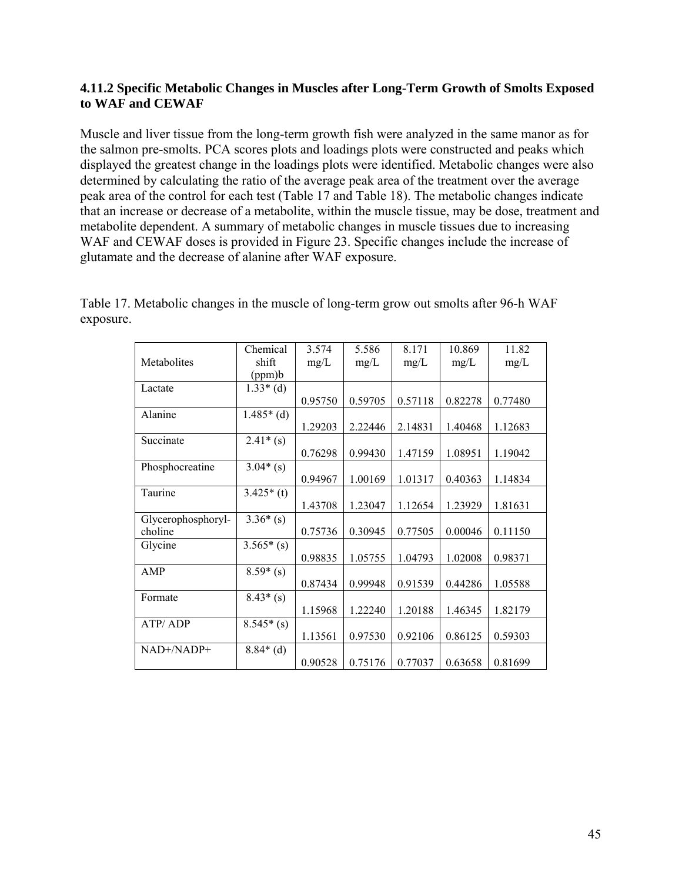## **4.11.2 Specific Metabolic Changes in Muscles after Long-Term Growth of Smolts Exposed to WAF and CEWAF**

Muscle and liver tissue from the long-term growth fish were analyzed in the same manor as for the salmon pre-smolts. PCA scores plots and loadings plots were constructed and peaks which displayed the greatest change in the loadings plots were identified. Metabolic changes were also determined by calculating the ratio of the average peak area of the treatment over the average peak area of the control for each test (Table 17 and Table 18). The metabolic changes indicate that an increase or decrease of a metabolite, within the muscle tissue, may be dose, treatment and metabolite dependent. A summary of metabolic changes in muscle tissues due to increasing WAF and CEWAF doses is provided in Figure 23. Specific changes include the increase of glutamate and the decrease of alanine after WAF exposure.

|                    | Chemical    | 3.574   | 5.586   | 8.171   | 10.869  | 11.82   |
|--------------------|-------------|---------|---------|---------|---------|---------|
| Metabolites        | shift       | mg/L    | mg/L    | mg/L    | mg/L    | mg/L    |
|                    | (ppm)b      |         |         |         |         |         |
| Lactate            | $1.33*(d)$  |         |         |         |         |         |
|                    |             | 0.95750 | 0.59705 | 0.57118 | 0.82278 | 0.77480 |
| Alanine            | $1.485*(d)$ |         |         |         |         |         |
|                    |             | 1.29203 | 2.22446 | 2.14831 | 1.40468 | 1.12683 |
| Succinate          | $2.41*(s)$  |         |         |         |         |         |
|                    |             | 0.76298 | 0.99430 | 1.47159 | 1.08951 | 1.19042 |
| Phosphocreatine    | $3.04*(s)$  |         |         |         |         |         |
|                    |             | 0.94967 | 1.00169 | 1.01317 | 0.40363 | 1.14834 |
| Taurine            | $3.425*(t)$ |         |         |         |         |         |
|                    |             | 1.43708 | 1.23047 | 1.12654 | 1.23929 | 1.81631 |
| Glycerophosphoryl- | $3.36*(s)$  |         |         |         |         |         |
| choline            |             | 0.75736 | 0.30945 | 0.77505 | 0.00046 | 0.11150 |
| Glycine            | $3.565*(s)$ |         |         |         |         |         |
|                    |             | 0.98835 | 1.05755 | 1.04793 | 1.02008 | 0.98371 |
| AMP                | $8.59*(s)$  |         |         |         |         |         |
|                    |             | 0.87434 | 0.99948 | 0.91539 | 0.44286 | 1.05588 |
| Formate            | $8.43*(s)$  |         |         |         |         |         |
|                    |             | 1.15968 | 1.22240 | 1.20188 | 1.46345 | 1.82179 |
| ATP/ADP            | $8.545*(s)$ |         |         |         |         |         |
|                    |             | 1.13561 | 0.97530 | 0.92106 | 0.86125 | 0.59303 |
| NAD+/NADP+         | $8.84*(d)$  |         |         |         |         |         |
|                    |             | 0.90528 | 0.75176 | 0.77037 | 0.63658 | 0.81699 |

Table 17. Metabolic changes in the muscle of long-term grow out smolts after 96-h WAF exposure.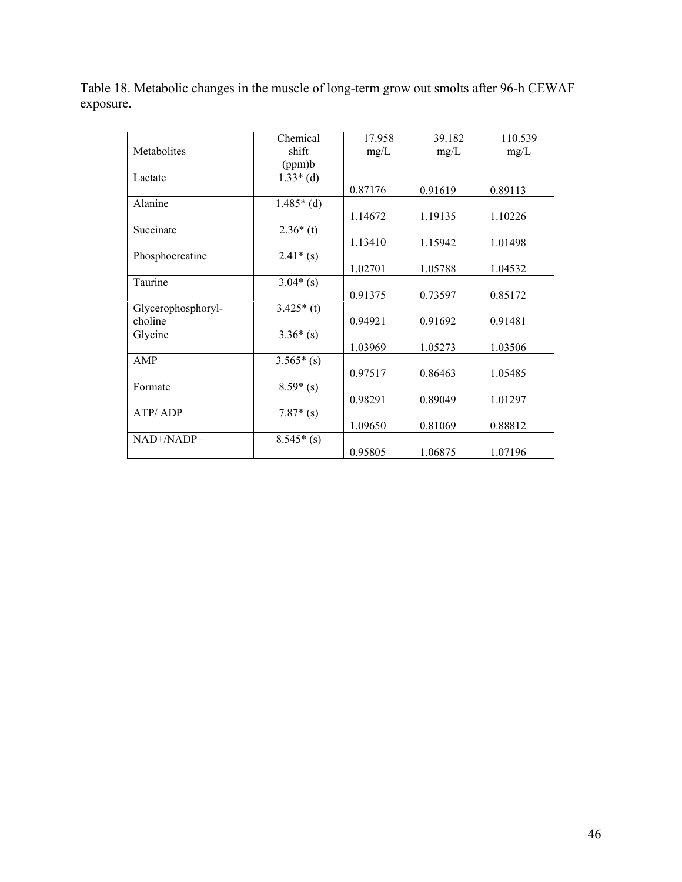Table 18. Metabolic changes in the muscle of long-term grow out smolts after 96-h CEWAF exposure.

|                    | Chemical    | 17.958  | 39.182  | 110.539 |
|--------------------|-------------|---------|---------|---------|
| Metabolites        | shift       | mg/L    | mg/L    | mg/L    |
|                    | (ppm)b      |         |         |         |
| Lactate            | $1.33*(d)$  |         |         |         |
|                    |             | 0.87176 | 0.91619 | 0.89113 |
| Alanine            | $1.485*(d)$ |         |         |         |
|                    |             | 1.14672 | 1.19135 | 1.10226 |
| Succinate          | $2.36*(t)$  |         |         |         |
|                    |             | 1.13410 | 1.15942 | 1.01498 |
| Phosphocreatine    | $2.41*(s)$  |         |         |         |
|                    |             | 1.02701 | 1.05788 | 1.04532 |
| Taurine            | $3.04*(s)$  |         |         |         |
|                    |             | 0.91375 | 0.73597 | 0.85172 |
| Glycerophosphoryl- | $3.425*(t)$ |         |         |         |
| choline            |             | 0.94921 | 0.91692 | 0.91481 |
| Glycine            | $3.36*(s)$  |         |         |         |
|                    |             | 1.03969 | 1.05273 | 1.03506 |
| AMP                | $3.565*(s)$ |         |         |         |
|                    |             | 0.97517 | 0.86463 | 1.05485 |
| Formate            | $8.59*(s)$  |         |         |         |
|                    |             | 0.98291 | 0.89049 | 1.01297 |
| ATP/ADP            | $7.87*(s)$  |         |         |         |
|                    |             | 1.09650 | 0.81069 | 0.88812 |
| NAD+/NADP+         | $8.545*(s)$ |         |         |         |
|                    |             | 0.95805 | 1.06875 | 1.07196 |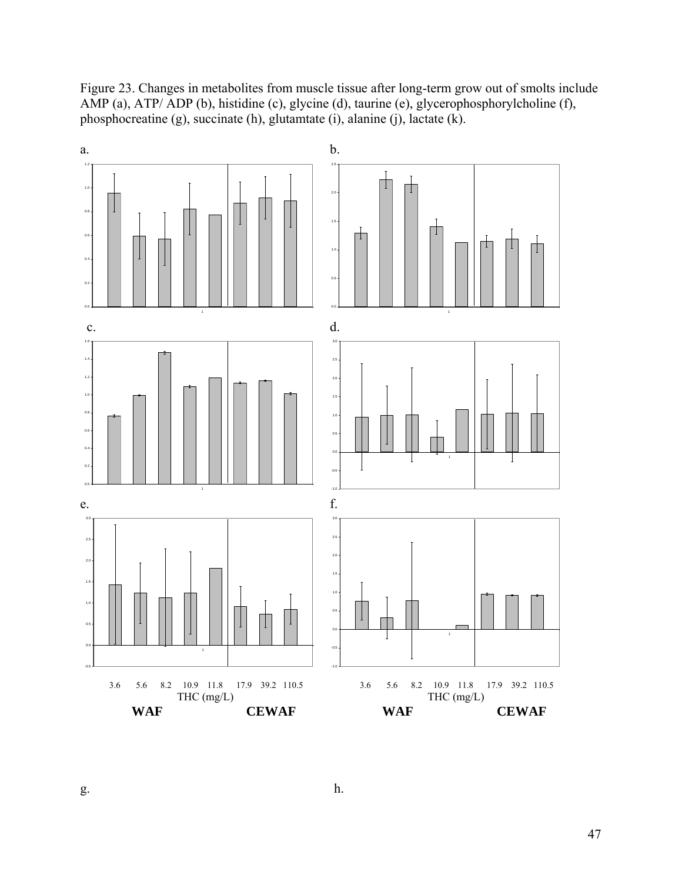Figure 23. Changes in metabolites from muscle tissue after long-term grow out of smolts include AMP (a), ATP/ ADP (b), histidine (c), glycine (d), taurine (e), glycerophosphorylcholine (f), phosphocreatine (g), succinate (h), glutamtate (i), alanine (j), lactate (k).



 $g.$  h.

47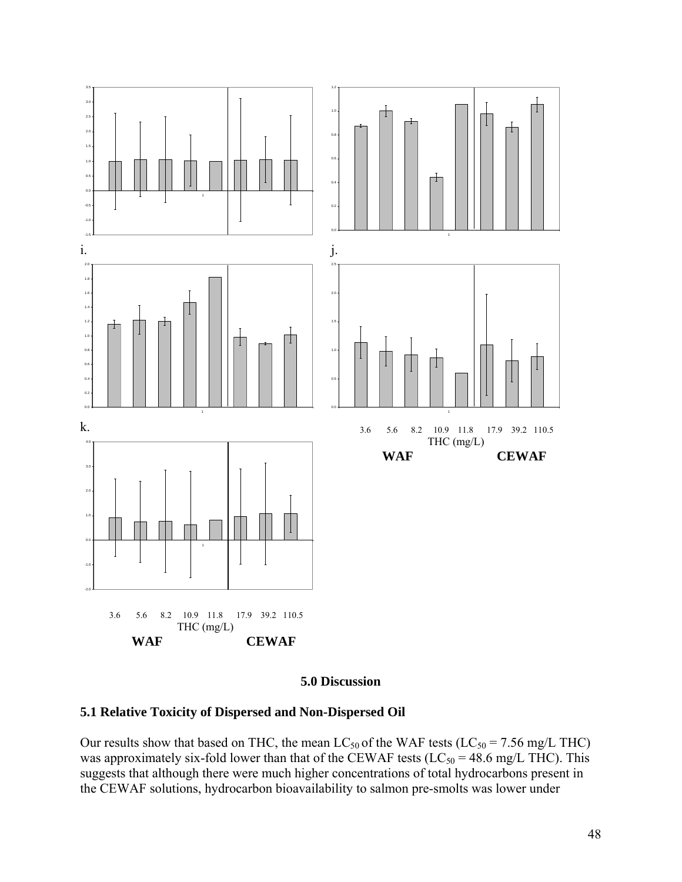

#### **5.0 Discussion**

## **5.1 Relative Toxicity of Dispersed and Non-Dispersed Oil**

Our results show that based on THC, the mean  $LC_{50}$  of the WAF tests ( $LC_{50} = 7.56$  mg/L THC) was approximately six-fold lower than that of the CEWAF tests ( $LC_{50} = 48.6$  mg/L THC). This suggests that although there were much higher concentrations of total hydrocarbons present in the CEWAF solutions, hydrocarbon bioavailability to salmon pre-smolts was lower under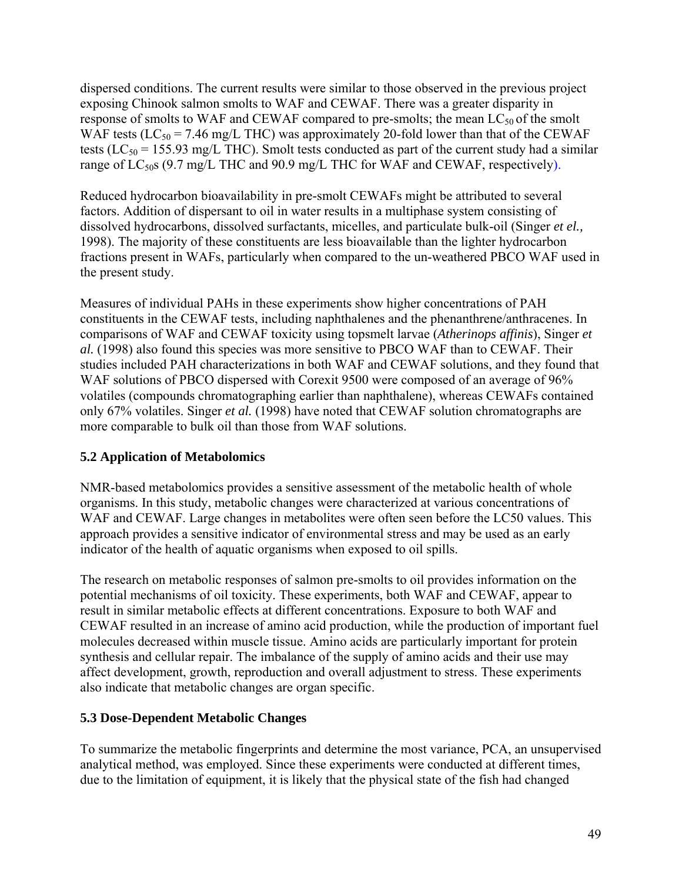dispersed conditions. The current results were similar to those observed in the previous project exposing Chinook salmon smolts to WAF and CEWAF. There was a greater disparity in response of smolts to WAF and CEWAF compared to pre-smolts; the mean  $LC_{50}$  of the smolt WAF tests ( $LC_{50}$  = 7.46 mg/L THC) was approximately 20-fold lower than that of the CEWAF tests ( $LC_{50}$  = 155.93 mg/L THC). Smolt tests conducted as part of the current study had a similar range of  $LC_{50}$ s (9.7 mg/L THC and 90.9 mg/L THC for WAF and CEWAF, respectively).

Reduced hydrocarbon bioavailability in pre-smolt CEWAFs might be attributed to several factors. Addition of dispersant to oil in water results in a multiphase system consisting of dissolved hydrocarbons, dissolved surfactants, micelles, and particulate bulk-oil (Singer *et el.,* 1998). The majority of these constituents are less bioavailable than the lighter hydrocarbon fractions present in WAFs, particularly when compared to the un-weathered PBCO WAF used in the present study.

Measures of individual PAHs in these experiments show higher concentrations of PAH constituents in the CEWAF tests, including naphthalenes and the phenanthrene/anthracenes. In comparisons of WAF and CEWAF toxicity using topsmelt larvae (*Atherinops affinis*), Singer *et al.* (1998) also found this species was more sensitive to PBCO WAF than to CEWAF. Their studies included PAH characterizations in both WAF and CEWAF solutions, and they found that WAF solutions of PBCO dispersed with Corexit 9500 were composed of an average of 96% volatiles (compounds chromatographing earlier than naphthalene), whereas CEWAFs contained only 67% volatiles. Singer *et al.* (1998) have noted that CEWAF solution chromatographs are more comparable to bulk oil than those from WAF solutions.

# **5.2 Application of Metabolomics**

NMR-based metabolomics provides a sensitive assessment of the metabolic health of whole organisms. In this study, metabolic changes were characterized at various concentrations of WAF and CEWAF. Large changes in metabolites were often seen before the LC50 values. This approach provides a sensitive indicator of environmental stress and may be used as an early indicator of the health of aquatic organisms when exposed to oil spills.

The research on metabolic responses of salmon pre-smolts to oil provides information on the potential mechanisms of oil toxicity. These experiments, both WAF and CEWAF, appear to result in similar metabolic effects at different concentrations. Exposure to both WAF and CEWAF resulted in an increase of amino acid production, while the production of important fuel molecules decreased within muscle tissue. Amino acids are particularly important for protein synthesis and cellular repair. The imbalance of the supply of amino acids and their use may affect development, growth, reproduction and overall adjustment to stress. These experiments also indicate that metabolic changes are organ specific.

## **5.3 Dose-Dependent Metabolic Changes**

To summarize the metabolic fingerprints and determine the most variance, PCA, an unsupervised analytical method, was employed. Since these experiments were conducted at different times, due to the limitation of equipment, it is likely that the physical state of the fish had changed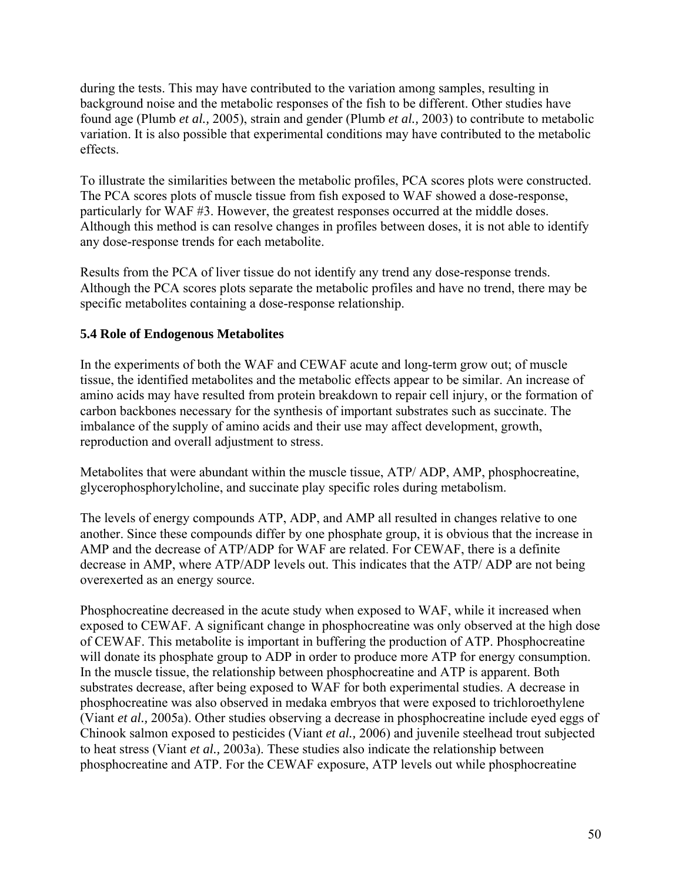during the tests. This may have contributed to the variation among samples, resulting in background noise and the metabolic responses of the fish to be different. Other studies have found age (Plumb *et al.,* 2005), strain and gender (Plumb *et al.,* 2003) to contribute to metabolic variation. It is also possible that experimental conditions may have contributed to the metabolic effects.

To illustrate the similarities between the metabolic profiles, PCA scores plots were constructed. The PCA scores plots of muscle tissue from fish exposed to WAF showed a dose-response, particularly for WAF #3. However, the greatest responses occurred at the middle doses. Although this method is can resolve changes in profiles between doses, it is not able to identify any dose-response trends for each metabolite.

Results from the PCA of liver tissue do not identify any trend any dose-response trends. Although the PCA scores plots separate the metabolic profiles and have no trend, there may be specific metabolites containing a dose-response relationship.

## **5.4 Role of Endogenous Metabolites**

In the experiments of both the WAF and CEWAF acute and long-term grow out; of muscle tissue, the identified metabolites and the metabolic effects appear to be similar. An increase of amino acids may have resulted from protein breakdown to repair cell injury, or the formation of carbon backbones necessary for the synthesis of important substrates such as succinate. The imbalance of the supply of amino acids and their use may affect development, growth, reproduction and overall adjustment to stress.

Metabolites that were abundant within the muscle tissue, ATP/ ADP, AMP, phosphocreatine, glycerophosphorylcholine, and succinate play specific roles during metabolism.

The levels of energy compounds ATP, ADP, and AMP all resulted in changes relative to one another. Since these compounds differ by one phosphate group, it is obvious that the increase in AMP and the decrease of ATP/ADP for WAF are related. For CEWAF, there is a definite decrease in AMP, where ATP/ADP levels out. This indicates that the ATP/ ADP are not being overexerted as an energy source.

Phosphocreatine decreased in the acute study when exposed to WAF, while it increased when exposed to CEWAF. A significant change in phosphocreatine was only observed at the high dose of CEWAF. This metabolite is important in buffering the production of ATP. Phosphocreatine will donate its phosphate group to ADP in order to produce more ATP for energy consumption. In the muscle tissue, the relationship between phosphocreatine and ATP is apparent. Both substrates decrease, after being exposed to WAF for both experimental studies. A decrease in phosphocreatine was also observed in medaka embryos that were exposed to trichloroethylene (Viant *et al.,* 2005a). Other studies observing a decrease in phosphocreatine include eyed eggs of Chinook salmon exposed to pesticides (Viant *et al.,* 2006) and juvenile steelhead trout subjected to heat stress (Viant *et al.,* 2003a). These studies also indicate the relationship between phosphocreatine and ATP. For the CEWAF exposure, ATP levels out while phosphocreatine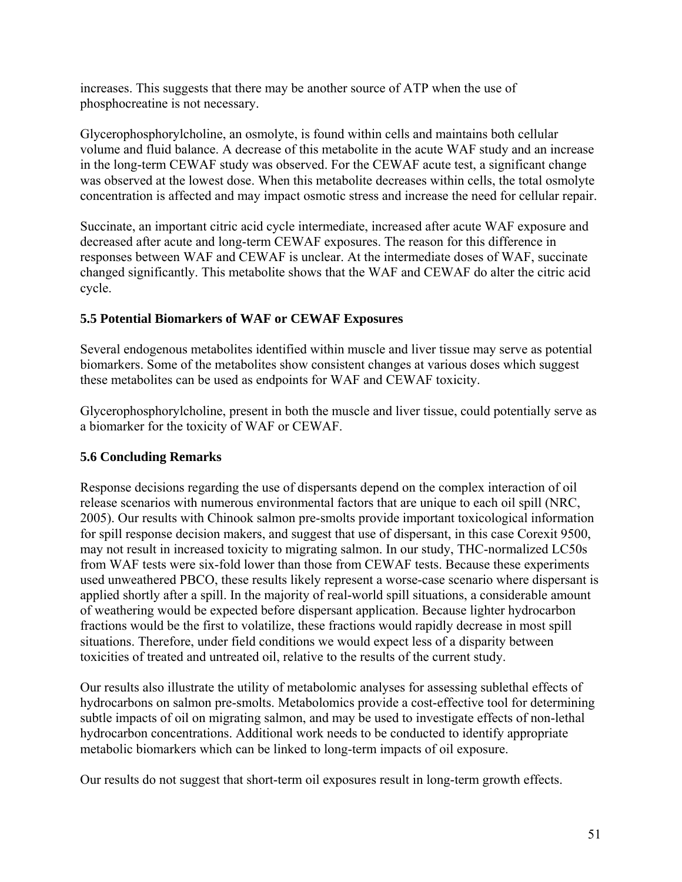increases. This suggests that there may be another source of ATP when the use of phosphocreatine is not necessary.

Glycerophosphorylcholine, an osmolyte, is found within cells and maintains both cellular volume and fluid balance. A decrease of this metabolite in the acute WAF study and an increase in the long-term CEWAF study was observed. For the CEWAF acute test, a significant change was observed at the lowest dose. When this metabolite decreases within cells, the total osmolyte concentration is affected and may impact osmotic stress and increase the need for cellular repair.

Succinate, an important citric acid cycle intermediate, increased after acute WAF exposure and decreased after acute and long-term CEWAF exposures. The reason for this difference in responses between WAF and CEWAF is unclear. At the intermediate doses of WAF, succinate changed significantly. This metabolite shows that the WAF and CEWAF do alter the citric acid cycle.

## **5.5 Potential Biomarkers of WAF or CEWAF Exposures**

Several endogenous metabolites identified within muscle and liver tissue may serve as potential biomarkers. Some of the metabolites show consistent changes at various doses which suggest these metabolites can be used as endpoints for WAF and CEWAF toxicity.

Glycerophosphorylcholine, present in both the muscle and liver tissue, could potentially serve as a biomarker for the toxicity of WAF or CEWAF.

# **5.6 Concluding Remarks**

Response decisions regarding the use of dispersants depend on the complex interaction of oil release scenarios with numerous environmental factors that are unique to each oil spill (NRC, 2005). Our results with Chinook salmon pre-smolts provide important toxicological information for spill response decision makers, and suggest that use of dispersant, in this case Corexit 9500, may not result in increased toxicity to migrating salmon. In our study, THC-normalized LC50s from WAF tests were six-fold lower than those from CEWAF tests. Because these experiments used unweathered PBCO, these results likely represent a worse-case scenario where dispersant is applied shortly after a spill. In the majority of real-world spill situations, a considerable amount of weathering would be expected before dispersant application. Because lighter hydrocarbon fractions would be the first to volatilize, these fractions would rapidly decrease in most spill situations. Therefore, under field conditions we would expect less of a disparity between toxicities of treated and untreated oil, relative to the results of the current study.

Our results also illustrate the utility of metabolomic analyses for assessing sublethal effects of hydrocarbons on salmon pre-smolts. Metabolomics provide a cost-effective tool for determining subtle impacts of oil on migrating salmon, and may be used to investigate effects of non-lethal hydrocarbon concentrations. Additional work needs to be conducted to identify appropriate metabolic biomarkers which can be linked to long-term impacts of oil exposure.

Our results do not suggest that short-term oil exposures result in long-term growth effects.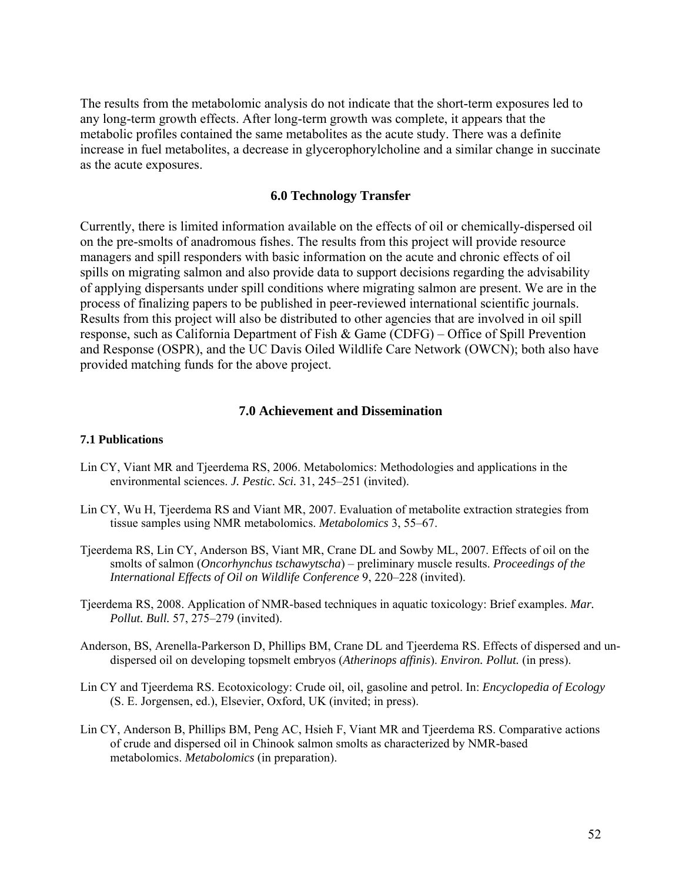The results from the metabolomic analysis do not indicate that the short-term exposures led to any long-term growth effects. After long-term growth was complete, it appears that the metabolic profiles contained the same metabolites as the acute study. There was a definite increase in fuel metabolites, a decrease in glycerophorylcholine and a similar change in succinate as the acute exposures.

## **6.0 Technology Transfer**

Currently, there is limited information available on the effects of oil or chemically-dispersed oil on the pre-smolts of anadromous fishes. The results from this project will provide resource managers and spill responders with basic information on the acute and chronic effects of oil spills on migrating salmon and also provide data to support decisions regarding the advisability of applying dispersants under spill conditions where migrating salmon are present. We are in the process of finalizing papers to be published in peer-reviewed international scientific journals. Results from this project will also be distributed to other agencies that are involved in oil spill response, such as California Department of Fish & Game (CDFG) – Office of Spill Prevention and Response (OSPR), and the UC Davis Oiled Wildlife Care Network (OWCN); both also have provided matching funds for the above project.

#### **7.0 Achievement and Dissemination**

#### **7.1 Publications**

- Lin CY, Viant MR and Tjeerdema RS, 2006. Metabolomics: Methodologies and applications in the environmental sciences. *J. Pestic. Sci.* 31, 245–251 (invited).
- Lin CY, Wu H, Tjeerdema RS and Viant MR, 2007. Evaluation of metabolite extraction strategies from tissue samples using NMR metabolomics. *Metabolomics* 3, 55–67.
- Tjeerdema RS, Lin CY, Anderson BS, Viant MR, Crane DL and Sowby ML, 2007. Effects of oil on the smolts of salmon (*Oncorhynchus tschawytscha*) – preliminary muscle results. *Proceedings of the International Effects of Oil on Wildlife Conference* 9, 220–228 (invited).
- Tjeerdema RS, 2008. Application of NMR-based techniques in aquatic toxicology: Brief examples. *Mar. Pollut. Bull.* 57, 275–279 (invited).
- Anderson, BS, Arenella-Parkerson D, Phillips BM, Crane DL and Tjeerdema RS. Effects of dispersed and undispersed oil on developing topsmelt embryos (*Atherinops affinis*). *Environ. Pollut.* (in press).
- Lin CY and Tjeerdema RS. Ecotoxicology: Crude oil, oil, gasoline and petrol. In: *Encyclopedia of Ecology*  (S. E. Jorgensen, ed.), Elsevier, Oxford, UK (invited; in press).
- Lin CY, Anderson B, Phillips BM, Peng AC, Hsieh F, Viant MR and Tjeerdema RS. Comparative actions of crude and dispersed oil in Chinook salmon smolts as characterized by NMR-based metabolomics. *Metabolomics* (in preparation).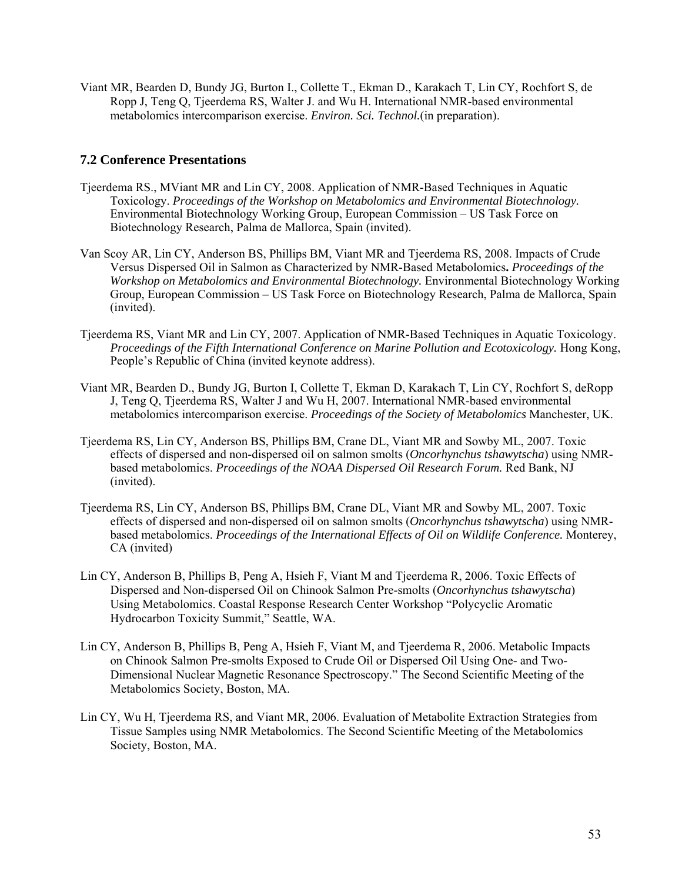Viant MR, Bearden D, Bundy JG, Burton I., Collette T., Ekman D., Karakach T, Lin CY, Rochfort S, de Ropp J, Teng Q, Tjeerdema RS, Walter J. and Wu H. International NMR-based environmental metabolomics intercomparison exercise. *Environ. Sci. Technol.*(in preparation).

#### **7.2 Conference Presentations**

- Tjeerdema RS., MViant MR and Lin CY, 2008. Application of NMR-Based Techniques in Aquatic Toxicology. *Proceedings of the Workshop on Metabolomics and Environmental Biotechnology.*  Environmental Biotechnology Working Group, European Commission – US Task Force on Biotechnology Research, Palma de Mallorca, Spain (invited).
- Van Scoy AR, Lin CY, Anderson BS, Phillips BM, Viant MR and Tjeerdema RS, 2008. Impacts of Crude Versus Dispersed Oil in Salmon as Characterized by NMR-Based Metabolomics**.** *Proceedings of the Workshop on Metabolomics and Environmental Biotechnology.* Environmental Biotechnology Working Group, European Commission – US Task Force on Biotechnology Research, Palma de Mallorca, Spain (invited).
- Tjeerdema RS, Viant MR and Lin CY, 2007. Application of NMR-Based Techniques in Aquatic Toxicology. *Proceedings of the Fifth International Conference on Marine Pollution and Ecotoxicology.* Hong Kong, People's Republic of China (invited keynote address).
- Viant MR, Bearden D., Bundy JG, Burton I, Collette T, Ekman D, Karakach T, Lin CY, Rochfort S, deRopp J, Teng Q, Tjeerdema RS, Walter J and Wu H, 2007. International NMR-based environmental metabolomics intercomparison exercise. *Proceedings of the Society of Metabolomics* Manchester, UK.
- Tjeerdema RS, Lin CY, Anderson BS, Phillips BM, Crane DL, Viant MR and Sowby ML, 2007. Toxic effects of dispersed and non-dispersed oil on salmon smolts (*Oncorhynchus tshawytscha*) using NMRbased metabolomics. *Proceedings of the NOAA Dispersed Oil Research Forum.* Red Bank, NJ (invited).
- Tjeerdema RS, Lin CY, Anderson BS, Phillips BM, Crane DL, Viant MR and Sowby ML, 2007. Toxic effects of dispersed and non-dispersed oil on salmon smolts (*Oncorhynchus tshawytscha*) using NMRbased metabolomics. *Proceedings of the International Effects of Oil on Wildlife Conference.* Monterey, CA (invited)
- Lin CY, Anderson B, Phillips B, Peng A, Hsieh F, Viant M and Tjeerdema R, 2006. Toxic Effects of Dispersed and Non-dispersed Oil on Chinook Salmon Pre-smolts (*Oncorhynchus tshawytscha*) Using Metabolomics. Coastal Response Research Center Workshop "Polycyclic Aromatic Hydrocarbon Toxicity Summit," Seattle, WA.
- Lin CY, Anderson B, Phillips B, Peng A, Hsieh F, Viant M, and Tjeerdema R, 2006. Metabolic Impacts on Chinook Salmon Pre-smolts Exposed to Crude Oil or Dispersed Oil Using One- and Two-Dimensional Nuclear Magnetic Resonance Spectroscopy." The Second Scientific Meeting of the Metabolomics Society, Boston, MA.
- Lin CY, Wu H, Tjeerdema RS, and Viant MR, 2006. Evaluation of Metabolite Extraction Strategies from Tissue Samples using NMR Metabolomics. The Second Scientific Meeting of the Metabolomics Society, Boston, MA.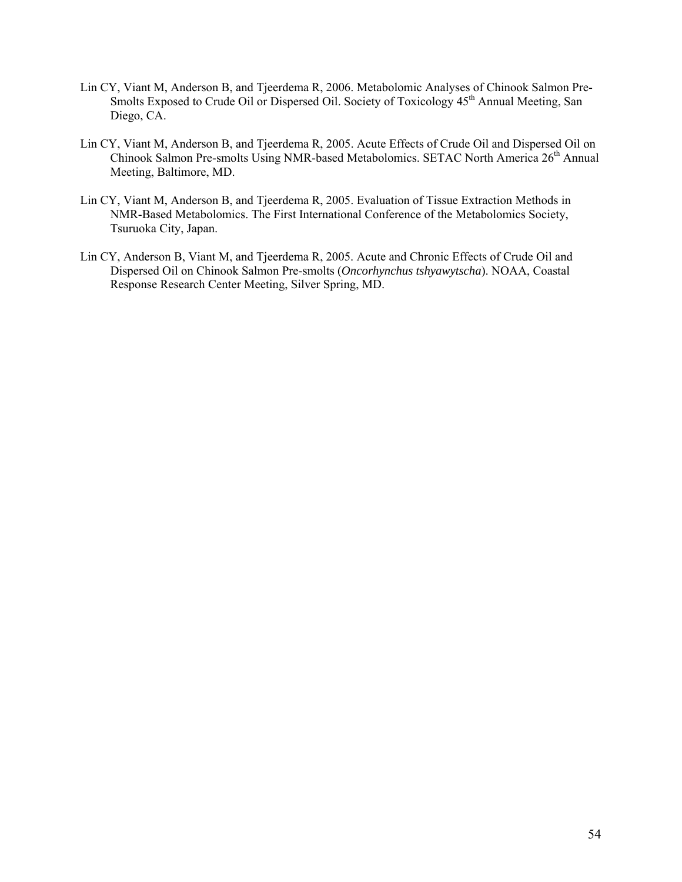- Lin CY, Viant M, Anderson B, and Tjeerdema R, 2006. Metabolomic Analyses of Chinook Salmon Pre-Smolts Exposed to Crude Oil or Dispersed Oil. Society of Toxicology 45<sup>th</sup> Annual Meeting, San Diego, CA.
- Lin CY, Viant M, Anderson B, and Tjeerdema R, 2005. Acute Effects of Crude Oil and Dispersed Oil on Chinook Salmon Pre-smolts Using NMR-based Metabolomics. SETAC North America 26<sup>th</sup> Annual Meeting, Baltimore, MD.
- Lin CY, Viant M, Anderson B, and Tjeerdema R, 2005. Evaluation of Tissue Extraction Methods in NMR-Based Metabolomics. The First International Conference of the Metabolomics Society, Tsuruoka City, Japan.
- Lin CY, Anderson B, Viant M, and Tjeerdema R, 2005. Acute and Chronic Effects of Crude Oil and Dispersed Oil on Chinook Salmon Pre-smolts (*Oncorhynchus tshyawytscha*). NOAA, Coastal Response Research Center Meeting, Silver Spring, MD.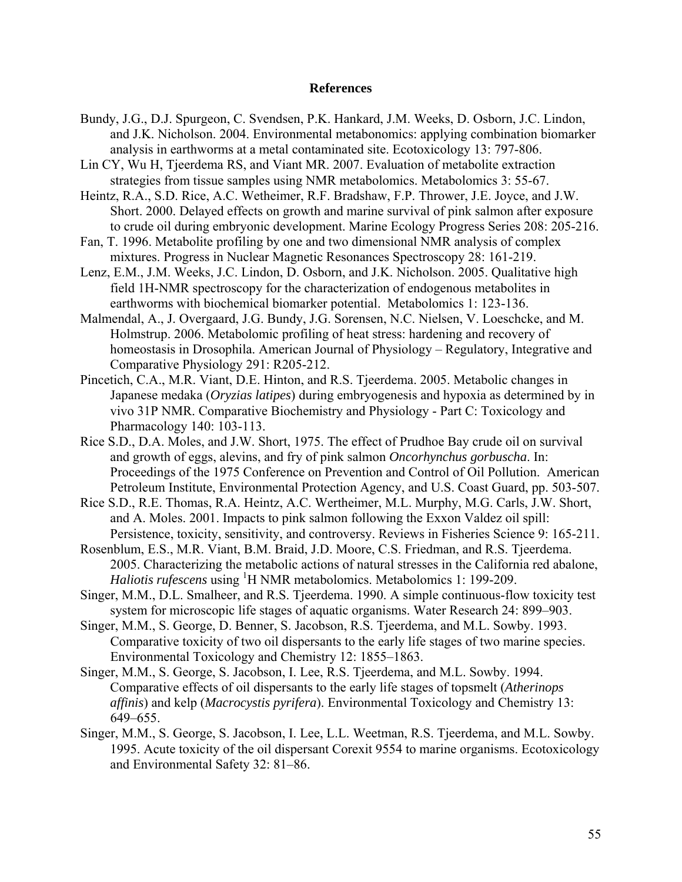#### **References**

- Bundy, J.G., D.J. Spurgeon, C. Svendsen, P.K. Hankard, J.M. Weeks, D. Osborn, J.C. Lindon, and J.K. Nicholson. 2004. Environmental metabonomics: applying combination biomarker analysis in earthworms at a metal contaminated site. Ecotoxicology 13: 797-806.
- Lin CY, Wu H, Tjeerdema RS, and Viant MR. 2007. Evaluation of metabolite extraction strategies from tissue samples using NMR metabolomics. Metabolomics 3: 55-67.
- Heintz, R.A., S.D. Rice, A.C. Wetheimer, R.F. Bradshaw, F.P. Thrower, J.E. Joyce, and J.W. Short. 2000. Delayed effects on growth and marine survival of pink salmon after exposure to crude oil during embryonic development. Marine Ecology Progress Series 208: 205-216.
- Fan, T. 1996. Metabolite profiling by one and two dimensional NMR analysis of complex mixtures. Progress in Nuclear Magnetic Resonances Spectroscopy 28: 161-219.
- Lenz, E.M., J.M. Weeks, J.C. Lindon, D. Osborn, and J.K. Nicholson. 2005. Qualitative high field 1H-NMR spectroscopy for the characterization of endogenous metabolites in earthworms with biochemical biomarker potential. Metabolomics 1: 123-136.
- Malmendal, A., J. Overgaard, J.G. Bundy, J.G. Sorensen, N.C. Nielsen, V. Loeschcke, and M. Holmstrup. 2006. Metabolomic profiling of heat stress: hardening and recovery of homeostasis in Drosophila. American Journal of Physiology – Regulatory, Integrative and Comparative Physiology 291: R205-212.
- Pincetich, C.A., M.R. Viant, D.E. Hinton, and R.S. Tjeerdema. 2005. Metabolic changes in Japanese medaka (*Oryzias latipes*) during embryogenesis and hypoxia as determined by in vivo 31P NMR. Comparative Biochemistry and Physiology - Part C: Toxicology and Pharmacology 140: 103-113.
- Rice S.D., D.A. Moles, and J.W. Short, 1975. The effect of Prudhoe Bay crude oil on survival and growth of eggs, alevins, and fry of pink salmon *Oncorhynchus gorbuscha*. In: Proceedings of the 1975 Conference on Prevention and Control of Oil Pollution. American Petroleum Institute, Environmental Protection Agency, and U.S. Coast Guard, pp. 503-507.
- Rice S.D., R.E. Thomas, R.A. Heintz, A.C. Wertheimer, M.L. Murphy, M.G. Carls, J.W. Short, and A. Moles. 2001. Impacts to pink salmon following the Exxon Valdez oil spill: Persistence, toxicity, sensitivity, and controversy. Reviews in Fisheries Science 9: 165-211.
- Rosenblum, E.S., M.R. Viant, B.M. Braid, J.D. Moore, C.S. Friedman, and R.S. Tjeerdema. 2005. Characterizing the metabolic actions of natural stresses in the California red abalone, Haliotis rufescens using <sup>1</sup>H NMR metabolomics. Metabolomics 1: 199-209.
- Singer, M.M., D.L. Smalheer, and R.S. Tjeerdema. 1990. A simple continuous-flow toxicity test system for microscopic life stages of aquatic organisms. Water Research 24: 899–903.
- Singer, M.M., S. George, D. Benner, S. Jacobson, R.S. Tjeerdema, and M.L. Sowby. 1993. Comparative toxicity of two oil dispersants to the early life stages of two marine species. Environmental Toxicology and Chemistry 12: 1855–1863.
- Singer, M.M., S. George, S. Jacobson, I. Lee, R.S. Tjeerdema, and M.L. Sowby. 1994. Comparative effects of oil dispersants to the early life stages of topsmelt (*Atherinops affinis*) and kelp (*Macrocystis pyrifera*). Environmental Toxicology and Chemistry 13: 649–655.
- Singer, M.M., S. George, S. Jacobson, I. Lee, L.L. Weetman, R.S. Tjeerdema, and M.L. Sowby. 1995. Acute toxicity of the oil dispersant Corexit 9554 to marine organisms. Ecotoxicology and Environmental Safety 32: 81–86.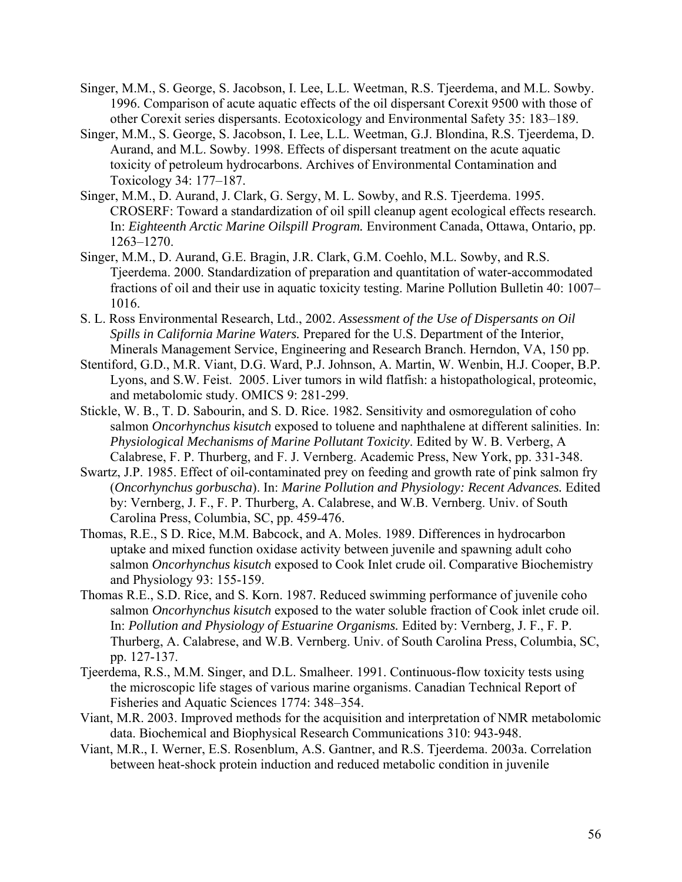- Singer, M.M., S. George, S. Jacobson, I. Lee, L.L. Weetman, R.S. Tjeerdema, and M.L. Sowby. 1996. Comparison of acute aquatic effects of the oil dispersant Corexit 9500 with those of other Corexit series dispersants. Ecotoxicology and Environmental Safety 35: 183–189.
- Singer, M.M., S. George, S. Jacobson, I. Lee, L.L. Weetman, G.J. Blondina, R.S. Tjeerdema, D. Aurand, and M.L. Sowby. 1998. Effects of dispersant treatment on the acute aquatic toxicity of petroleum hydrocarbons. Archives of Environmental Contamination and Toxicology 34: 177–187.
- Singer, M.M., D. Aurand, J. Clark, G. Sergy, M. L. Sowby, and R.S. Tjeerdema. 1995. CROSERF: Toward a standardization of oil spill cleanup agent ecological effects research. In: *Eighteenth Arctic Marine Oilspill Program.* Environment Canada, Ottawa, Ontario, pp. 1263–1270.
- Singer, M.M., D. Aurand, G.E. Bragin, J.R. Clark, G.M. Coehlo, M.L. Sowby, and R.S. Tjeerdema. 2000. Standardization of preparation and quantitation of water-accommodated fractions of oil and their use in aquatic toxicity testing. Marine Pollution Bulletin 40: 1007– 1016.
- S. L. Ross Environmental Research, Ltd., 2002. *Assessment of the Use of Dispersants on Oil Spills in California Marine Waters.* Prepared for the U.S. Department of the Interior, Minerals Management Service, Engineering and Research Branch. Herndon, VA, 150 pp.
- Stentiford, G.D., M.R. Viant, D.G. Ward, P.J. Johnson, A. Martin, W. Wenbin, H.J. Cooper, B.P. Lyons, and S.W. Feist. 2005. Liver tumors in wild flatfish: a histopathological, proteomic, and metabolomic study. OMICS 9: 281-299.
- Stickle, W. B., T. D. Sabourin, and S. D. Rice. 1982. Sensitivity and osmoregulation of coho salmon *Oncorhynchus kisutch* exposed to toluene and naphthalene at different salinities. In: *Physiological Mechanisms of Marine Pollutant Toxicity*. Edited by W. B. Verberg, A Calabrese, F. P. Thurberg, and F. J. Vernberg. Academic Press, New York, pp. 331-348.
- Swartz, J.P. 1985. Effect of oil-contaminated prey on feeding and growth rate of pink salmon fry (*Oncorhynchus gorbuscha*). In: *Marine Pollution and Physiology: Recent Advances.* Edited by: Vernberg, J. F., F. P. Thurberg, A. Calabrese, and W.B. Vernberg. Univ. of South Carolina Press, Columbia, SC, pp. 459-476.
- Thomas, R.E., S D. Rice, M.M. Babcock, and A. Moles. 1989. Differences in hydrocarbon uptake and mixed function oxidase activity between juvenile and spawning adult coho salmon *Oncorhynchus kisutch* exposed to Cook Inlet crude oil. Comparative Biochemistry and Physiology 93: 155-159.
- Thomas R.E., S.D. Rice, and S. Korn. 1987. Reduced swimming performance of juvenile coho salmon *Oncorhynchus kisutch* exposed to the water soluble fraction of Cook inlet crude oil. In: *Pollution and Physiology of Estuarine Organisms.* Edited by: Vernberg, J. F., F. P. Thurberg, A. Calabrese, and W.B. Vernberg. Univ. of South Carolina Press, Columbia, SC, pp. 127-137.
- Tjeerdema, R.S., M.M. Singer, and D.L. Smalheer. 1991. Continuous-flow toxicity tests using the microscopic life stages of various marine organisms. Canadian Technical Report of Fisheries and Aquatic Sciences 1774: 348–354.
- Viant, M.R. 2003. Improved methods for the acquisition and interpretation of NMR metabolomic data. Biochemical and Biophysical Research Communications 310: 943-948.
- Viant, M.R., I. Werner, E.S. Rosenblum, A.S. Gantner, and R.S. Tjeerdema. 2003a. Correlation between heat-shock protein induction and reduced metabolic condition in juvenile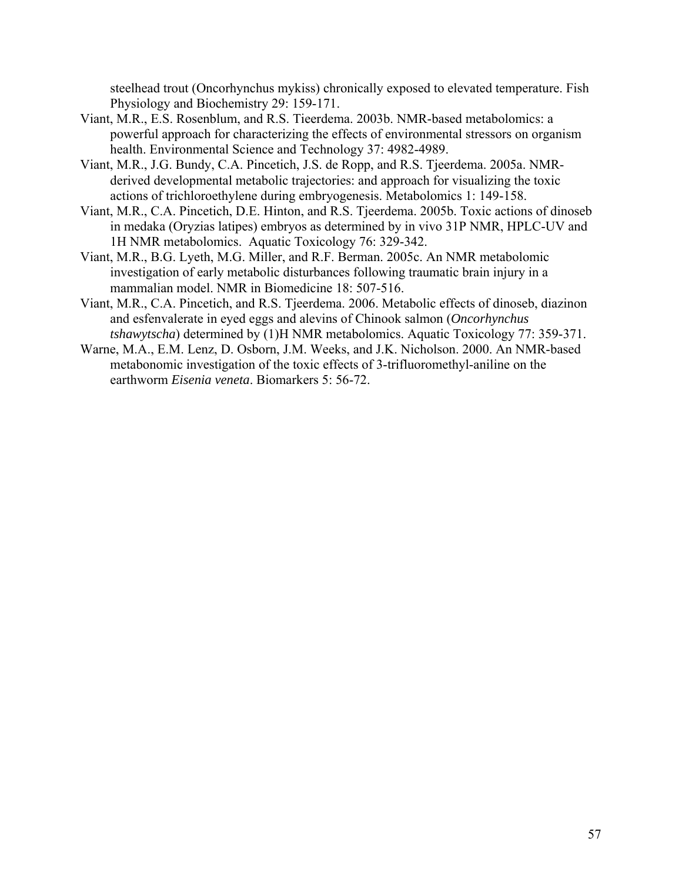steelhead trout (Oncorhynchus mykiss) chronically exposed to elevated temperature. Fish Physiology and Biochemistry 29: 159-171.

- Viant, M.R., E.S. Rosenblum, and R.S. Tieerdema. 2003b. NMR-based metabolomics: a powerful approach for characterizing the effects of environmental stressors on organism health. Environmental Science and Technology 37: 4982-4989.
- Viant, M.R., J.G. Bundy, C.A. Pincetich, J.S. de Ropp, and R.S. Tjeerdema. 2005a. NMRderived developmental metabolic trajectories: and approach for visualizing the toxic actions of trichloroethylene during embryogenesis. Metabolomics 1: 149-158.
- Viant, M.R., C.A. Pincetich, D.E. Hinton, and R.S. Tjeerdema. 2005b. Toxic actions of dinoseb in medaka (Oryzias latipes) embryos as determined by in vivo 31P NMR, HPLC-UV and 1H NMR metabolomics. Aquatic Toxicology 76: 329-342.
- Viant, M.R., B.G. Lyeth, M.G. Miller, and R.F. Berman. 2005c. An NMR metabolomic investigation of early metabolic disturbances following traumatic brain injury in a mammalian model. NMR in Biomedicine 18: 507-516.
- Viant, M.R., C.A. Pincetich, and R.S. Tjeerdema. 2006. Metabolic effects of dinoseb, diazinon and esfenvalerate in eyed eggs and alevins of Chinook salmon (*Oncorhynchus tshawytscha*) determined by (1)H NMR metabolomics. Aquatic Toxicology 77: 359-371.
- Warne, M.A., E.M. Lenz, D. Osborn, J.M. Weeks, and J.K. Nicholson. 2000. An NMR-based metabonomic investigation of the toxic effects of 3-trifluoromethyl-aniline on the earthworm *Eisenia veneta*. Biomarkers 5: 56-72.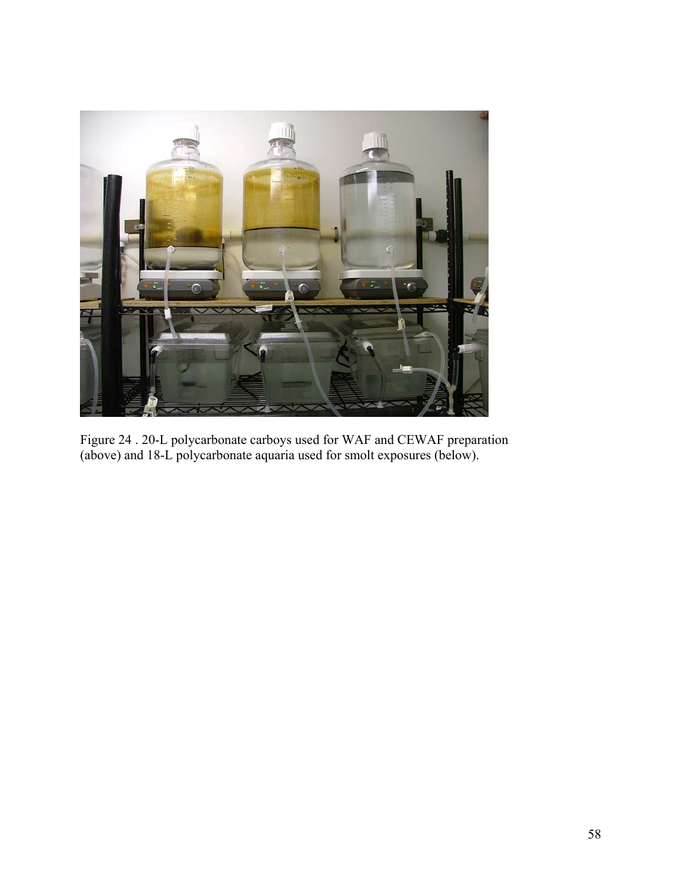

Figure 24 . 20-L polycarbonate carboys used for WAF and CEWAF preparation (above) and 18-L polycarbonate aquaria used for smolt exposures (below).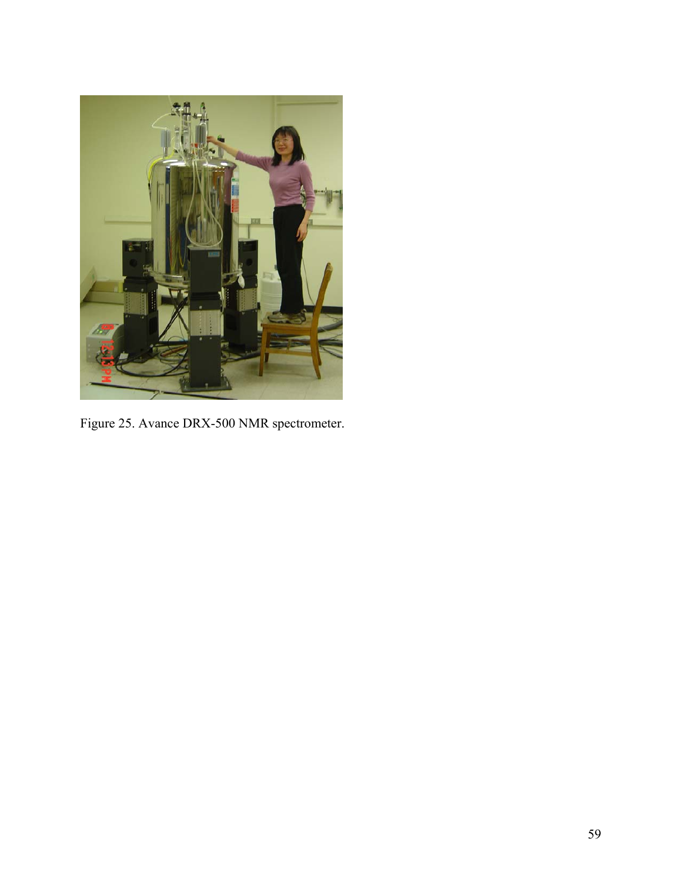

Figure 25. Avance DRX-500 NMR spectrometer.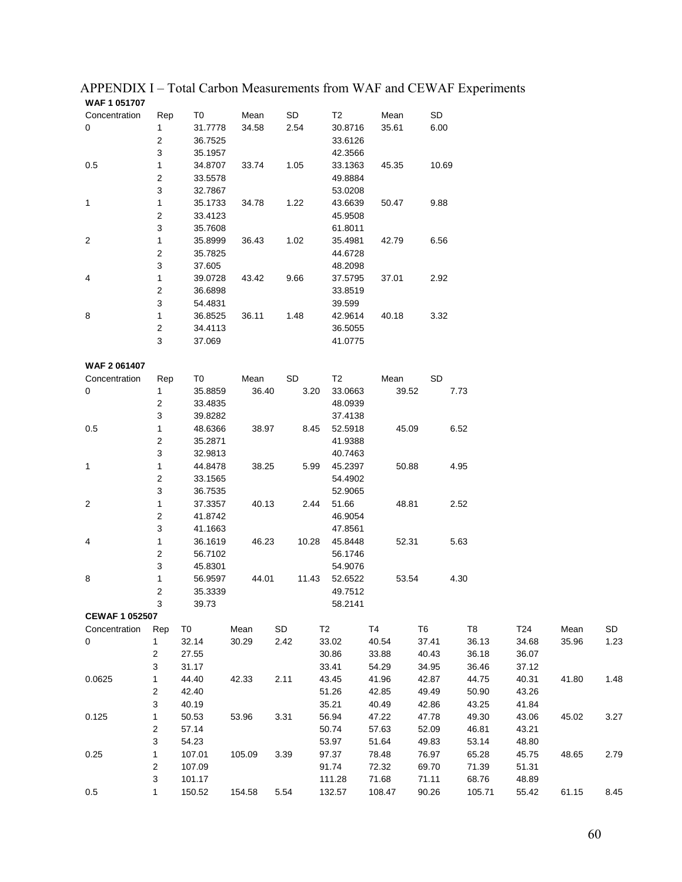| WAF 1 051707            |                         |                |        |      |       |                |        |       |                |      |        |       |       |      |
|-------------------------|-------------------------|----------------|--------|------|-------|----------------|--------|-------|----------------|------|--------|-------|-------|------|
| Concentration           | Rep                     | T0             | Mean   | SD   |       | T2             |        | Mean  | SD             |      |        |       |       |      |
| 0                       | 1                       | 31.7778        | 34.58  |      | 2.54  | 30.8716        |        | 35.61 | 6.00           |      |        |       |       |      |
|                         | 2                       | 36.7525        |        |      |       | 33.6126        |        |       |                |      |        |       |       |      |
|                         | 3                       | 35.1957        |        |      |       | 42.3566        |        |       |                |      |        |       |       |      |
| 0.5                     | 1                       | 34.8707        | 33.74  |      | 1.05  | 33.1363        |        | 45.35 | 10.69          |      |        |       |       |      |
|                         | 2                       | 33.5578        |        |      |       | 49.8884        |        |       |                |      |        |       |       |      |
|                         | 3                       | 32.7867        |        |      |       | 53.0208        |        |       |                |      |        |       |       |      |
| 1                       | $\mathbf{1}$            | 35.1733        | 34.78  |      | 1.22  | 43.6639        |        | 50.47 | 9.88           |      |        |       |       |      |
|                         | 2                       | 33.4123        |        |      |       | 45.9508        |        |       |                |      |        |       |       |      |
|                         | 3                       | 35.7608        |        |      |       | 61.8011        |        |       |                |      |        |       |       |      |
| $\overline{\mathbf{c}}$ | 1                       | 35.8999        | 36.43  |      | 1.02  | 35.4981        |        | 42.79 | 6.56           |      |        |       |       |      |
|                         | 2                       | 35.7825        |        |      |       | 44.6728        |        |       |                |      |        |       |       |      |
|                         | 3                       | 37.605         |        |      |       | 48.2098        |        |       |                |      |        |       |       |      |
| 4                       | $\mathbf{1}$            | 39.0728        | 43.42  |      | 9.66  | 37.5795        |        | 37.01 | 2.92           |      |        |       |       |      |
|                         | 2                       | 36.6898        |        |      |       | 33.8519        |        |       |                |      |        |       |       |      |
|                         | 3                       | 54.4831        |        |      |       | 39.599         |        |       |                |      |        |       |       |      |
| 8                       | 1                       | 36.8525        | 36.11  |      | 1.48  | 42.9614        |        | 40.18 | 3.32           |      |        |       |       |      |
|                         | $\boldsymbol{2}$        | 34.4113        |        |      |       | 36.5055        |        |       |                |      |        |       |       |      |
|                         | 3                       | 37.069         |        |      |       | 41.0775        |        |       |                |      |        |       |       |      |
|                         |                         |                |        |      |       |                |        |       |                |      |        |       |       |      |
| WAF 2061407             |                         |                |        |      |       |                |        |       |                |      |        |       |       |      |
| Concentration           | Rep                     | T0             | Mean   | SD   |       | T2             |        | Mean  | SD             |      |        |       |       |      |
| 0                       | 1                       | 35.8859        | 36.40  |      | 3.20  | 33.0663        |        | 39.52 |                | 7.73 |        |       |       |      |
|                         |                         |                |        |      |       |                |        |       |                |      |        |       |       |      |
|                         | 2                       | 33.4835        |        |      |       | 48.0939        |        |       |                |      |        |       |       |      |
|                         | 3                       | 39.8282        |        |      |       | 37.4138        |        |       |                |      |        |       |       |      |
| 0.5                     | $\mathbf{1}$            | 48.6366        | 38.97  |      | 8.45  | 52.5918        |        | 45.09 |                | 6.52 |        |       |       |      |
|                         | 2                       | 35.2871        |        |      |       | 41.9388        |        |       |                |      |        |       |       |      |
|                         | 3                       | 32.9813        |        |      |       | 40.7463        |        |       |                |      |        |       |       |      |
| 1                       | 1                       | 44.8478        | 38.25  |      | 5.99  | 45.2397        |        | 50.88 |                | 4.95 |        |       |       |      |
|                         | 2                       | 33.1565        |        |      |       | 54.4902        |        |       |                |      |        |       |       |      |
|                         | 3                       | 36.7535        |        |      |       | 52.9065        |        |       |                |      |        |       |       |      |
| 2                       | 1                       | 37.3357        | 40.13  |      | 2.44  | 51.66          |        | 48.81 |                | 2.52 |        |       |       |      |
|                         | 2                       | 41.8742        |        |      |       | 46.9054        |        |       |                |      |        |       |       |      |
|                         | 3                       | 41.1663        |        |      |       | 47.8561        |        |       |                |      |        |       |       |      |
| 4                       | 1                       | 36.1619        | 46.23  |      | 10.28 | 45.8448        |        | 52.31 |                | 5.63 |        |       |       |      |
|                         | 2                       | 56.7102        |        |      |       | 56.1746        |        |       |                |      |        |       |       |      |
|                         | 3                       | 45.8301        |        |      |       | 54.9076        |        |       |                |      |        |       |       |      |
| 8                       | 1                       | 56.9597        | 44.01  |      | 11.43 | 52.6522        |        | 53.54 |                | 4.30 |        |       |       |      |
|                         | 2                       | 35.3339        |        |      |       | 49.7512        |        |       |                |      |        |       |       |      |
|                         | 3                       | 39.73          |        |      |       | 58.2141        |        |       |                |      |        |       |       |      |
| <b>CEWAF 1 052507</b>   |                         |                |        |      |       |                |        |       |                |      |        |       |       |      |
| Concentration           | Rep                     | T <sub>0</sub> | Mean   | SD   |       | T <sub>2</sub> | T4     |       | T <sub>6</sub> |      | T8     | T24   | Mean  | SD   |
| 0                       | $\mathbf{1}$            | 32.14          | 30.29  | 2.42 |       | 33.02          | 40.54  |       | 37.41          |      | 36.13  | 34.68 | 35.96 | 1.23 |
|                         | $\overline{c}$          | 27.55          |        |      |       | 30.86          | 33.88  |       | 40.43          |      | 36.18  | 36.07 |       |      |
|                         | 3                       | 31.17          |        |      |       | 33.41          | 54.29  |       | 34.95          |      | 36.46  | 37.12 |       |      |
| 0.0625                  | 1                       | 44.40          | 42.33  | 2.11 |       | 43.45          | 41.96  |       | 42.87          |      | 44.75  | 40.31 | 41.80 | 1.48 |
|                         | $\overline{\mathbf{c}}$ | 42.40          |        |      |       | 51.26          | 42.85  |       | 49.49          |      | 50.90  | 43.26 |       |      |
|                         | $\mathsf 3$             | 40.19          |        |      |       | 35.21          | 40.49  |       | 42.86          |      | 43.25  | 41.84 |       |      |
| 0.125                   | 1                       | 50.53          | 53.96  | 3.31 |       | 56.94          | 47.22  |       | 47.78          |      | 49.30  | 43.06 | 45.02 | 3.27 |
|                         | $\boldsymbol{2}$        | 57.14          |        |      |       | 50.74          | 57.63  |       | 52.09          |      | 46.81  | 43.21 |       |      |
|                         | 3                       | 54.23          |        |      |       | 53.97          | 51.64  |       | 49.83          |      | 53.14  | 48.80 |       |      |
| 0.25                    | 1                       | 107.01         | 105.09 | 3.39 |       | 97.37          | 78.48  |       | 76.97          |      | 65.28  | 45.75 | 48.65 | 2.79 |
|                         | $\overline{\mathbf{c}}$ | 107.09         |        |      |       | 91.74          | 72.32  |       | 69.70          |      | 71.39  | 51.31 |       |      |
|                         | 3                       | 101.17         |        |      |       | 111.28         | 71.68  |       | 71.11          |      | 68.76  | 48.89 |       |      |
| 0.5                     | 1                       | 150.52         | 154.58 | 5.54 |       | 132.57         | 108.47 |       | 90.26          |      | 105.71 | 55.42 | 61.15 | 8.45 |
|                         |                         |                |        |      |       |                |        |       |                |      |        |       |       |      |

APPENDIX I – Total Carbon Measurements from WAF and CEWAF Experiments **WAF 1 051707**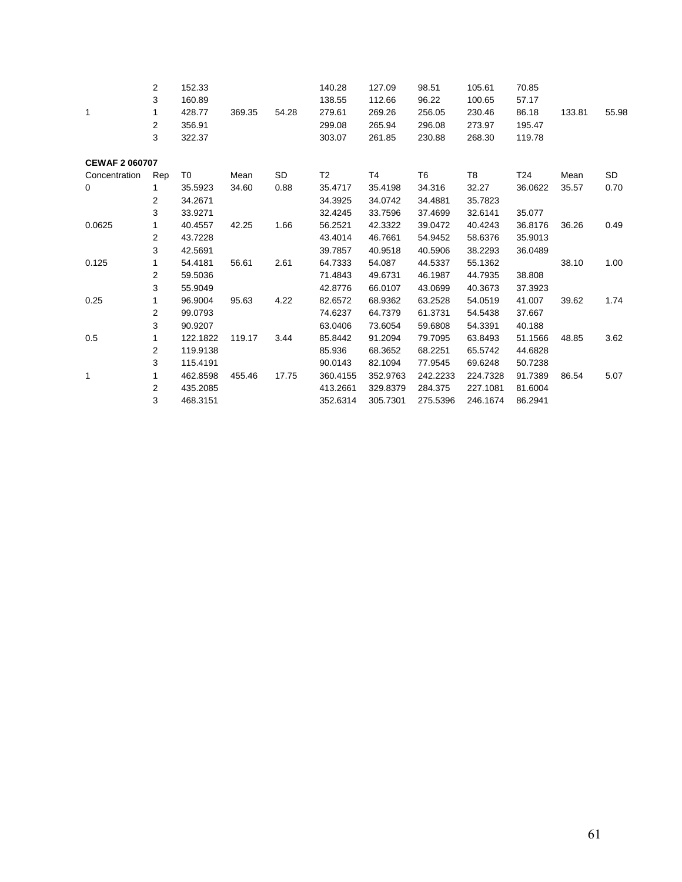|                       | 2              | 152.33   |        |       | 140.28         | 127.09   | 98.51          | 105.61   | 70.85   |        |       |
|-----------------------|----------------|----------|--------|-------|----------------|----------|----------------|----------|---------|--------|-------|
|                       | 3              | 160.89   |        |       | 138.55         | 112.66   | 96.22          | 100.65   | 57.17   |        |       |
| 1                     | 1              | 428.77   | 369.35 | 54.28 | 279.61         | 269.26   | 256.05         | 230.46   | 86.18   | 133.81 | 55.98 |
|                       | $\overline{2}$ | 356.91   |        |       | 299.08         | 265.94   | 296.08         | 273.97   | 195.47  |        |       |
|                       | 3              | 322.37   |        |       | 303.07         | 261.85   | 230.88         | 268.30   | 119.78  |        |       |
| <b>CEWAF 2 060707</b> |                |          |        |       |                |          |                |          |         |        |       |
| Concentration         | Rep            | T0       | Mean   | SD    | T <sub>2</sub> | T4       | T <sub>6</sub> | T8       | T24     | Mean   | SD    |
| 0                     | 1              | 35.5923  | 34.60  | 0.88  | 35.4717        | 35.4198  | 34.316         | 32.27    | 36.0622 | 35.57  | 0.70  |
|                       | 2              | 34.2671  |        |       | 34.3925        | 34.0742  | 34.4881        | 35.7823  |         |        |       |
|                       | 3              | 33.9271  |        |       | 32.4245        | 33.7596  | 37.4699        | 32.6141  | 35.077  |        |       |
| 0.0625                | 1              | 40.4557  | 42.25  | 1.66  | 56.2521        | 42.3322  | 39.0472        | 40.4243  | 36.8176 | 36.26  | 0.49  |
|                       | $\overline{2}$ | 43.7228  |        |       | 43.4014        | 46.7661  | 54.9452        | 58.6376  | 35.9013 |        |       |
|                       | 3              | 42.5691  |        |       | 39.7857        | 40.9518  | 40.5906        | 38.2293  | 36.0489 |        |       |
| 0.125                 | 1              | 54.4181  | 56.61  | 2.61  | 64.7333        | 54.087   | 44.5337        | 55.1362  |         | 38.10  | 1.00  |
|                       | $\overline{2}$ | 59.5036  |        |       | 71.4843        | 49.6731  | 46.1987        | 44.7935  | 38.808  |        |       |
|                       | 3              | 55.9049  |        |       | 42.8776        | 66.0107  | 43.0699        | 40.3673  | 37.3923 |        |       |
| 0.25                  | 1              | 96.9004  | 95.63  | 4.22  | 82.6572        | 68.9362  | 63.2528        | 54.0519  | 41.007  | 39.62  | 1.74  |
|                       | 2              | 99.0793  |        |       | 74.6237        | 64.7379  | 61.3731        | 54.5438  | 37.667  |        |       |
|                       | 3              | 90.9207  |        |       | 63.0406        | 73.6054  | 59.6808        | 54.3391  | 40.188  |        |       |
| 0.5                   | 1              | 122.1822 | 119.17 | 3.44  | 85.8442        | 91.2094  | 79.7095        | 63.8493  | 51.1566 | 48.85  | 3.62  |
|                       | $\overline{2}$ | 119.9138 |        |       | 85.936         | 68.3652  | 68.2251        | 65.5742  | 44.6828 |        |       |
|                       | 3              | 115.4191 |        |       | 90.0143        | 82.1094  | 77.9545        | 69.6248  | 50.7238 |        |       |
| 1                     | 1              | 462.8598 | 455.46 | 17.75 | 360.4155       | 352.9763 | 242.2233       | 224.7328 | 91.7389 | 86.54  | 5.07  |
|                       | 2              | 435.2085 |        |       | 413.2661       | 329.8379 | 284.375        | 227.1081 | 81.6004 |        |       |
|                       | 3              | 468.3151 |        |       | 352.6314       | 305.7301 | 275.5396       | 246.1674 | 86.2941 |        |       |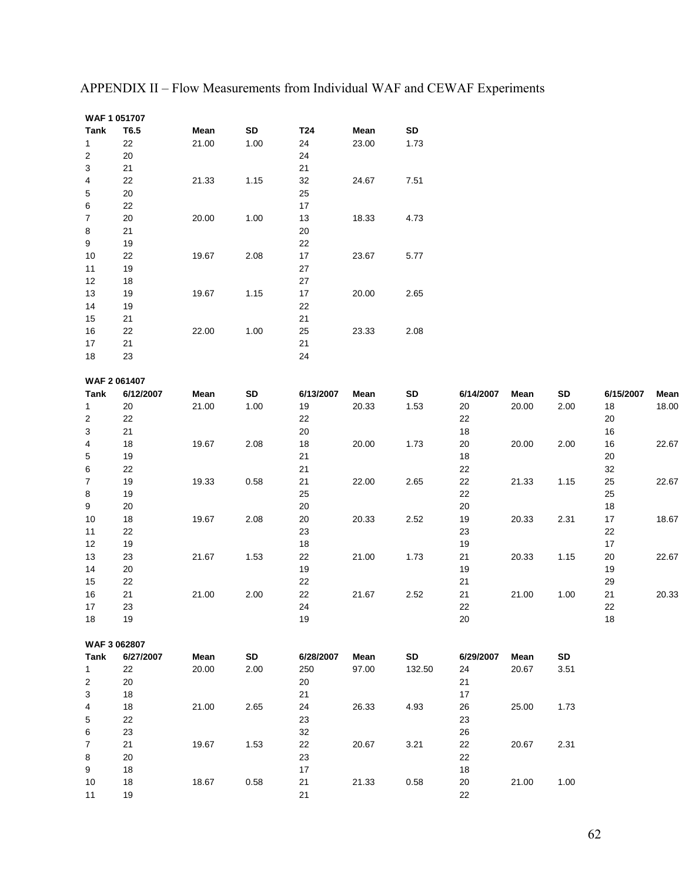| <b>Tank</b>    | T6.5      | Mean  | SD   | T24       | Mean  | SD     |           |       |      |           |       |
|----------------|-----------|-------|------|-----------|-------|--------|-----------|-------|------|-----------|-------|
| 1              | 22        | 21.00 | 1.00 | 24        | 23.00 | 1.73   |           |       |      |           |       |
| 2              | 20        |       |      | 24        |       |        |           |       |      |           |       |
| 3              | 21        |       |      | 21        |       |        |           |       |      |           |       |
| 4              | 22        | 21.33 | 1.15 | $32\,$    | 24.67 | 7.51   |           |       |      |           |       |
| 5              | 20        |       |      | 25        |       |        |           |       |      |           |       |
| 6              | 22        |       |      | $17$      |       |        |           |       |      |           |       |
| $\overline{7}$ | 20        | 20.00 | 1.00 | 13        | 18.33 | 4.73   |           |       |      |           |       |
| 8              | 21        |       |      | 20        |       |        |           |       |      |           |       |
| 9              | 19        |       |      | 22        |       |        |           |       |      |           |       |
| 10             | 22        | 19.67 | 2.08 | $17\,$    | 23.67 | 5.77   |           |       |      |           |       |
| 11             | 19        |       |      | 27        |       |        |           |       |      |           |       |
| 12             | 18        |       |      | 27        |       |        |           |       |      |           |       |
| 13             | 19        | 19.67 | 1.15 | 17        | 20.00 | 2.65   |           |       |      |           |       |
| 14             | 19        |       |      | 22        |       |        |           |       |      |           |       |
| 15             | 21        |       |      | 21        |       |        |           |       |      |           |       |
| 16             | 22        | 22.00 | 1.00 | 25        | 23.33 | 2.08   |           |       |      |           |       |
| 17             | 21        |       |      | 21        |       |        |           |       |      |           |       |
| 18             | 23        |       |      | 24        |       |        |           |       |      |           |       |
|                |           |       |      |           |       |        |           |       |      |           |       |
| WAF 2 061407   |           |       |      |           |       |        |           |       |      |           |       |
| <b>Tank</b>    | 6/12/2007 | Mean  | SD   | 6/13/2007 | Mean  | SD     | 6/14/2007 | Mean  | SD   | 6/15/2007 | Mean  |
| 1              | 20        | 21.00 | 1.00 | 19        | 20.33 | 1.53   | 20        | 20.00 | 2.00 | 18        | 18.00 |
| 2              | 22        |       |      | 22        |       |        | 22        |       |      | 20        |       |
| 3              | 21        |       |      | 20        |       |        | $18$      |       |      | 16        |       |
| 4              | 18        | 19.67 | 2.08 | 18        | 20.00 | 1.73   | 20        | 20.00 | 2.00 | 16        | 22.67 |
| 5              | 19        |       |      | 21        |       |        | $18\,$    |       |      | 20        |       |
| 6              | 22        |       |      | 21        |       |        | 22        |       |      | 32        |       |
| 7              | 19        | 19.33 | 0.58 | 21        | 22.00 | 2.65   | 22        | 21.33 | 1.15 | 25        | 22.67 |
| 8              | 19        |       |      | 25        |       |        | 22        |       |      | 25        |       |
| 9              | 20        |       |      | $20\,$    |       |        | $20\,$    |       |      | 18        |       |
| 10             | 18        | 19.67 | 2.08 | 20        | 20.33 | 2.52   | 19        | 20.33 | 2.31 | 17        | 18.67 |
| 11             | 22        |       |      | 23        |       |        | 23        |       |      | 22        |       |
| 12             | 19        |       |      | 18        |       |        | 19        |       |      | $17\,$    |       |
| 13             | 23        | 21.67 | 1.53 | 22        | 21.00 | 1.73   | 21        | 20.33 | 1.15 | 20        | 22.67 |
| 14             | 20        |       |      | 19        |       |        | 19        |       |      | 19        |       |
| 15             | 22        |       |      | 22        |       |        | 21        |       |      | 29        |       |
| 16             | 21        | 21.00 | 2.00 | 22        | 21.67 | 2.52   | 21        | 21.00 | 1.00 | 21        | 20.33 |
| 17             | 23        |       |      | 24        |       |        | 22        |       |      | 22        |       |
| 18             | 19        |       |      | 19        |       |        | 20        |       |      | 18        |       |
|                |           |       |      |           |       |        |           |       |      |           |       |
| WAF 3 062807   |           |       |      |           |       |        |           |       |      |           |       |
| Tank           | 6/27/2007 | Mean  | SD   | 6/28/2007 | Mean  | SD     | 6/29/2007 | Mean  | SD   |           |       |
| $\mathbf{1}$   | 22        | 20.00 | 2.00 | 250       | 97.00 | 132.50 | 24        | 20.67 | 3.51 |           |       |
| 2              | 20        |       |      | 20        |       |        | 21        |       |      |           |       |
| 3              | 18        |       |      | 21        |       |        | 17        |       |      |           |       |
| 4              | 18        | 21.00 | 2.65 | 24        | 26.33 | 4.93   | 26        | 25.00 | 1.73 |           |       |
| 5              | 22        |       |      | 23        |       |        | 23        |       |      |           |       |
| 6              | 23        |       |      | 32        |       |        | 26        |       |      |           |       |
| $\overline{7}$ | 21        | 19.67 | 1.53 | 22        | 20.67 | 3.21   | 22        | 20.67 | 2.31 |           |       |
| 8              | 20        |       |      | 23        |       |        | 22        |       |      |           |       |
| 9              | 18        |       |      | 17        |       |        | 18        |       |      |           |       |
| 10             | 18        | 18.67 | 0.58 | 21        | 21.33 | 0.58   | 20        | 21.00 | 1.00 |           |       |
| 11             | 19        |       |      | 21        |       |        | 22        |       |      |           |       |

APPENDIX II – Flow Measurements from Individual WAF and CEWAF Experiments

**WAF 1 051707**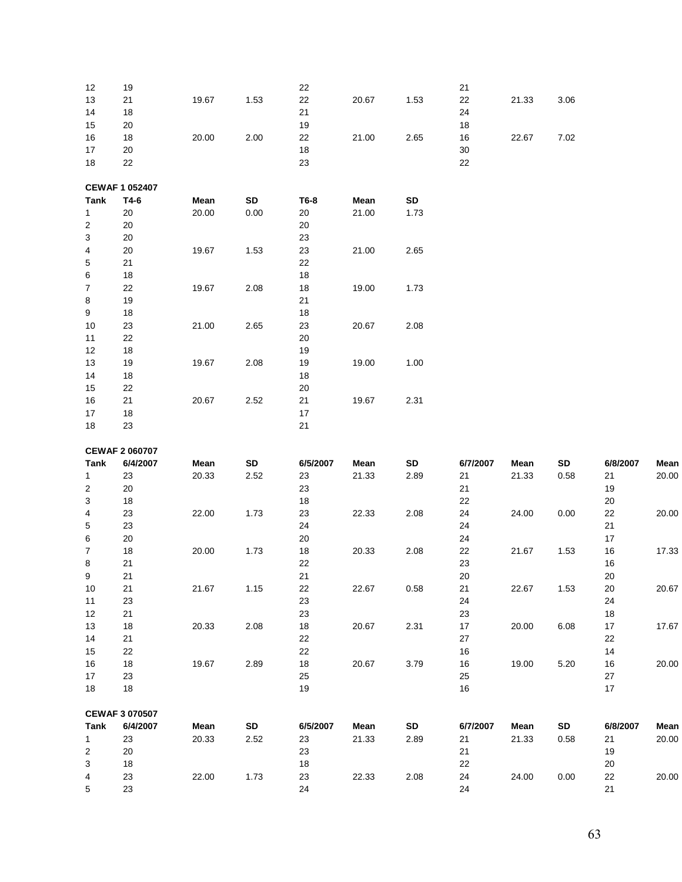| 12               | 19                    |       |      | 22       |       |      | 21       |       |      |          |       |
|------------------|-----------------------|-------|------|----------|-------|------|----------|-------|------|----------|-------|
| 13               | 21                    | 19.67 | 1.53 | 22       | 20.67 | 1.53 | 22       | 21.33 | 3.06 |          |       |
| 14               | 18                    |       |      | 21       |       |      | 24       |       |      |          |       |
| 15               | 20                    |       |      | 19       |       |      | 18       |       |      |          |       |
| $16$             | 18                    | 20.00 | 2.00 | 22       | 21.00 | 2.65 | 16       | 22.67 | 7.02 |          |       |
| 17               | 20                    |       |      | 18       |       |      | 30       |       |      |          |       |
| $18$             | 22                    |       |      | 23       |       |      | 22       |       |      |          |       |
|                  |                       |       |      |          |       |      |          |       |      |          |       |
|                  | <b>CEWAF 1 052407</b> |       |      |          |       |      |          |       |      |          |       |
| Tank             | T4-6                  | Mean  | SD   | T6-8     | Mean  | SD   |          |       |      |          |       |
| 1                | 20                    | 20.00 | 0.00 | 20       | 21.00 | 1.73 |          |       |      |          |       |
| 2                | 20                    |       |      | 20       |       |      |          |       |      |          |       |
| 3                | 20                    |       |      | 23       |       |      |          |       |      |          |       |
| 4                | 20                    | 19.67 | 1.53 | 23       | 21.00 | 2.65 |          |       |      |          |       |
| 5                | 21                    |       |      | 22       |       |      |          |       |      |          |       |
| 6                | 18                    |       |      | 18       |       |      |          |       |      |          |       |
| $\overline{7}$   | 22                    | 19.67 | 2.08 | 18       | 19.00 | 1.73 |          |       |      |          |       |
| 8                | 19                    |       |      | 21       |       |      |          |       |      |          |       |
| 9                | 18                    |       |      | $18$     |       |      |          |       |      |          |       |
| 10               |                       |       |      |          | 20.67 |      |          |       |      |          |       |
|                  | 23                    | 21.00 | 2.65 | 23       |       | 2.08 |          |       |      |          |       |
| 11               | 22                    |       |      | 20       |       |      |          |       |      |          |       |
| 12               | 18                    |       |      | 19       |       |      |          |       |      |          |       |
| 13               | 19                    | 19.67 | 2.08 | 19       | 19.00 | 1.00 |          |       |      |          |       |
| 14               | 18                    |       |      | 18       |       |      |          |       |      |          |       |
| 15               | 22                    |       |      | $20\,$   |       |      |          |       |      |          |       |
| 16               | 21                    | 20.67 | 2.52 | 21       | 19.67 | 2.31 |          |       |      |          |       |
| 17               | 18                    |       |      | $17$     |       |      |          |       |      |          |       |
| 18               | 23                    |       |      | 21       |       |      |          |       |      |          |       |
|                  |                       |       |      |          |       |      |          |       |      |          |       |
|                  |                       |       |      |          |       |      |          |       |      |          |       |
|                  | <b>CEWAF 2 060707</b> |       |      |          |       |      |          |       |      |          |       |
| Tank             | 6/4/2007              | Mean  | SD   | 6/5/2007 | Mean  | SD   | 6/7/2007 | Mean  | SD   | 6/8/2007 | Mean  |
| 1                | 23                    | 20.33 | 2.52 | 23       | 21.33 | 2.89 | 21       | 21.33 | 0.58 | 21       | 20.00 |
| 2                | 20                    |       |      | 23       |       |      | 21       |       |      | 19       |       |
| 3                | 18                    |       |      | 18       |       |      | 22       |       |      | 20       |       |
| 4                | 23                    | 22.00 | 1.73 | 23       | 22.33 | 2.08 | 24       | 24.00 | 0.00 | 22       | 20.00 |
| 5                | 23                    |       |      | 24       |       |      | 24       |       |      | 21       |       |
| 6                | 20                    |       |      | $20\,$   |       |      | 24       |       |      | $17\,$   |       |
| $\boldsymbol{7}$ | $18$                  | 20.00 | 1.73 | 18       | 20.33 | 2.08 | 22       | 21.67 | 1.53 | $16\,$   | 17.33 |
| 8                | 21                    |       |      | 22       |       |      | 23       |       |      | $16\,$   |       |
| 9                | 21                    |       |      | 21       |       |      | 20       |       |      | 20       |       |
| 10               | 21                    | 21.67 | 1.15 | 22       | 22.67 | 0.58 | 21       | 22.67 | 1.53 | 20       | 20.67 |
| 11               | 23                    |       |      | 23       |       |      | 24       |       |      | 24       |       |
| 12               | 21                    |       |      | 23       |       |      | 23       |       |      | 18       |       |
| 13               | 18                    | 20.33 | 2.08 | 18       | 20.67 | 2.31 | 17       | 20.00 | 6.08 | 17       | 17.67 |
| 14               | 21                    |       |      | 22       |       |      | 27       |       |      | 22       |       |
| 15               | 22                    |       |      | 22       |       |      | 16       |       |      | 14       |       |
| $16\,$           | 18                    | 19.67 | 2.89 | 18       | 20.67 | 3.79 | 16       | 19.00 | 5.20 | 16       | 20.00 |
| 17               | 23                    |       |      | 25       |       |      | 25       |       |      | 27       |       |
| 18               | 18                    |       |      | 19       |       |      | 16       |       |      | 17       |       |
|                  |                       |       |      |          |       |      |          |       |      |          |       |
|                  | <b>CEWAF 3 070507</b> |       |      |          |       |      |          |       |      |          |       |
| Tank             | 6/4/2007              | Mean  | SD   | 6/5/2007 | Mean  | SD   | 6/7/2007 | Mean  | SD   | 6/8/2007 | Mean  |
| $\mathbf{1}$     | 23                    | 20.33 | 2.52 | 23       | 21.33 | 2.89 | 21       | 21.33 | 0.58 | 21       | 20.00 |
| $\overline{2}$   | 20                    |       |      | 23       |       |      | 21       |       |      | 19       |       |
| 3                | 18                    |       |      | 18       |       |      | 22       |       |      | 20       |       |
| 4<br>5           | 23<br>23              | 22.00 | 1.73 | 23<br>24 | 22.33 | 2.08 | 24<br>24 | 24.00 | 0.00 | 22<br>21 | 20.00 |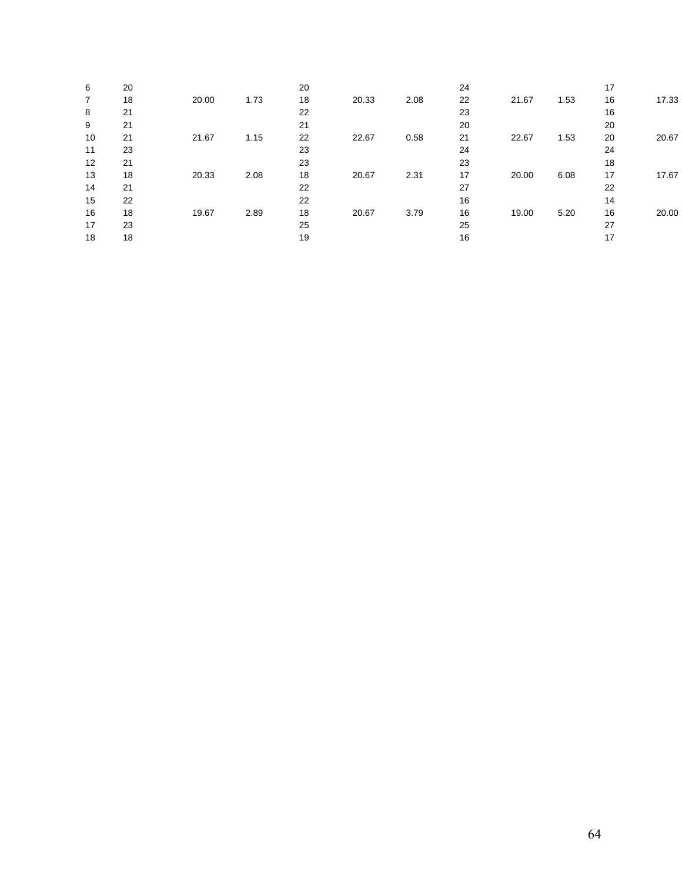| 6                 | 20 |       |      | 20 |       |      | 24 |       |      | 17 |       |
|-------------------|----|-------|------|----|-------|------|----|-------|------|----|-------|
| 7                 | 18 | 20.00 | 1.73 | 18 | 20.33 | 2.08 | 22 | 21.67 | 1.53 | 16 | 17.33 |
| 8                 | 21 |       |      | 22 |       |      | 23 |       |      | 16 |       |
| 9                 | 21 |       |      | 21 |       |      | 20 |       |      | 20 |       |
| 10                | 21 | 21.67 | 1.15 | 22 | 22.67 | 0.58 | 21 | 22.67 | 1.53 | 20 | 20.67 |
| 11                | 23 |       |      | 23 |       |      | 24 |       |      | 24 |       |
| $12 \overline{ }$ | 21 |       |      | 23 |       |      | 23 |       |      | 18 |       |
| 13                | 18 | 20.33 | 2.08 | 18 | 20.67 | 2.31 | 17 | 20.00 | 6.08 | 17 | 17.67 |
| 14                | 21 |       |      | 22 |       |      | 27 |       |      | 22 |       |
| 15                | 22 |       |      | 22 |       |      | 16 |       |      | 14 |       |
| 16                | 18 | 19.67 | 2.89 | 18 | 20.67 | 3.79 | 16 | 19.00 | 5.20 | 16 | 20.00 |
| 17                | 23 |       |      | 25 |       |      | 25 |       |      | 27 |       |
| 18                | 18 |       |      | 19 |       |      | 16 |       |      | 17 |       |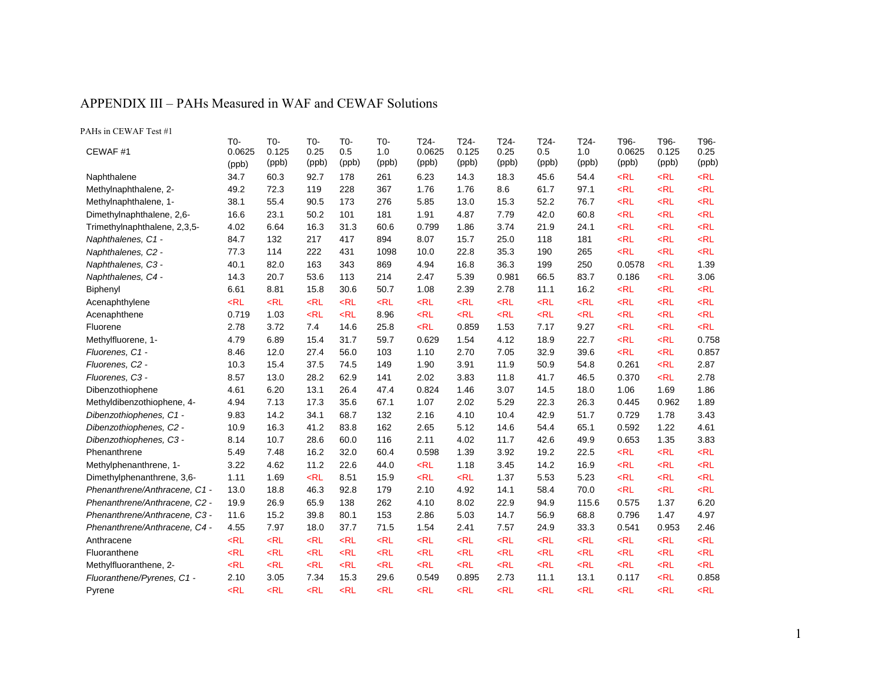#### APPENDIX III – PAHs Measured in WAF and CEWAF Solutions

| PAHs in CEWAF Test #1         |                        |                       |                      |                     |                     |                         |                        |                       |                      |                      |                         |                        |                       |
|-------------------------------|------------------------|-----------------------|----------------------|---------------------|---------------------|-------------------------|------------------------|-----------------------|----------------------|----------------------|-------------------------|------------------------|-----------------------|
| CEWAF#1                       | T0-<br>0.0625<br>(ppb) | T0-<br>0.125<br>(ppb) | T0-<br>0.25<br>(ppb) | T0-<br>0.5<br>(ppb) | T0-<br>1.0<br>(ppb) | T24-<br>0.0625<br>(ppb) | T24-<br>0.125<br>(ppb) | T24-<br>0.25<br>(ppb) | T24-<br>0.5<br>(ppb) | T24-<br>1.0<br>(ppb) | T96-<br>0.0625<br>(ppb) | T96-<br>0.125<br>(ppb) | T96-<br>0.25<br>(ppb) |
| Naphthalene                   | 34.7                   | 60.3                  | 92.7                 | 178                 | 261                 | 6.23                    | 14.3                   | 18.3                  | 45.6                 | 54.4                 | $<$ RL                  | $<$ RL                 | $<$ RL                |
| Methylnaphthalene, 2-         | 49.2                   | 72.3                  | 119                  | 228                 | 367                 | 1.76                    | 1.76                   | 8.6                   | 61.7                 | 97.1                 | $<$ RL                  | $<$ RL                 | $<$ RL                |
| Methylnaphthalene, 1-         | 38.1                   | 55.4                  | 90.5                 | 173                 | 276                 | 5.85                    | 13.0                   | 15.3                  | 52.2                 | 76.7                 | $<$ RL                  | $<$ RL                 | $<$ RL                |
| Dimethylnaphthalene, 2,6-     | 16.6                   | 23.1                  | 50.2                 | 101                 | 181                 | 1.91                    | 4.87                   | 7.79                  | 42.0                 | 60.8                 | $<$ RL                  | $<$ RL                 | $<$ RL                |
| Trimethylnaphthalene, 2,3,5-  | 4.02                   | 6.64                  | 16.3                 | 31.3                | 60.6                | 0.799                   | 1.86                   | 3.74                  | 21.9                 | 24.1                 | $<$ RL                  | $<$ RL                 | $<$ RL                |
| Naphthalenes, C1 -            | 84.7                   | 132                   | 217                  | 417                 | 894                 | 8.07                    | 15.7                   | 25.0                  | 118                  | 181                  | $<$ RL                  | $<$ RL                 | $<$ RL                |
| Naphthalenes, C2 -            | 77.3                   | 114                   | 222                  | 431                 | 1098                | 10.0                    | 22.8                   | 35.3                  | 190                  | 265                  | $<$ RL                  | $<$ RL                 | $<$ RL                |
| Naphthalenes, C3 -            | 40.1                   | 82.0                  | 163                  | 343                 | 869                 | 4.94                    | 16.8                   | 36.3                  | 199                  | 250                  | 0.0578                  | $<$ RL                 | 1.39                  |
| Naphthalenes, C4 -            | 14.3                   | 20.7                  | 53.6                 | 113                 | 214                 | 2.47                    | 5.39                   | 0.981                 | 66.5                 | 83.7                 | 0.186                   | $<$ RL                 | 3.06                  |
| Biphenyl                      | 6.61                   | 8.81                  | 15.8                 | 30.6                | 50.7                | 1.08                    | 2.39                   | 2.78                  | 11.1                 | 16.2                 | $<$ RL                  | $<$ RL                 | $<$ RL                |
| Acenaphthylene                | $<$ RL                 | $<$ RL                | $<$ RL               | $<$ RL              | $<$ RL              | $<$ RL                  | $<$ RL                 | $<$ RL                | $<$ RL               | $<$ RL               | $<$ RL                  | $<$ RL                 | $<$ RL                |
| Acenaphthene                  | 0.719                  | 1.03                  | $<$ RL               | $<$ RL              | 8.96                | $<$ RL                  | $<$ RL                 | $<$ RL                | $<$ RL               | $<$ RL               | $<$ RL                  | $<$ RL                 | $<$ RL                |
| Fluorene                      | 2.78                   | 3.72                  | 7.4                  | 14.6                | 25.8                | $<$ RL                  | 0.859                  | 1.53                  | 7.17                 | 9.27                 | $<$ RL                  | $<$ RL                 | $<$ RL                |
| Methylfluorene, 1-            | 4.79                   | 6.89                  | 15.4                 | 31.7                | 59.7                | 0.629                   | 1.54                   | 4.12                  | 18.9                 | 22.7                 | $<$ RL                  | $<$ RL                 | 0.758                 |
| Fluorenes, C1 -               | 8.46                   | 12.0                  | 27.4                 | 56.0                | 103                 | 1.10                    | 2.70                   | 7.05                  | 32.9                 | 39.6                 | $<$ RL                  | $<$ RL                 | 0.857                 |
| Fluorenes, C2 -               | 10.3                   | 15.4                  | 37.5                 | 74.5                | 149                 | 1.90                    | 3.91                   | 11.9                  | 50.9                 | 54.8                 | 0.261                   | $<$ RL                 | 2.87                  |
| Fluorenes, C3 -               | 8.57                   | 13.0                  | 28.2                 | 62.9                | 141                 | 2.02                    | 3.83                   | 11.8                  | 41.7                 | 46.5                 | 0.370                   | $<$ RL                 | 2.78                  |
| Dibenzothiophene              | 4.61                   | 6.20                  | 13.1                 | 26.4                | 47.4                | 0.824                   | 1.46                   | 3.07                  | 14.5                 | 18.0                 | 1.06                    | 1.69                   | 1.86                  |
| Methyldibenzothiophene, 4-    | 4.94                   | 7.13                  | 17.3                 | 35.6                | 67.1                | 1.07                    | 2.02                   | 5.29                  | 22.3                 | 26.3                 | 0.445                   | 0.962                  | 1.89                  |
| Dibenzothiophenes, C1 -       | 9.83                   | 14.2                  | 34.1                 | 68.7                | 132                 | 2.16                    | 4.10                   | 10.4                  | 42.9                 | 51.7                 | 0.729                   | 1.78                   | 3.43                  |
| Dibenzothiophenes, C2 -       | 10.9                   | 16.3                  | 41.2                 | 83.8                | 162                 | 2.65                    | 5.12                   | 14.6                  | 54.4                 | 65.1                 | 0.592                   | 1.22                   | 4.61                  |
| Dibenzothiophenes, C3 -       | 8.14                   | 10.7                  | 28.6                 | 60.0                | 116                 | 2.11                    | 4.02                   | 11.7                  | 42.6                 | 49.9                 | 0.653                   | 1.35                   | 3.83                  |
| Phenanthrene                  | 5.49                   | 7.48                  | 16.2                 | 32.0                | 60.4                | 0.598                   | 1.39                   | 3.92                  | 19.2                 | 22.5                 | $<$ RL                  | $<$ RL                 | $<$ RL                |
| Methylphenanthrene, 1-        | 3.22                   | 4.62                  | 11.2                 | 22.6                | 44.0                | $<$ RL                  | 1.18                   | 3.45                  | 14.2                 | 16.9                 | $<$ RL                  | $<$ RL                 | $<$ RL                |
| Dimethylphenanthrene, 3,6-    | 1.11                   | 1.69                  | $<$ RL               | 8.51                | 15.9                | $<$ RL                  | $<$ RL                 | 1.37                  | 5.53                 | 5.23                 | $<$ RL                  | $<$ RL                 | $<$ RL                |
| Phenanthrene/Anthracene, C1 - | 13.0                   | 18.8                  | 46.3                 | 92.8                | 179                 | 2.10                    | 4.92                   | 14.1                  | 58.4                 | 70.0                 | $<$ RL                  | $<$ RL                 | $<$ RL                |
| Phenanthrene/Anthracene, C2 - | 19.9                   | 26.9                  | 65.9                 | 138                 | 262                 | 4.10                    | 8.02                   | 22.9                  | 94.9                 | 115.6                | 0.575                   | 1.37                   | 6.20                  |
| Phenanthrene/Anthracene, C3 - | 11.6                   | 15.2                  | 39.8                 | 80.1                | 153                 | 2.86                    | 5.03                   | 14.7                  | 56.9                 | 68.8                 | 0.796                   | 1.47                   | 4.97                  |
| Phenanthrene/Anthracene, C4 - | 4.55                   | 7.97                  | 18.0                 | 37.7                | 71.5                | 1.54                    | 2.41                   | 7.57                  | 24.9                 | 33.3                 | 0.541                   | 0.953                  | 2.46                  |
| Anthracene                    | $<$ RL                 | $<$ RL                | $<$ RL               | $<$ RL              | $<$ RL              | $<$ RL                  | $<$ RL                 | $<$ RL                | $<$ RL               | $<$ RL               | $<$ RL                  | $<$ RL                 | $<$ RL                |
| Fluoranthene                  | $<$ RL                 | $<$ RL                | $<$ RL               | $<$ RL              | $<$ RL              | $<$ RL                  | $<$ RL                 | $<$ RL                | $<$ RL               | $<$ RL               | $<$ RL                  | $<$ RL                 | $<$ RL                |
| Methylfluoranthene, 2-        | $<$ RL                 | $<$ RL                | $<$ RL               | $<$ RL              | $<$ RL              | $<$ RL                  | $<$ RL                 | $<$ RL                | $<$ RL               | $<$ RL               | $<$ RL                  | $<$ RL                 | $<$ RL                |
| Fluoranthene/Pyrenes, C1 -    | 2.10                   | 3.05                  | 7.34                 | 15.3                | 29.6                | 0.549                   | 0.895                  | 2.73                  | 11.1                 | 13.1                 | 0.117                   | $<$ RL                 | 0.858                 |
| Pyrene                        | $<$ RL                 | $<$ RL                | $<$ RL               | $<$ RL              | $<$ RL              | $<$ RL                  | $<$ RL                 | $<$ RL                | $<$ RL               | $<$ RL               | $<$ RL                  | $<$ RL                 | $<$ RL                |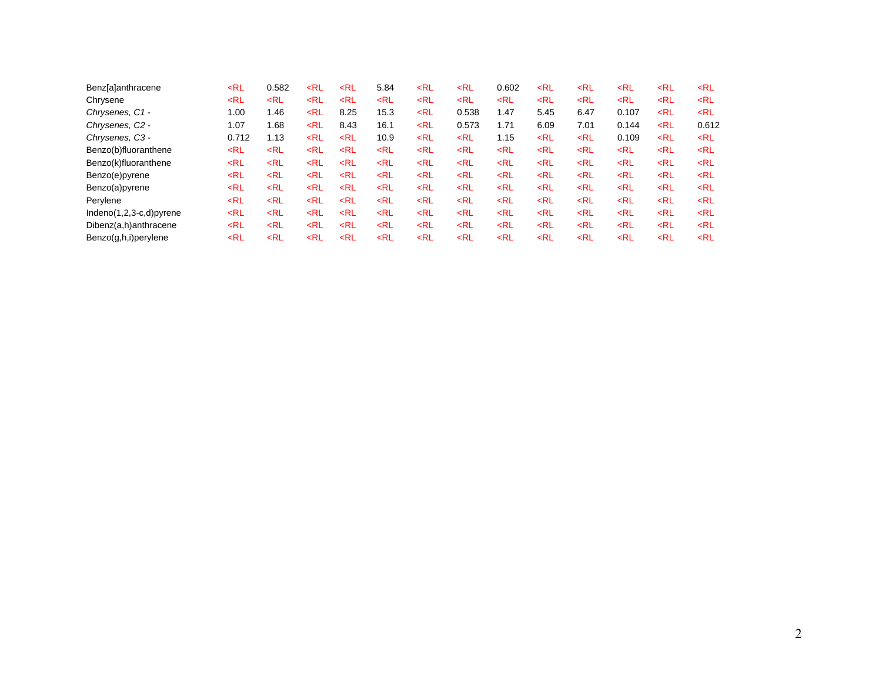| <b>Benz</b> [a]anthracene   | $<$ RL                                                                                                                                                                                                                                                                                                                                                            | 0.582  | $<$ RL                                                                                                                                                                           | $<$ RL | 5.84   | <rl< th=""><th><math>&lt;</math>RL</th><th>0.602</th><th><math>&lt;</math>RL</th><th><math>&lt;</math>RL</th><th><rl< th=""><th><rl< th=""><th><math>&lt;</math>RL</th></rl<></th></rl<></th></rl<>               | $<$ RL                                                                                                                                                                                    | 0.602  | $<$ RL | $<$ RL | <rl< th=""><th><rl< th=""><th><math>&lt;</math>RL</th></rl<></th></rl<>   | <rl< th=""><th><math>&lt;</math>RL</th></rl<> | $<$ RL |
|-----------------------------|-------------------------------------------------------------------------------------------------------------------------------------------------------------------------------------------------------------------------------------------------------------------------------------------------------------------------------------------------------------------|--------|----------------------------------------------------------------------------------------------------------------------------------------------------------------------------------|--------|--------|-------------------------------------------------------------------------------------------------------------------------------------------------------------------------------------------------------------------|-------------------------------------------------------------------------------------------------------------------------------------------------------------------------------------------|--------|--------|--------|---------------------------------------------------------------------------|-----------------------------------------------|--------|
| Chrysene                    | $<$ RL                                                                                                                                                                                                                                                                                                                                                            | $<$ RL | $<$ RL                                                                                                                                                                           | $<$ RL | $<$ RL | <rl< td=""><td><rl< td=""><td><math>&lt;</math>RL</td><td><math>&lt;</math>RL</td><td><math>&lt;</math>RL</td><td><math>&lt;</math>RL</td><td><rl< td=""><td><math>&lt;</math>RL</td></rl<></td></rl<></td></rl<> | <rl< td=""><td><math>&lt;</math>RL</td><td><math>&lt;</math>RL</td><td><math>&lt;</math>RL</td><td><math>&lt;</math>RL</td><td><rl< td=""><td><math>&lt;</math>RL</td></rl<></td></rl<>   | $<$ RL | $<$ RL | $<$ RL | $<$ RL                                                                    | <rl< td=""><td><math>&lt;</math>RL</td></rl<> | $<$ RL |
| Chrysenes, C1 -             | 1.00                                                                                                                                                                                                                                                                                                                                                              | 1.46   | $<$ RL                                                                                                                                                                           | 8.25   | 15.3   | $<$ RL                                                                                                                                                                                                            | 0.538                                                                                                                                                                                     | 1.47   | 5.45   | 6.47   | 0.107                                                                     | <rl< td=""><td><math>&lt;</math>RL</td></rl<> | $<$ RL |
| Chrysenes, C <sub>2</sub> - | 1.07                                                                                                                                                                                                                                                                                                                                                              | 1.68   | <rl< td=""><td>8.43</td><td>16.1</td><td><rl< td=""><td>0.573</td><td>1.71</td><td>6.09</td><td>7.01</td><td>0.144</td><td><rl< td=""><td>0.612</td></rl<></td></rl<></td></rl<> | 8.43   | 16.1   | <rl< td=""><td>0.573</td><td>1.71</td><td>6.09</td><td>7.01</td><td>0.144</td><td><rl< td=""><td>0.612</td></rl<></td></rl<>                                                                                      | 0.573                                                                                                                                                                                     | 1.71   | 6.09   | 7.01   | 0.144                                                                     | <rl< td=""><td>0.612</td></rl<>               | 0.612  |
| Chrysenes, C3 -             | 0.712                                                                                                                                                                                                                                                                                                                                                             | 1.13   | $<$ RL                                                                                                                                                                           | $<$ RL | 10.9   | <rl< td=""><td><math>&lt;</math>RL</td><td>1.15</td><td><math>&lt;</math>RL</td><td><math>&lt;</math>RL</td><td>0.109</td><td><rl< td=""><td><math>&lt;</math>RL</td></rl<></td></rl<>                            | $<$ RL                                                                                                                                                                                    | 1.15   | $<$ RL | $<$ RL | 0.109                                                                     | <rl< td=""><td><math>&lt;</math>RL</td></rl<> | $<$ RL |
| Benzo(b)fluoranthene        | <rl< td=""><td><math>&lt;</math>RL</td><td><math>&lt;</math>RL</td><td><math>&lt;</math>RL</td><td><math>&lt;</math>RL</td><td><math>&lt;</math>RL</td><td><math>&lt;</math>RL</td><td><math>&lt;</math>RL</td><td><math>&lt;</math>RL</td><td><math>&lt;</math>RL</td><td><math>&lt;</math>RL</td><td><math>&lt;</math>RL</td><td><math>&lt;</math>RL</td></rl<> | $<$ RL | $<$ RL                                                                                                                                                                           | $<$ RL | $<$ RL | $<$ RL                                                                                                                                                                                                            | $<$ RL                                                                                                                                                                                    | $<$ RL | $<$ RL | $<$ RL | $<$ RL                                                                    | $<$ RL                                        | $<$ RL |
| Benzo(k)fluoranthene        | $<$ RL                                                                                                                                                                                                                                                                                                                                                            | $<$ RL | $<$ RL                                                                                                                                                                           | $<$ RL | $<$ RL | $<$ RL                                                                                                                                                                                                            | $<$ RL                                                                                                                                                                                    | $<$ RL | $<$ RL | $<$ RL | $<$ RL                                                                    | $<$ RL                                        | $<$ RL |
| Benzo(e)pyrene              | $<$ RL                                                                                                                                                                                                                                                                                                                                                            | $<$ RL | $<$ RL                                                                                                                                                                           | $<$ RL | $<$ RL | $<$ RL                                                                                                                                                                                                            | $<$ RL                                                                                                                                                                                    | $<$ RL | $<$ RL | $<$ RL | $<$ RL                                                                    | $<$ RL                                        | $<$ RL |
| Benzo(a)pyrene              | $<$ RL                                                                                                                                                                                                                                                                                                                                                            | $<$ RL | $<$ RL                                                                                                                                                                           | $<$ RL | $<$ RL | $<$ RL                                                                                                                                                                                                            | <rl< td=""><td><math>&lt;</math>RL</td><td><math>&lt;</math>RL</td><td><math>&lt;</math>RL</td><td><math>&lt;</math>RL</td><td><math>&lt;</math>RL</td><td><math>&lt;</math>RL</td></rl<> | $<$ RL | $<$ RL | $<$ RL | $<$ RL                                                                    | $<$ RL                                        | $<$ RL |
| Pervlene                    | $<$ RL                                                                                                                                                                                                                                                                                                                                                            | $<$ RL | $<$ RL                                                                                                                                                                           | $<$ RL | $<$ RL | $<$ RL                                                                                                                                                                                                            | $<$ RL                                                                                                                                                                                    | $<$ RL | $<$ RL | $<$ RL | <rl< td=""><td><math>&lt;</math>RL</td><td><math>&lt;</math>RL</td></rl<> | $<$ RL                                        | $<$ RL |
| $Indeno(1,2,3-c,d)pyrene$   | $<$ RL                                                                                                                                                                                                                                                                                                                                                            | $<$ RL | $<$ RL                                                                                                                                                                           | $<$ RL | $<$ RL | $<$ RL                                                                                                                                                                                                            | $<$ RL                                                                                                                                                                                    | $<$ RL | $<$ RL | $<$ RL | $<$ RL                                                                    | $<$ RL                                        | $<$ RL |
| Dibenz(a,h)anthracene       | $<$ RL                                                                                                                                                                                                                                                                                                                                                            | $<$ RL | $<$ RL                                                                                                                                                                           | $<$ RL | $<$ RL | $<$ RL                                                                                                                                                                                                            | $<$ RL                                                                                                                                                                                    | $<$ RL | $<$ RL | $<$ RL | $<$ RL                                                                    | $<$ RL                                        | $<$ RL |
| Benzo(g,h,i)perylene        | $<$ RL                                                                                                                                                                                                                                                                                                                                                            | $<$ RL | $<$ RL                                                                                                                                                                           | $<$ RL | $<$ RL | $<$ RL                                                                                                                                                                                                            | $<$ RL                                                                                                                                                                                    | $<$ RL | $<$ RL | $<$ RL | $<$ RL                                                                    | $<$ RL                                        | $<$ RL |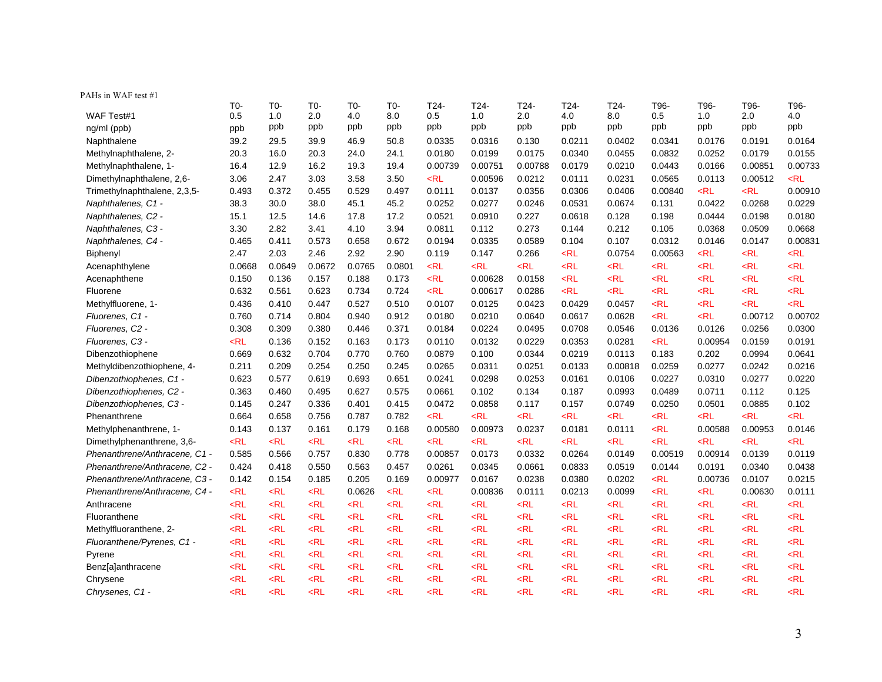| PAHs in WAF test #1                                                                                                                                                                         |                                    |
|---------------------------------------------------------------------------------------------------------------------------------------------------------------------------------------------|------------------------------------|
| T0-<br>$T0-$<br>$T0-$<br>T24-<br>T24-<br>T24-<br>T24-<br>T96-<br>T0-<br>T0-<br>T24-<br>T96-                                                                                                 | T96-<br>T96-                       |
| 0.5<br>0.5<br>8.0<br>0.5<br>WAF Test#1<br>1.0<br>2.0<br>4.0<br>8.0<br>1.0<br>2.0<br>4.0<br>1.0                                                                                              | 2.0<br>4.0                         |
| ppb<br>ppb<br>ppb<br>ppb<br>ppb<br>ppb<br>ppb<br>ppb<br>ppb<br>ppb<br>ppb<br>ng/ml (ppb)<br>ppb                                                                                             | ppb<br>ppb                         |
| Naphthalene<br>39.2<br>29.5<br>39.9<br>46.9<br>50.8<br>0.0335<br>0.0316<br>0.130<br>0.0211<br>0.0402<br>0.0341<br>0.0176                                                                    | 0.0191<br>0.0164                   |
| 20.3<br>0.0180<br>0.0199<br>0.0340<br>0.0455<br>0.0832<br>Methylnaphthalene, 2-<br>16.0<br>20.3<br>24.0<br>24.1<br>0.0175<br>0.0252                                                         | 0.0179<br>0.0155                   |
| Methylnaphthalene, 1-<br>16.4<br>12.9<br>16.2<br>19.3<br>19.4<br>0.00739<br>0.00751<br>0.00788<br>0.0179<br>0.0210<br>0.0443<br>0.0166                                                      | 0.00851<br>0.00733                 |
| $<$ RL<br>3.06<br>2.47<br>3.03<br>3.58<br>3.50<br>0.00596<br>0.0212<br>0.0111<br>0.0231<br>0.0565<br>0.0113<br>Dimethylnaphthalene, 2,6-                                                    | $<$ RL<br>0.00512                  |
| 0.372<br>0.529<br>0.497<br>0.0111<br>$<$ RL<br>0.493<br>0.455<br>0.0137<br>0.0356<br>0.0306<br>0.0406<br>0.00840<br>Trimethylnaphthalene, 2,3,5-                                            | $<$ RL<br>0.00910                  |
| Naphthalenes, C1 -<br>38.3<br>30.0<br>38.0<br>45.1<br>45.2<br>0.0252<br>0.0277<br>0.0246<br>0.0531<br>0.0674<br>0.131<br>0.0422                                                             | 0.0268<br>0.0229                   |
| 14.6<br>17.2<br>0.0521<br>0.0910<br>0.0618<br>Naphthalenes, C2 -<br>15.1<br>12.5<br>17.8<br>0.227<br>0.128<br>0.198<br>0.0444                                                               | 0.0198<br>0.0180                   |
| Naphthalenes, C3 -<br>3.30<br>2.82<br>4.10<br>3.94<br>0.0811<br>0.273<br>0.144<br>0.212<br>0.0368<br>3.41<br>0.112<br>0.105                                                                 | 0.0668<br>0.0509                   |
| 0.573<br>0.658<br>0.672<br>Naphthalenes, C4 -<br>0.465<br>0.411<br>0.0194<br>0.0335<br>0.0589<br>0.104<br>0.107<br>0.0312<br>0.0146                                                         | 0.0147<br>0.00831                  |
| 2.46<br>2.92<br>2.47<br>2.03<br>2.90<br>0.119<br>0.147<br>0.266<br>$<$ RL<br>0.0754<br>0.00563<br>$<$ RL<br>Biphenyl                                                                        | $<$ RL<br>$<$ RL                   |
| 0.0668<br>0.0649<br>0.0672<br>0.0765<br>0.0801<br>$<$ RL<br>$<$ RL<br>$<$ RL<br>$<$ RL<br>$<$ RL<br>$<$ RL<br><rl<br>Acenaphthylene</rl<br>                                                 | $<$ RL<br>$<$ RL                   |
| $<$ RL<br>$<$ RL<br>$<$ RL<br>0.150<br>0.136<br>0.157<br>0.188<br>0.173<br>0.00628<br>0.0158<br>$<$ RL<br>$<$ RL<br>Acenaphthene                                                            | $<$ RL<br>$<$ RL                   |
| 0.734<br>0.724<br>$<$ RL<br>$<$ RL<br>$<$ RL<br>$<$ RL<br>$<$ RL<br>Fluorene<br>0.632<br>0.561<br>0.623<br>0.00617<br>0.0286                                                                | $<$ RL<br>$<$ RL                   |
| Methylfluorene, 1-<br>0.436<br>0.410<br>0.447<br>0.527<br>0.510<br>0.0107<br>0.0125<br>0.0423<br>0.0429<br>0.0457<br>$<$ RL<br><rl< td=""><td><rl<br><math>&lt;</math>RL</rl<br></td></rl<> | <rl<br><math>&lt;</math>RL</rl<br> |
| 0.760<br>0.714<br>0.804<br>0.940<br>0.912<br>0.0210<br>0.0640<br>0.0617<br>0.0628<br>$<$ RL<br>$<$ RL<br>Fluorenes, C1 -<br>0.0180                                                          | 0.00712<br>0.00702                 |
| 0.309<br>0.380<br>0.446<br>0.371<br>0.0184<br>0.0224<br>0.0708<br>0.0546<br>0.0126<br>Fluorenes, C2 -<br>0.308<br>0.0495<br>0.0136                                                          | 0.0256<br>0.0300                   |
| $<$ RL<br>0.136<br>0.152<br>0.173<br>0.0132<br>0.0229<br>$<$ RL<br>0.00954<br>Fluorenes, C3 -<br>0.163<br>0.0110<br>0.0353<br>0.0281                                                        | 0.0159<br>0.0191                   |
| 0.669<br>0.632<br>0.704<br>0.770<br>0.760<br>0.0879<br>0.100<br>0.0344<br>0.0219<br>0.0113<br>0.202<br>Dibenzothiophene<br>0.183                                                            | 0.0994<br>0.0641                   |
| 0.254<br>0.0133<br>Methyldibenzothiophene, 4-<br>0.211<br>0.209<br>0.250<br>0.245<br>0.0265<br>0.0311<br>0.0251<br>0.00818<br>0.0259<br>0.0277                                              | 0.0242<br>0.0216                   |
| 0.693<br>0.651<br>Dibenzothiophenes, C1 -<br>0.623<br>0.577<br>0.619<br>0.0241<br>0.0298<br>0.0253<br>0.0161<br>0.0106<br>0.0227<br>0.0310                                                  | 0.0277<br>0.0220                   |
| Dibenzothiophenes, C2 -<br>0.363<br>0.627<br>0.575<br>0.0661<br>0.0711<br>0.460<br>0.495<br>0.102<br>0.134<br>0.187<br>0.0993<br>0.0489                                                     | 0.112<br>0.125                     |
| Dibenzothiophenes, C3 -<br>0.145<br>0.247<br>0.336<br>0.401<br>0.415<br>0.0472<br>0.0858<br>0.117<br>0.157<br>0.0749<br>0.0250<br>0.0501                                                    | 0.0885<br>0.102                    |
| $<$ RL<br>0.664<br>0.658<br>0.756<br>0.787<br>0.782<br>$<$ RL<br>$<$ RL<br>$<$ RL<br>$<$ RL<br>$<$ RL<br>$<$ RL<br>Phenanthrene                                                             | $<$ RL<br>$<$ RL                   |
| 0.143<br>0.137<br>0.161<br>0.179<br>0.168<br>0.00580<br>0.00973<br>0.0237<br>0.0111<br>$<$ RL<br>0.00588<br>Methylphenanthrene, 1-<br>0.0181                                                | 0.00953<br>0.0146                  |
| $<$ RL<br>$<$ RL<br>$<$ RL<br>$<$ RL<br>$<$ RL<br>$<$ RL<br>$<$ RL<br>$<$ RL<br>$<$ RL<br>$<$ RL<br>$<$ RL<br>$<$ RL<br>Dimethylphenanthrene, 3,6-                                          | $<$ RL<br>$<$ RL                   |
| 0.585<br>0.566<br>0.757<br>0.830<br>0.778<br>0.00857<br>0.0173<br>0.00914<br>Phenanthrene/Anthracene, C1 -<br>0.0332<br>0.0264<br>0.0149<br>0.00519                                         | 0.0139<br>0.0119                   |
| 0.424<br>0.418<br>0.550<br>0.563<br>0.457<br>0.0261<br>0.0345<br>0.0833<br>0.0144<br>Phenanthrene/Anthracene, C2 -<br>0.0661<br>0.0519<br>0.0191                                            | 0.0340<br>0.0438                   |
| 0.205<br>Phenanthrene/Anthracene, C3 -<br>0.142<br>0.154<br>0.185<br>0.169<br>0.00977<br>0.0167<br>0.0238<br>0.0380<br>0.0202<br>$<$ RL<br>0.00736                                          | 0.0107<br>0.0215                   |
| $<$ RL<br>$<$ RL<br>$<$ RL<br>0.0626<br>$<$ RL<br>$<$ RL<br>0.0213<br>0.0099<br>$<$ RL<br>$<$ RL<br>Phenanthrene/Anthracene, C4 -<br>0.00836<br>0.0111                                      | 0.00630<br>0.0111                  |
| $<$ RL<br>$<$ RL<br>$<$ RL<br>$<$ RL<br>$<$ RL<br>$<$ RL<br>$<$ RL<br>$<$ RL<br>$<$ RL<br>$<$ RL<br>$<$ RL<br>$<$ RL<br>Anthracene                                                          | $<$ RL<br>$<$ RL                   |
| $<$ RL<br>$<$ RL<br>$<$ RL<br>$<$ RL<br>$<$ RL<br>$<$ RL<br>$<$ RL<br>$<$ RL<br>$<$ RL<br>$<$ RL<br>$<$ RL<br>$<$ RL<br>Fluoranthene                                                        | $<$ RL<br>$<$ RL                   |
| $<$ RL<br>$<$ RL<br>$<$ RL<br>$<$ RL<br>$<$ RL<br>$<$ RL<br>$<$ RL<br>$<$ RL<br>$<$ RL<br>$<$ RL<br>$<$ RL<br>$<$ RL<br>Methylfluoranthene, 2-                                              | $<$ RL<br>$<$ RL                   |
| Fluoranthene/Pyrenes, C1 -<br>$<$ RL<br>$<$ RL<br>$<$ RL<br>$<$ RL<br>$<$ RL<br>$<$ RL<br>$<$ RL<br>$<$ RL<br>$<$ RL<br>$<$ RL<br>$<$ RL<br>$<$ RL                                          | $<$ RL<br>$<$ RL                   |
| $<$ RL<br>$<$ RL<br>$<$ RL<br>$<$ RL<br>$<$ RL<br>$<$ RL<br>$<$ RL<br>$<$ RL<br>$<$ RL<br>$<$ RL<br>$<$ RL<br>$<$ RL<br>Pyrene                                                              | $<$ RL<br>$<$ RL                   |
| $<$ RL<br>$<$ RL<br>$<$ RL<br>$<$ RL<br>$<$ RL<br>$<$ RL<br>$<$ RL<br>$<$ RL<br>$<$ RL<br>$<$ RL<br>$<$ RL<br>$<$ RL<br>Benz[a]anthracene                                                   | $<$ RL<br>$<$ RL                   |
| $<$ RL<br>$<$ RL<br>$<$ RL<br>$<$ RL<br>$<$ RL<br>$<$ RL<br>$<$ RL<br>$<$ RL<br>$<$ RL<br>$<$ RL<br>$<$ RL<br>$<$ RL<br>Chrysene                                                            | $<$ RL<br>$<$ RL                   |
| $<$ RL<br>$<$ RL<br>$<$ RL<br>$<$ RL<br>$<$ RL<br>$<$ RL<br>$<$ RL<br>$<$ RL<br>$<$ RL<br>$<$ RL<br>$<$ RL<br>$<$ RL<br>Chrysenes, C1 -                                                     | $<$ RL<br>$<$ RL                   |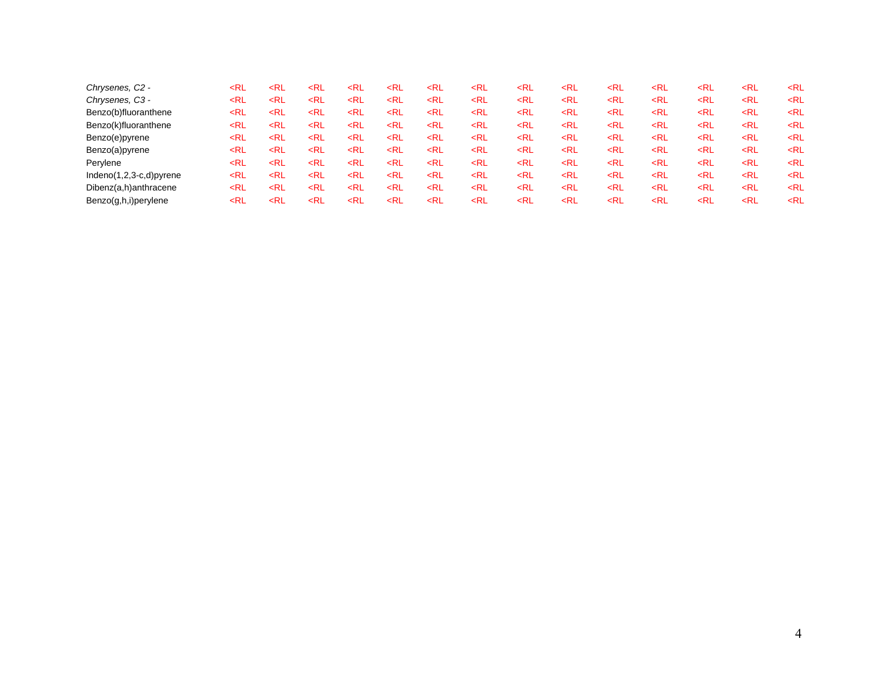| Chrysenes, C2 -             | ≺RL                                                                                                                                                                                                                                                                                                                                                                                     | <rl< th=""><th><rl< th=""><th><rl< th=""><th><math>&lt;</math>RL</th><th><rl< th=""><th><rl< th=""><th><rl< th=""><th><math>&lt;</math>RL</th><th><rl< th=""><th><rl< th=""><th><rl< th=""><th><rl< th=""><th><rl< th=""></rl<></th></rl<></th></rl<></th></rl<></th></rl<></th></rl<></th></rl<></th></rl<></th></rl<></th></rl<></th></rl<>                 | <rl< th=""><th><rl< th=""><th><math>&lt;</math>RL</th><th><rl< th=""><th><rl< th=""><th><rl< th=""><th><math>&lt;</math>RL</th><th><rl< th=""><th><rl< th=""><th><rl< th=""><th><rl< th=""><th><rl< th=""></rl<></th></rl<></th></rl<></th></rl<></th></rl<></th></rl<></th></rl<></th></rl<></th></rl<></th></rl<>                 | <rl< th=""><th><math>&lt;</math>RL</th><th><rl< th=""><th><rl< th=""><th><rl< th=""><th><math>&lt;</math>RL</th><th><rl< th=""><th><rl< th=""><th><rl< th=""><th><rl< th=""><th><rl< th=""></rl<></th></rl<></th></rl<></th></rl<></th></rl<></th></rl<></th></rl<></th></rl<></th></rl<>             | $<$ RL                                                                                                                                                                                                                                                                  | <rl< th=""><th><rl< th=""><th><rl< th=""><th><math>&lt;</math>RL</th><th><rl< th=""><th><rl< th=""><th><rl< th=""><th><rl< th=""><th><rl< th=""></rl<></th></rl<></th></rl<></th></rl<></th></rl<></th></rl<></th></rl<></th></rl<>             | <rl< th=""><th><rl< th=""><th><math>&lt;</math>RL</th><th><rl< th=""><th><rl< th=""><th><rl< th=""><th><rl< th=""><th><rl< th=""></rl<></th></rl<></th></rl<></th></rl<></th></rl<></th></rl<></th></rl<>   | <rl< th=""><th><math>&lt;</math>RL</th><th><rl< th=""><th><rl< th=""><th><rl< th=""><th><rl< th=""><th><rl< th=""></rl<></th></rl<></th></rl<></th></rl<></th></rl<></th></rl<>       | $<$ RL                                                                                                                                                | <rl< th=""><th><rl< th=""><th><rl< th=""><th><rl< th=""><th><rl< th=""></rl<></th></rl<></th></rl<></th></rl<></th></rl<>   | <rl< th=""><th><rl< th=""><th><rl< th=""><th><rl< th=""></rl<></th></rl<></th></rl<></th></rl<>   | <rl< th=""><th><rl< th=""><th><rl< th=""></rl<></th></rl<></th></rl<>     | <rl< th=""><th><rl< th=""></rl<></th></rl<>   | <rl< th=""></rl<> |
|-----------------------------|-----------------------------------------------------------------------------------------------------------------------------------------------------------------------------------------------------------------------------------------------------------------------------------------------------------------------------------------------------------------------------------------|---------------------------------------------------------------------------------------------------------------------------------------------------------------------------------------------------------------------------------------------------------------------------------------------------------------------------------------------------------------|-------------------------------------------------------------------------------------------------------------------------------------------------------------------------------------------------------------------------------------------------------------------------------------------------------------------------------------|-------------------------------------------------------------------------------------------------------------------------------------------------------------------------------------------------------------------------------------------------------------------------------------------------------|-------------------------------------------------------------------------------------------------------------------------------------------------------------------------------------------------------------------------------------------------------------------------|-------------------------------------------------------------------------------------------------------------------------------------------------------------------------------------------------------------------------------------------------|-------------------------------------------------------------------------------------------------------------------------------------------------------------------------------------------------------------|---------------------------------------------------------------------------------------------------------------------------------------------------------------------------------------|-------------------------------------------------------------------------------------------------------------------------------------------------------|-----------------------------------------------------------------------------------------------------------------------------|---------------------------------------------------------------------------------------------------|---------------------------------------------------------------------------|-----------------------------------------------|-------------------|
| Chrysenes, C3 -             | <rl< td=""><td><rl< td=""><td><rl< td=""><td><rl< td=""><td><math>&lt;</math>RL</td><td><rl< td=""><td><math>&lt;</math>RL</td><td><math>&lt;</math>RL</td><td><math>&lt;</math>RL</td><td><math>&lt;</math>RL</td><td><math>&lt;</math>RL</td><td><math>&lt;</math>RL</td><td><rl< td=""><td><math>&lt;</math>RL</td></rl<></td></rl<></td></rl<></td></rl<></td></rl<></td></rl<>     | <rl< td=""><td><rl< td=""><td><rl< td=""><td><math>&lt;</math>RL</td><td><rl< td=""><td><math>&lt;</math>RL</td><td><math>&lt;</math>RL</td><td><math>&lt;</math>RL</td><td><math>&lt;</math>RL</td><td><math>&lt;</math>RL</td><td><math>&lt;</math>RL</td><td><rl< td=""><td><math>&lt;</math>RL</td></rl<></td></rl<></td></rl<></td></rl<></td></rl<>     | <rl< td=""><td><rl< td=""><td><math>&lt;</math>RL</td><td><rl< td=""><td><math>&lt;</math>RL</td><td><math>&lt;</math>RL</td><td><math>&lt;</math>RL</td><td><math>&lt;</math>RL</td><td><math>&lt;</math>RL</td><td><math>&lt;</math>RL</td><td><rl< td=""><td><math>&lt;</math>RL</td></rl<></td></rl<></td></rl<></td></rl<>     | <rl< td=""><td><math>&lt;</math>RL</td><td><rl< td=""><td><math>&lt;</math>RL</td><td><math>&lt;</math>RL</td><td><math>&lt;</math>RL</td><td><math>&lt;</math>RL</td><td><math>&lt;</math>RL</td><td><math>&lt;</math>RL</td><td><rl< td=""><td><math>&lt;</math>RL</td></rl<></td></rl<></td></rl<> | $<$ RL                                                                                                                                                                                                                                                                  | <rl< td=""><td><math>&lt;</math>RL</td><td><math>&lt;</math>RL</td><td><math>&lt;</math>RL</td><td><math>&lt;</math>RL</td><td><math>&lt;</math>RL</td><td><math>&lt;</math>RL</td><td><rl< td=""><td><math>&lt;</math>RL</td></rl<></td></rl<> | $<$ RL                                                                                                                                                                                                      | $<$ RL                                                                                                                                                                                | $<$ RL                                                                                                                                                | $<$ RL                                                                                                                      | $<$ RL                                                                                            | $<$ RL                                                                    | <rl< td=""><td><math>&lt;</math>RL</td></rl<> | $<$ RL            |
| Benzo(b)fluoranthene        | ≺RL                                                                                                                                                                                                                                                                                                                                                                                     | <rl< td=""><td><rl< td=""><td><math>&lt;</math>RL</td><td><math>&lt;</math>RL</td><td><rl< td=""><td><rl< td=""><td><rl< td=""><td><math>&lt;</math>RL</td><td><rl< td=""><td><rl< td=""><td><rl< td=""><td><rl< td=""><td><math>&lt;</math>RL</td></rl<></td></rl<></td></rl<></td></rl<></td></rl<></td></rl<></td></rl<></td></rl<></td></rl<>             | <rl< td=""><td><math>&lt;</math>RL</td><td><math>&lt;</math>RL</td><td><rl< td=""><td><rl< td=""><td><rl< td=""><td><math>&lt;</math>RL</td><td><rl< td=""><td><rl< td=""><td><rl< td=""><td><rl< td=""><td><math>&lt;</math>RL</td></rl<></td></rl<></td></rl<></td></rl<></td></rl<></td></rl<></td></rl<></td></rl<>             | $<$ RL                                                                                                                                                                                                                                                                                                | $<$ RL                                                                                                                                                                                                                                                                  | <rl< td=""><td><rl< td=""><td><rl< td=""><td><math>&lt;</math>RL</td><td><rl< td=""><td><rl< td=""><td><rl< td=""><td><rl< td=""><td><math>&lt;</math>RL</td></rl<></td></rl<></td></rl<></td></rl<></td></rl<></td></rl<></td></rl<>           | <rl< td=""><td><rl< td=""><td><math>&lt;</math>RL</td><td><rl< td=""><td><rl< td=""><td><rl< td=""><td><rl< td=""><td><math>&lt;</math>RL</td></rl<></td></rl<></td></rl<></td></rl<></td></rl<></td></rl<> | <rl< td=""><td><math>&lt;</math>RL</td><td><rl< td=""><td><rl< td=""><td><rl< td=""><td><rl< td=""><td><math>&lt;</math>RL</td></rl<></td></rl<></td></rl<></td></rl<></td></rl<>     | $<$ RL                                                                                                                                                | <rl< td=""><td><rl< td=""><td><rl< td=""><td><rl< td=""><td><math>&lt;</math>RL</td></rl<></td></rl<></td></rl<></td></rl<> | <rl< td=""><td><rl< td=""><td><rl< td=""><td><math>&lt;</math>RL</td></rl<></td></rl<></td></rl<> | <rl< td=""><td><rl< td=""><td><math>&lt;</math>RL</td></rl<></td></rl<>   | <rl< td=""><td><math>&lt;</math>RL</td></rl<> | $<$ RL            |
| Benzo(k)fluoranthene        | <rl< td=""><td><rl< td=""><td><rl< td=""><td><math>&lt;</math>RL</td><td><math>&lt;</math>RL</td><td><math>&lt;</math>RL</td><td><math>&lt;</math>RL</td><td><math>&lt;</math>RL</td><td><math>&lt;</math>RL</td><td><math>&lt;</math>RL</td><td><math>&lt;</math>RL</td><td><math>&lt;</math>RL</td><td><rl< td=""><td><math>&lt;</math>RL</td></rl<></td></rl<></td></rl<></td></rl<> | <rl< td=""><td><rl< td=""><td><math>&lt;</math>RL</td><td><math>&lt;</math>RL</td><td><math>&lt;</math>RL</td><td><math>&lt;</math>RL</td><td><math>&lt;</math>RL</td><td><math>&lt;</math>RL</td><td><math>&lt;</math>RL</td><td><math>&lt;</math>RL</td><td><math>&lt;</math>RL</td><td><rl< td=""><td><math>&lt;</math>RL</td></rl<></td></rl<></td></rl<> | <rl< td=""><td><math>&lt;</math>RL</td><td><math>&lt;</math>RL</td><td><math>&lt;</math>RL</td><td><math>&lt;</math>RL</td><td><math>&lt;</math>RL</td><td><math>&lt;</math>RL</td><td><math>&lt;</math>RL</td><td><math>&lt;</math>RL</td><td><math>&lt;</math>RL</td><td><rl< td=""><td><math>&lt;</math>RL</td></rl<></td></rl<> | $<$ RL                                                                                                                                                                                                                                                                                                | $<$ RL                                                                                                                                                                                                                                                                  | $<$ RL                                                                                                                                                                                                                                          | $<$ RL                                                                                                                                                                                                      | $<$ RL                                                                                                                                                                                | $<$ RL                                                                                                                                                | $<$ RL                                                                                                                      | $<$ RL                                                                                            | $<$ RL                                                                    | <rl< td=""><td><math>&lt;</math>RL</td></rl<> | $<$ RL            |
| Benzo(e)pyrene              | ∠RL                                                                                                                                                                                                                                                                                                                                                                                     | <rl< td=""><td><rl< td=""><td><rl< td=""><td><rl< td=""><td><math>&lt;</math>RL</td><td><math>&lt;</math>RL</td><td><rl< td=""><td><math>&lt;</math>RL</td><td><math>&lt;</math>RL</td><td><math>&lt;</math>RL</td><td><rl< td=""><td><math>&lt;</math>RL</td><td><rl< td=""></rl<></td></rl<></td></rl<></td></rl<></td></rl<></td></rl<></td></rl<>         | <rl< td=""><td><rl< td=""><td><rl< td=""><td><math>&lt;</math>RL</td><td><math>&lt;</math>RL</td><td><rl< td=""><td><math>&lt;</math>RL</td><td><math>&lt;</math>RL</td><td><math>&lt;</math>RL</td><td><rl< td=""><td><math>&lt;</math>RL</td><td><rl< td=""></rl<></td></rl<></td></rl<></td></rl<></td></rl<></td></rl<>         | <rl< td=""><td><rl< td=""><td><math>&lt;</math>RL</td><td><math>&lt;</math>RL</td><td><rl< td=""><td><math>&lt;</math>RL</td><td><math>&lt;</math>RL</td><td><math>&lt;</math>RL</td><td><rl< td=""><td><math>&lt;</math>RL</td><td><rl< td=""></rl<></td></rl<></td></rl<></td></rl<></td></rl<>     | <rl< td=""><td><math>&lt;</math>RL</td><td><math>&lt;</math>RL</td><td><rl< td=""><td><math>&lt;</math>RL</td><td><math>&lt;</math>RL</td><td><math>&lt;</math>RL</td><td><rl< td=""><td><math>&lt;</math>RL</td><td><rl< td=""></rl<></td></rl<></td></rl<></td></rl<> | $<$ RL                                                                                                                                                                                                                                          | $<$ RL                                                                                                                                                                                                      | <rl< td=""><td><math>&lt;</math>RL</td><td><math>&lt;</math>RL</td><td><math>&lt;</math>RL</td><td><rl< td=""><td><math>&lt;</math>RL</td><td><rl< td=""></rl<></td></rl<></td></rl<> | $<$ RL                                                                                                                                                | $<$ RL                                                                                                                      | $<$ RL                                                                                            | <rl< td=""><td><math>&lt;</math>RL</td><td><rl< td=""></rl<></td></rl<>   | $<$ RL                                        | <rl< td=""></rl<> |
| Benzo(a)pyrene              | <rl< td=""><td><rl< td=""><td><rl< td=""><td><rl< td=""><td><rl< td=""><td><math>&lt;</math>RL</td><td><math>&lt;</math>RL</td><td><rl< td=""><td><math>&lt;</math>RL</td><td><math>&lt;</math>RL</td><td><rl< td=""><td><rl< td=""><td><rl< td=""><td><rl< td=""></rl<></td></rl<></td></rl<></td></rl<></td></rl<></td></rl<></td></rl<></td></rl<></td></rl<></td></rl<>             | <rl< td=""><td><rl< td=""><td><rl< td=""><td><rl< td=""><td><math>&lt;</math>RL</td><td><math>&lt;</math>RL</td><td><rl< td=""><td><math>&lt;</math>RL</td><td><math>&lt;</math>RL</td><td><rl< td=""><td><rl< td=""><td><rl< td=""><td><rl< td=""></rl<></td></rl<></td></rl<></td></rl<></td></rl<></td></rl<></td></rl<></td></rl<></td></rl<>             | <rl< td=""><td><rl< td=""><td><rl< td=""><td><math>&lt;</math>RL</td><td><math>&lt;</math>RL</td><td><rl< td=""><td><math>&lt;</math>RL</td><td><math>&lt;</math>RL</td><td><rl< td=""><td><rl< td=""><td><rl< td=""><td><rl< td=""></rl<></td></rl<></td></rl<></td></rl<></td></rl<></td></rl<></td></rl<></td></rl<>             | <rl< td=""><td><rl< td=""><td><math>&lt;</math>RL</td><td><math>&lt;</math>RL</td><td><rl< td=""><td><math>&lt;</math>RL</td><td><math>&lt;</math>RL</td><td><rl< td=""><td><rl< td=""><td><rl< td=""><td><rl< td=""></rl<></td></rl<></td></rl<></td></rl<></td></rl<></td></rl<></td></rl<>         | <rl< td=""><td><math>&lt;</math>RL</td><td><math>&lt;</math>RL</td><td><rl< td=""><td><math>&lt;</math>RL</td><td><math>&lt;</math>RL</td><td><rl< td=""><td><rl< td=""><td><rl< td=""><td><rl< td=""></rl<></td></rl<></td></rl<></td></rl<></td></rl<></td></rl<>     | $<$ RL                                                                                                                                                                                                                                          | $<$ RL                                                                                                                                                                                                      | <rl< td=""><td><math>&lt;</math>RL</td><td><math>&lt;</math>RL</td><td><rl< td=""><td><rl< td=""><td><rl< td=""><td><rl< td=""></rl<></td></rl<></td></rl<></td></rl<></td></rl<>     | $<$ RL                                                                                                                                                | $<$ RL                                                                                                                      | <rl< td=""><td><rl< td=""><td><rl< td=""><td><rl< td=""></rl<></td></rl<></td></rl<></td></rl<>   | <rl< td=""><td><rl< td=""><td><rl< td=""></rl<></td></rl<></td></rl<>     | <rl< td=""><td><rl< td=""></rl<></td></rl<>   | <rl< td=""></rl<> |
| Perylene                    | <rl< td=""><td><rl< td=""><td><rl< td=""><td><rl< td=""><td><math>&lt;</math>RL</td><td><rl< td=""><td><math>&lt;</math>RL</td><td><rl< td=""><td><rl< td=""><td><rl< td=""><td><math>&lt;</math>RL</td><td><rl< td=""><td><rl< td=""><td><rl< td=""></rl<></td></rl<></td></rl<></td></rl<></td></rl<></td></rl<></td></rl<></td></rl<></td></rl<></td></rl<></td></rl<>               | <rl< td=""><td><rl< td=""><td><rl< td=""><td><math>&lt;</math>RL</td><td><rl< td=""><td><math>&lt;</math>RL</td><td><rl< td=""><td><rl< td=""><td><rl< td=""><td><math>&lt;</math>RL</td><td><rl< td=""><td><rl< td=""><td><rl< td=""></rl<></td></rl<></td></rl<></td></rl<></td></rl<></td></rl<></td></rl<></td></rl<></td></rl<></td></rl<>               | <rl< td=""><td><rl< td=""><td><math>&lt;</math>RL</td><td><rl< td=""><td><math>&lt;</math>RL</td><td><rl< td=""><td><rl< td=""><td><rl< td=""><td><math>&lt;</math>RL</td><td><rl< td=""><td><rl< td=""><td><rl< td=""></rl<></td></rl<></td></rl<></td></rl<></td></rl<></td></rl<></td></rl<></td></rl<></td></rl<>               | <rl< td=""><td><math>&lt;</math>RL</td><td><rl< td=""><td><math>&lt;</math>RL</td><td><rl< td=""><td><rl< td=""><td><rl< td=""><td><math>&lt;</math>RL</td><td><rl< td=""><td><rl< td=""><td><rl< td=""></rl<></td></rl<></td></rl<></td></rl<></td></rl<></td></rl<></td></rl<></td></rl<>           | $<$ RL                                                                                                                                                                                                                                                                  | <rl< td=""><td><math>&lt;</math>RL</td><td><rl< td=""><td><rl< td=""><td><rl< td=""><td><math>&lt;</math>RL</td><td><rl< td=""><td><rl< td=""><td><rl< td=""></rl<></td></rl<></td></rl<></td></rl<></td></rl<></td></rl<></td></rl<>           | $<$ RL                                                                                                                                                                                                      | <rl< td=""><td><rl< td=""><td><rl< td=""><td><math>&lt;</math>RL</td><td><rl< td=""><td><rl< td=""><td><rl< td=""></rl<></td></rl<></td></rl<></td></rl<></td></rl<></td></rl<>       | <rl< td=""><td><rl< td=""><td><math>&lt;</math>RL</td><td><rl< td=""><td><rl< td=""><td><rl< td=""></rl<></td></rl<></td></rl<></td></rl<></td></rl<> | <rl< td=""><td><math>&lt;</math>RL</td><td><rl< td=""><td><rl< td=""><td><rl< td=""></rl<></td></rl<></td></rl<></td></rl<> | $<$ RL                                                                                            | <rl< td=""><td><rl< td=""><td><rl< td=""></rl<></td></rl<></td></rl<>     | <rl< td=""><td><rl< td=""></rl<></td></rl<>   | <rl< td=""></rl<> |
| Indeno $(1,2,3-c,d)$ pyrene | <rl< td=""><td><rl< td=""><td><math>&lt;</math>RL</td><td><math>&lt;</math>RL</td><td><math>&lt;</math>RL</td><td><math>&lt;</math>RL</td><td><math>&lt;</math>RL</td><td><math>&lt;</math>RL</td><td><math>&lt;</math>RL</td><td><math>&lt;</math>RL</td><td><math>&lt;</math>RL</td><td><math>&lt;</math>RL</td><td><rl< td=""><td><rl< td=""></rl<></td></rl<></td></rl<></td></rl<> | <rl< td=""><td><math>&lt;</math>RL</td><td><math>&lt;</math>RL</td><td><math>&lt;</math>RL</td><td><math>&lt;</math>RL</td><td><math>&lt;</math>RL</td><td><math>&lt;</math>RL</td><td><math>&lt;</math>RL</td><td><math>&lt;</math>RL</td><td><math>&lt;</math>RL</td><td><math>&lt;</math>RL</td><td><rl< td=""><td><rl< td=""></rl<></td></rl<></td></rl<> | $<$ RL                                                                                                                                                                                                                                                                                                                              | $<$ RL                                                                                                                                                                                                                                                                                                | $<$ RL                                                                                                                                                                                                                                                                  | $<$ RL                                                                                                                                                                                                                                          | $<$ RL                                                                                                                                                                                                      | $<$ RL                                                                                                                                                                                | $<$ RL                                                                                                                                                | $<$ RL                                                                                                                      | $<$ RL                                                                                            | $<$ RL                                                                    | <rl< td=""><td><rl< td=""></rl<></td></rl<>   | <rl< td=""></rl<> |
| Dibenz(a,h)anthracene       | <rl< td=""><td><rl< td=""><td><math>&lt;</math>RL</td><td><rl< td=""><td><math>&lt;</math>RL</td><td><rl< td=""><td><math>&lt;</math>RL</td><td><math>&lt;</math>RL</td><td><math>&lt;</math>RL</td><td><math>&lt;</math>RL</td><td><math>&lt;</math>RL</td><td><rl< td=""><td><math>&lt;</math>RL</td><td><math>&lt;</math>RL</td></rl<></td></rl<></td></rl<></td></rl<></td></rl<>   | <rl< td=""><td><math>&lt;</math>RL</td><td><rl< td=""><td><math>&lt;</math>RL</td><td><rl< td=""><td><math>&lt;</math>RL</td><td><math>&lt;</math>RL</td><td><math>&lt;</math>RL</td><td><math>&lt;</math>RL</td><td><math>&lt;</math>RL</td><td><rl< td=""><td><math>&lt;</math>RL</td><td><math>&lt;</math>RL</td></rl<></td></rl<></td></rl<></td></rl<>   | $<$ RL                                                                                                                                                                                                                                                                                                                              | <rl< td=""><td><math>&lt;</math>RL</td><td><rl< td=""><td><math>&lt;</math>RL</td><td><math>&lt;</math>RL</td><td><math>&lt;</math>RL</td><td><math>&lt;</math>RL</td><td><math>&lt;</math>RL</td><td><rl< td=""><td><math>&lt;</math>RL</td><td><math>&lt;</math>RL</td></rl<></td></rl<></td></rl<> | $<$ RL                                                                                                                                                                                                                                                                  | <rl< td=""><td><math>&lt;</math>RL</td><td><math>&lt;</math>RL</td><td><math>&lt;</math>RL</td><td><math>&lt;</math>RL</td><td><math>&lt;</math>RL</td><td><rl< td=""><td><math>&lt;</math>RL</td><td><math>&lt;</math>RL</td></rl<></td></rl<> | $<$ RL                                                                                                                                                                                                      | $<$ RL                                                                                                                                                                                | $<$ RL                                                                                                                                                | $<$ RL                                                                                                                      | $<$ RL                                                                                            | <rl< td=""><td><math>&lt;</math>RL</td><td><math>&lt;</math>RL</td></rl<> | $<$ RL                                        | $<$ RL            |
| Benzo(g,h,i)perylene        | ∠RL                                                                                                                                                                                                                                                                                                                                                                                     | <rl< td=""><td><rl< td=""><td><rl< td=""><td><rl< td=""><td><math>&lt;</math>RL</td><td><rl< td=""><td><rl< td=""><td><math>&lt;</math>RL</td><td><rl< td=""><td><rl< td=""><td><rl< td=""><td><rl< td=""><td><math>&lt;</math>RL</td></rl<></td></rl<></td></rl<></td></rl<></td></rl<></td></rl<></td></rl<></td></rl<></td></rl<></td></rl<>               | <rl< td=""><td><rl< td=""><td><rl< td=""><td><math>&lt;</math>RL</td><td><rl< td=""><td><rl< td=""><td><math>&lt;</math>RL</td><td><rl< td=""><td><rl< td=""><td><rl< td=""><td><rl< td=""><td><math>&lt;</math>RL</td></rl<></td></rl<></td></rl<></td></rl<></td></rl<></td></rl<></td></rl<></td></rl<></td></rl<>               | <rl< td=""><td><rl< td=""><td><math>&lt;</math>RL</td><td><rl< td=""><td><rl< td=""><td><math>&lt;</math>RL</td><td><rl< td=""><td><rl< td=""><td><rl< td=""><td><rl< td=""><td><math>&lt;</math>RL</td></rl<></td></rl<></td></rl<></td></rl<></td></rl<></td></rl<></td></rl<></td></rl<>           | <rl< td=""><td><math>&lt;</math>RL</td><td><rl< td=""><td><rl< td=""><td><math>&lt;</math>RL</td><td><rl< td=""><td><rl< td=""><td><rl< td=""><td><rl< td=""><td><math>&lt;</math>RL</td></rl<></td></rl<></td></rl<></td></rl<></td></rl<></td></rl<></td></rl<>       | $<$ RL                                                                                                                                                                                                                                          | <rl< td=""><td><rl< td=""><td><math>&lt;</math>RL</td><td><rl< td=""><td><rl< td=""><td><rl< td=""><td><rl< td=""><td><math>&lt;</math>RL</td></rl<></td></rl<></td></rl<></td></rl<></td></rl<></td></rl<> | <rl< td=""><td><math>&lt;</math>RL</td><td><rl< td=""><td><rl< td=""><td><rl< td=""><td><rl< td=""><td><math>&lt;</math>RL</td></rl<></td></rl<></td></rl<></td></rl<></td></rl<>     | $<$ RL                                                                                                                                                | <rl< td=""><td><rl< td=""><td><rl< td=""><td><rl< td=""><td><math>&lt;</math>RL</td></rl<></td></rl<></td></rl<></td></rl<> | <rl< td=""><td><rl< td=""><td><rl< td=""><td><math>&lt;</math>RL</td></rl<></td></rl<></td></rl<> | <rl< td=""><td><rl< td=""><td><math>&lt;</math>RL</td></rl<></td></rl<>   | <rl< td=""><td><math>&lt;</math>RL</td></rl<> | $<$ RL            |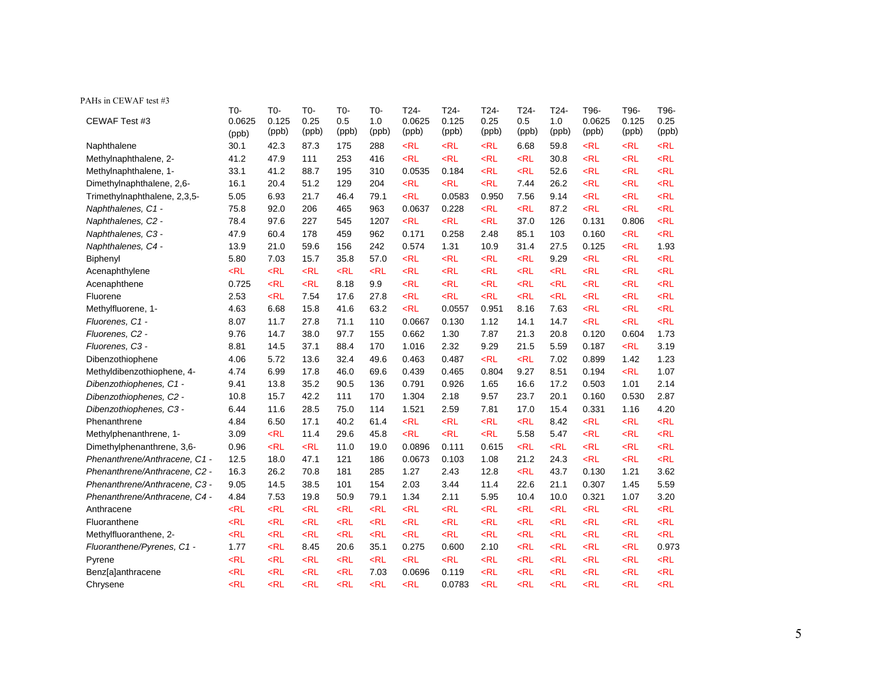| PAHs in CEWAF test #3         |                          |                                    |                                                                                                                                                                                                                                                                                                           |                                                                                                                                                                                                                                                                  |                     |                         |                        |                       |                      |                        |                         |                        |                       |
|-------------------------------|--------------------------|------------------------------------|-----------------------------------------------------------------------------------------------------------------------------------------------------------------------------------------------------------------------------------------------------------------------------------------------------------|------------------------------------------------------------------------------------------------------------------------------------------------------------------------------------------------------------------------------------------------------------------|---------------------|-------------------------|------------------------|-----------------------|----------------------|------------------------|-------------------------|------------------------|-----------------------|
| CEWAF Test #3                 | $T0-$<br>0.0625<br>(ppb) | T <sub>0</sub> -<br>0.125<br>(ppb) | T0-<br>0.25<br>(ppb)                                                                                                                                                                                                                                                                                      | T0-<br>0.5<br>(ppb)                                                                                                                                                                                                                                              | T0-<br>1.0<br>(ppb) | T24-<br>0.0625<br>(ppb) | T24-<br>0.125<br>(ppb) | T24-<br>0.25<br>(ppb) | T24-<br>0.5<br>(ppb) | $T24-$<br>1.0<br>(ppb) | T96-<br>0.0625<br>(ppb) | T96-<br>0.125<br>(ppb) | T96-<br>0.25<br>(ppb) |
| Naphthalene                   | 30.1                     | 42.3                               | 87.3                                                                                                                                                                                                                                                                                                      | 175                                                                                                                                                                                                                                                              | 288                 | $<$ RL                  | $<$ RL                 | $<$ RL                | 6.68                 | 59.8                   | $<$ RL                  | $<$ RL                 | $<$ RL                |
| Methylnaphthalene, 2-         | 41.2                     | 47.9                               | 111                                                                                                                                                                                                                                                                                                       | 253                                                                                                                                                                                                                                                              | 416                 | $<$ RL                  | $<$ RL                 | $<$ RL                | $<$ RL               | 30.8                   | $<$ RL                  | $<$ RL                 | $<$ RL                |
| Methylnaphthalene, 1-         | 33.1                     | 41.2                               | 88.7                                                                                                                                                                                                                                                                                                      | 195                                                                                                                                                                                                                                                              | 310                 | 0.0535                  | 0.184                  | $<$ RL                | $<$ RL               | 52.6                   | $<$ RL                  | $<$ RL                 | $<$ RL                |
| Dimethylnaphthalene, 2,6-     | 16.1                     | 20.4                               | 51.2                                                                                                                                                                                                                                                                                                      | 129                                                                                                                                                                                                                                                              | 204                 | $<$ RL                  | $<$ RL                 | $<$ RL                | 7.44                 | 26.2                   | $<$ RL                  | $<$ RL                 | $<$ RL                |
| Trimethylnaphthalene, 2,3,5-  | 5.05                     | 6.93                               | 21.7                                                                                                                                                                                                                                                                                                      | 46.4                                                                                                                                                                                                                                                             | 79.1                | $<$ RL                  | 0.0583                 | 0.950                 | 7.56                 | 9.14                   | $<$ RL                  | $<$ RL                 | $<$ RL                |
| Naphthalenes, C1 -            | 75.8                     | 92.0                               | 206                                                                                                                                                                                                                                                                                                       | 465                                                                                                                                                                                                                                                              | 963                 | 0.0637                  | 0.228                  | $<$ RL                | $<$ RL               | 87.2                   | $<$ RL                  | $<$ RL                 | $<$ RL                |
| Naphthalenes, C2 -            | 78.4                     | 97.6                               | 227                                                                                                                                                                                                                                                                                                       | 545                                                                                                                                                                                                                                                              | 1207                | $<$ RL                  | $<$ RL                 | $<$ RL                | 37.0                 | 126                    | 0.131                   | 0.806                  | $<$ RL                |
| Naphthalenes, C3 -            | 47.9                     | 60.4                               | 178                                                                                                                                                                                                                                                                                                       | 459                                                                                                                                                                                                                                                              | 962                 | 0.171                   | 0.258                  | 2.48                  | 85.1                 | 103                    | 0.160                   | $<$ RL                 | $<$ RL                |
| Naphthalenes, C4 -            | 13.9                     | 21.0                               | 59.6                                                                                                                                                                                                                                                                                                      | 156                                                                                                                                                                                                                                                              | 242                 | 0.574                   | 1.31                   | 10.9                  | 31.4                 | 27.5                   | 0.125                   | $<$ RL                 | 1.93                  |
| Biphenyl                      | 5.80                     | 7.03                               | 15.7                                                                                                                                                                                                                                                                                                      | 35.8                                                                                                                                                                                                                                                             | 57.0                | $<$ RL                  | $<$ RL                 | $<$ RL                | $<$ RL               | 9.29                   | $<$ RL                  | $<$ RL                 | $<$ RL                |
| Acenaphthylene                | $<$ RL                   | $<$ RL                             | $<$ RL                                                                                                                                                                                                                                                                                                    | $<$ RL                                                                                                                                                                                                                                                           | $<$ RL              | $<$ RL                  | $<$ RL                 | $<$ RL                | $<$ RL               | $<$ RL                 | $<$ RL                  | $<$ RL                 | $<$ RL                |
| Acenaphthene                  | 0.725                    | $<$ RL                             | $<$ RL                                                                                                                                                                                                                                                                                                    | 8.18                                                                                                                                                                                                                                                             | 9.9                 | $<$ RL                  | $<$ RL                 | $<$ RL                | $<$ RL               | $<$ RL                 | $<$ RL                  | $<$ RL                 | $<$ RL                |
| Fluorene                      | 2.53                     | $<$ RL                             | 7.54                                                                                                                                                                                                                                                                                                      | 17.6                                                                                                                                                                                                                                                             | 27.8                | $<$ RL                  | $<$ RL                 | $<$ RL                | $<$ RL               | $<$ RL                 | $<$ RL                  | $<$ RL                 | $<$ RL                |
| Methylfluorene, 1-            | 4.63                     | 6.68                               | 15.8                                                                                                                                                                                                                                                                                                      | 41.6                                                                                                                                                                                                                                                             | 63.2                | $<$ RL                  | 0.0557                 | 0.951                 | 8.16                 | 7.63                   | $<$ RL                  | $<$ RL                 | $<$ RL                |
| Fluorenes, C1 -               | 8.07                     | 11.7                               | 27.8                                                                                                                                                                                                                                                                                                      | 71.1                                                                                                                                                                                                                                                             | 110                 | 0.0667                  | 0.130                  | 1.12                  | 14.1                 | 14.7                   | $<$ RL                  | $<$ RL                 | $<$ RL                |
| Fluorenes, C2 -               | 9.76                     | 14.7                               | 38.0                                                                                                                                                                                                                                                                                                      | 97.7                                                                                                                                                                                                                                                             | 155                 | 0.662                   | 1.30                   | 7.87                  | 21.3                 | 20.8                   | 0.120                   | 0.604                  | 1.73                  |
| Fluorenes, C3 -               | 8.81                     | 14.5                               | 37.1                                                                                                                                                                                                                                                                                                      | 88.4                                                                                                                                                                                                                                                             | 170                 | 1.016                   | 2.32                   | 9.29                  | 21.5                 | 5.59                   | 0.187                   | $<$ RL                 | 3.19                  |
| Dibenzothiophene              | 4.06                     | 5.72                               | 13.6                                                                                                                                                                                                                                                                                                      | 32.4                                                                                                                                                                                                                                                             | 49.6                | 0.463                   | 0.487                  | $<$ RL                | $<$ RL               | 7.02                   | 0.899                   | 1.42                   | 1.23                  |
| Methyldibenzothiophene, 4-    | 4.74                     | 6.99                               | 17.8                                                                                                                                                                                                                                                                                                      | 46.0                                                                                                                                                                                                                                                             | 69.6                | 0.439                   | 0.465                  | 0.804                 | 9.27                 | 8.51                   | 0.194                   | $<$ RL                 | 1.07                  |
| Dibenzothiophenes, C1 -       | 9.41                     | 13.8                               | 35.2                                                                                                                                                                                                                                                                                                      | 90.5                                                                                                                                                                                                                                                             | 136                 | 0.791                   | 0.926                  | 1.65                  | 16.6                 | 17.2                   | 0.503                   | 1.01                   | 2.14                  |
| Dibenzothiophenes, C2 -       | 10.8                     | 15.7                               | 42.2                                                                                                                                                                                                                                                                                                      | 111                                                                                                                                                                                                                                                              | 170                 | 1.304                   | 2.18                   | 9.57                  | 23.7                 | 20.1                   | 0.160                   | 0.530                  | 2.87                  |
| Dibenzothiophenes, C3 -       | 6.44                     | 11.6                               | 28.5                                                                                                                                                                                                                                                                                                      | 75.0                                                                                                                                                                                                                                                             | 114                 | 1.521                   | 2.59                   | 7.81                  | 17.0                 | 15.4                   | 0.331                   | 1.16                   | 4.20                  |
| Phenanthrene                  | 4.84                     | 6.50                               | 17.1                                                                                                                                                                                                                                                                                                      | 40.2                                                                                                                                                                                                                                                             | 61.4                | $<$ RL                  | $<$ RL                 | $<$ RL                | $<$ RL               | 8.42                   | $<$ RL                  | $<$ RL                 | $<$ RL                |
| Methylphenanthrene, 1-        | 3.09                     | $<$ RL                             | 11.4                                                                                                                                                                                                                                                                                                      | 29.6                                                                                                                                                                                                                                                             | 45.8                | $<$ RL                  | $<$ RL                 | $<$ RL                | 5.58                 | 5.47                   | $<$ RL                  | $<$ RL                 | $<$ RL                |
| Dimethylphenanthrene, 3,6-    | 0.96                     | $<$ RL                             | $<$ RL                                                                                                                                                                                                                                                                                                    | 11.0                                                                                                                                                                                                                                                             | 19.0                | 0.0896                  | 0.111                  | 0.615                 | $<$ RL               | $<$ RL                 | $<$ RL                  | $<$ RL                 | <rl< td=""></rl<>     |
| Phenanthrene/Anthracene, C1 - | 12.5                     | 18.0                               | 47.1                                                                                                                                                                                                                                                                                                      | 121                                                                                                                                                                                                                                                              | 186                 | 0.0673                  | 0.103                  | 1.08                  | 21.2                 | 24.3                   | $<$ RL                  | $<$ RL                 | $<$ RL                |
| Phenanthrene/Anthracene, C2 - | 16.3                     | 26.2                               | 70.8                                                                                                                                                                                                                                                                                                      | 181                                                                                                                                                                                                                                                              | 285                 | 1.27                    | 2.43                   | 12.8                  | $<$ RL               | 43.7                   | 0.130                   | 1.21                   | 3.62                  |
| Phenanthrene/Anthracene, C3 - | 9.05                     | 14.5                               | 38.5                                                                                                                                                                                                                                                                                                      | 101                                                                                                                                                                                                                                                              | 154                 | 2.03                    | 3.44                   | 11.4                  | 22.6                 | 21.1                   | 0.307                   | 1.45                   | 5.59                  |
| Phenanthrene/Anthracene, C4 - | 4.84                     | 7.53                               | 19.8                                                                                                                                                                                                                                                                                                      | 50.9                                                                                                                                                                                                                                                             | 79.1                | 1.34                    | 2.11                   | 5.95                  | 10.4                 | 10.0                   | 0.321                   | 1.07                   | 3.20                  |
| Anthracene                    | $<$ RL                   | $<$ RL                             | $<$ RL                                                                                                                                                                                                                                                                                                    | $<$ RL                                                                                                                                                                                                                                                           | $<$ RL              | $<$ RL                  | $<$ RL                 | $<$ RL                | $<$ RL               | $<$ RL                 | $<$ RL                  | $<$ RL                 | $<$ RL                |
| Fluoranthene                  | $<$ RL                   | $<$ RL                             | $<$ RL                                                                                                                                                                                                                                                                                                    | $<$ RL                                                                                                                                                                                                                                                           | $<$ RL              | $<$ RL                  | $<$ RL                 | $<$ RL                | $<$ RL               | $<$ RL                 | $<$ RL                  | $<$ RL                 | $<$ RL                |
| Methylfluoranthene, 2-        | $<$ RL                   | $<$ RL                             | <rl< td=""><td><math>&lt;</math>RL</td><td><math>&lt;</math>RL</td><td><math>&lt;</math>RL</td><td><math>&lt;</math>RL</td><td><math>&lt;</math>RL</td><td><math>&lt;</math>RL</td><td><math>&lt;</math>RL</td><td><math>&lt;</math>RL</td><td><math>&lt;</math>RL</td><td><math>&lt;</math>RL</td></rl<> | $<$ RL                                                                                                                                                                                                                                                           | $<$ RL              | $<$ RL                  | $<$ RL                 | $<$ RL                | $<$ RL               | $<$ RL                 | $<$ RL                  | $<$ RL                 | $<$ RL                |
| Fluoranthene/Pyrenes, C1 -    | 1.77                     | $<$ RL                             | 8.45                                                                                                                                                                                                                                                                                                      | 20.6                                                                                                                                                                                                                                                             | 35.1                | 0.275                   | 0.600                  | 2.10                  | $<$ RL               | $<$ RL                 | $<$ RL                  | $<$ RL                 | 0.973                 |
| Pyrene                        | $<$ RL                   | $<$ RL                             | <rl< td=""><td><math>&lt;</math>RL</td><td><math>&lt;</math>RL</td><td><math>&lt;</math>RL</td><td><math>&lt;</math>RL</td><td><math>&lt;</math>RL</td><td><math>&lt;</math>RL</td><td><math>&lt;</math>RL</td><td><math>&lt;</math>RL</td><td><math>&lt;</math>RL</td><td><math>&lt;</math>RL</td></rl<> | $<$ RL                                                                                                                                                                                                                                                           | $<$ RL              | $<$ RL                  | $<$ RL                 | $<$ RL                | $<$ RL               | $<$ RL                 | $<$ RL                  | $<$ RL                 | $<$ RL                |
| Benz[a]anthracene             | $<$ RL                   | $<$ RL                             | <rl< td=""><td><math>&lt;</math>RL</td><td>7.03</td><td>0.0696</td><td>0.119</td><td><math>&lt;</math>RL</td><td><math>&lt;</math>RL</td><td><math>&lt;</math>RL</td><td><math>&lt;</math>RL</td><td><math>&lt;</math>RL</td><td><math>&lt;</math>RL</td></rl<>                                           | $<$ RL                                                                                                                                                                                                                                                           | 7.03                | 0.0696                  | 0.119                  | $<$ RL                | $<$ RL               | $<$ RL                 | $<$ RL                  | $<$ RL                 | $<$ RL                |
| Chrysene                      | $<$ RL                   | $<$ RL                             | <rl< td=""><td><rl< td=""><td><math>&lt;</math>RL</td><td><math>&lt;</math>RL</td><td>0.0783</td><td><math>&lt;</math>RL</td><td><math>&lt;</math>RL</td><td><math>&lt;</math>RL</td><td><math>&lt;</math>RL</td><td><math>&lt;</math>RL</td><td><math>&lt;</math>RL</td></rl<></td></rl<>                | <rl< td=""><td><math>&lt;</math>RL</td><td><math>&lt;</math>RL</td><td>0.0783</td><td><math>&lt;</math>RL</td><td><math>&lt;</math>RL</td><td><math>&lt;</math>RL</td><td><math>&lt;</math>RL</td><td><math>&lt;</math>RL</td><td><math>&lt;</math>RL</td></rl<> | $<$ RL              | $<$ RL                  | 0.0783                 | $<$ RL                | $<$ RL               | $<$ RL                 | $<$ RL                  | $<$ RL                 | $<$ RL                |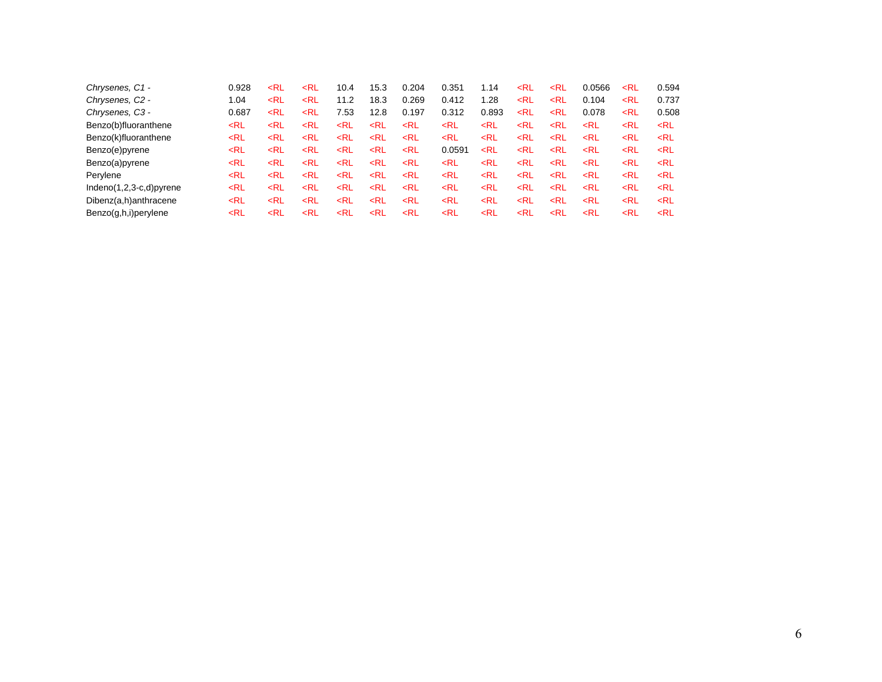| Chrysenes, C1 -           | 0.928                                                                                                                                                                                                                                                                                                                                                       | <rl< th=""><th><rl< th=""><th>10.4</th><th>15.3</th><th>0.204</th><th>0.351</th><th>1.14</th><th><rl< th=""><th><rl< th=""><th>0.0566</th><th><rl< th=""><th>0.594</th></rl<></th></rl<></th></rl<></th></rl<></th></rl<>                                                                                                         | <rl< th=""><th>10.4</th><th>15.3</th><th>0.204</th><th>0.351</th><th>1.14</th><th><rl< th=""><th><rl< th=""><th>0.0566</th><th><rl< th=""><th>0.594</th></rl<></th></rl<></th></rl<></th></rl<>                                                                                                 | 10.4                                                                                                                                                                                                                                                                    | 15.3                                                                                                                                                                                                                                        | 0.204                                                                                                                                                                                                         | 0.351                                                                                                                                                                               | 1.14                                                                                                                                                        | <rl< th=""><th><rl< th=""><th>0.0566</th><th><rl< th=""><th>0.594</th></rl<></th></rl<></th></rl<>                                | <rl< th=""><th>0.0566</th><th><rl< th=""><th>0.594</th></rl<></th></rl<> | 0.0566 | <rl< th=""><th>0.594</th></rl<>               | 0.594             |
|---------------------------|-------------------------------------------------------------------------------------------------------------------------------------------------------------------------------------------------------------------------------------------------------------------------------------------------------------------------------------------------------------|-----------------------------------------------------------------------------------------------------------------------------------------------------------------------------------------------------------------------------------------------------------------------------------------------------------------------------------|-------------------------------------------------------------------------------------------------------------------------------------------------------------------------------------------------------------------------------------------------------------------------------------------------|-------------------------------------------------------------------------------------------------------------------------------------------------------------------------------------------------------------------------------------------------------------------------|---------------------------------------------------------------------------------------------------------------------------------------------------------------------------------------------------------------------------------------------|---------------------------------------------------------------------------------------------------------------------------------------------------------------------------------------------------------------|-------------------------------------------------------------------------------------------------------------------------------------------------------------------------------------|-------------------------------------------------------------------------------------------------------------------------------------------------------------|-----------------------------------------------------------------------------------------------------------------------------------|--------------------------------------------------------------------------|--------|-----------------------------------------------|-------------------|
| Chrysenes, C2 -           | 1.04                                                                                                                                                                                                                                                                                                                                                        | $<$ RL                                                                                                                                                                                                                                                                                                                            | <rl< td=""><td>11.2</td><td>18.3</td><td>0.269</td><td>0.412</td><td>1.28</td><td><rl< td=""><td><math>&lt;</math>RL</td><td>0.104</td><td><rl< td=""><td>0.737</td></rl<></td></rl<></td></rl<>                                                                                                | 11.2                                                                                                                                                                                                                                                                    | 18.3                                                                                                                                                                                                                                        | 0.269                                                                                                                                                                                                         | 0.412                                                                                                                                                                               | 1.28                                                                                                                                                        | <rl< td=""><td><math>&lt;</math>RL</td><td>0.104</td><td><rl< td=""><td>0.737</td></rl<></td></rl<>                               | $<$ RL                                                                   | 0.104  | <rl< td=""><td>0.737</td></rl<>               | 0.737             |
| Chrysenes, C3 -           | 0.687                                                                                                                                                                                                                                                                                                                                                       | <rl< td=""><td><rl< td=""><td>7.53</td><td>12.8</td><td>0.197</td><td>0.312</td><td>0.893</td><td><rl< td=""><td><rl< td=""><td>0.078</td><td><rl< td=""><td>0.508</td></rl<></td></rl<></td></rl<></td></rl<></td></rl<>                                                                                                         | <rl< td=""><td>7.53</td><td>12.8</td><td>0.197</td><td>0.312</td><td>0.893</td><td><rl< td=""><td><rl< td=""><td>0.078</td><td><rl< td=""><td>0.508</td></rl<></td></rl<></td></rl<></td></rl<>                                                                                                 | 7.53                                                                                                                                                                                                                                                                    | 12.8                                                                                                                                                                                                                                        | 0.197                                                                                                                                                                                                         | 0.312                                                                                                                                                                               | 0.893                                                                                                                                                       | <rl< td=""><td><rl< td=""><td>0.078</td><td><rl< td=""><td>0.508</td></rl<></td></rl<></td></rl<>                                 | <rl< td=""><td>0.078</td><td><rl< td=""><td>0.508</td></rl<></td></rl<>  | 0.078  | <rl< td=""><td>0.508</td></rl<>               | 0.508             |
| Benzo(b)fluoranthene      | <rl< td=""><td><rl< td=""><td><rl< td=""><td><rl< td=""><td><rl< td=""><td><rl< td=""><td><rl< td=""><td><rl< td=""><td><rl< td=""><td><math>&lt;</math>RL</td><td><math>&lt;</math>RL</td><td><rl< td=""><td><math>&lt;</math>RL</td></rl<></td></rl<></td></rl<></td></rl<></td></rl<></td></rl<></td></rl<></td></rl<></td></rl<></td></rl<>             | <rl< td=""><td><rl< td=""><td><rl< td=""><td><rl< td=""><td><rl< td=""><td><rl< td=""><td><rl< td=""><td><rl< td=""><td><math>&lt;</math>RL</td><td><math>&lt;</math>RL</td><td><rl< td=""><td><math>&lt;</math>RL</td></rl<></td></rl<></td></rl<></td></rl<></td></rl<></td></rl<></td></rl<></td></rl<></td></rl<>             | <rl< td=""><td><rl< td=""><td><rl< td=""><td><rl< td=""><td><rl< td=""><td><rl< td=""><td><rl< td=""><td><math>&lt;</math>RL</td><td><math>&lt;</math>RL</td><td><rl< td=""><td><math>&lt;</math>RL</td></rl<></td></rl<></td></rl<></td></rl<></td></rl<></td></rl<></td></rl<></td></rl<>     | <rl< td=""><td><rl< td=""><td><rl< td=""><td><rl< td=""><td><rl< td=""><td><rl< td=""><td><math>&lt;</math>RL</td><td><math>&lt;</math>RL</td><td><rl< td=""><td><math>&lt;</math>RL</td></rl<></td></rl<></td></rl<></td></rl<></td></rl<></td></rl<></td></rl<>       | <rl< td=""><td><rl< td=""><td><rl< td=""><td><rl< td=""><td><rl< td=""><td><math>&lt;</math>RL</td><td><math>&lt;</math>RL</td><td><rl< td=""><td><math>&lt;</math>RL</td></rl<></td></rl<></td></rl<></td></rl<></td></rl<></td></rl<>     | <rl< td=""><td><rl< td=""><td><rl< td=""><td><rl< td=""><td><math>&lt;</math>RL</td><td><math>&lt;</math>RL</td><td><rl< td=""><td><math>&lt;</math>RL</td></rl<></td></rl<></td></rl<></td></rl<></td></rl<> | <rl< td=""><td><rl< td=""><td><rl< td=""><td><math>&lt;</math>RL</td><td><math>&lt;</math>RL</td><td><rl< td=""><td><math>&lt;</math>RL</td></rl<></td></rl<></td></rl<></td></rl<> | <rl< td=""><td><rl< td=""><td><math>&lt;</math>RL</td><td><math>&lt;</math>RL</td><td><rl< td=""><td><math>&lt;</math>RL</td></rl<></td></rl<></td></rl<>   | <rl< td=""><td><math>&lt;</math>RL</td><td><math>&lt;</math>RL</td><td><rl< td=""><td><math>&lt;</math>RL</td></rl<></td></rl<>   | $<$ RL                                                                   | $<$ RL | <rl< td=""><td><math>&lt;</math>RL</td></rl<> | $<$ RL            |
| Benzo(k)fluoranthene      | <rl< td=""><td><rl< td=""><td><rl< td=""><td><rl< td=""><td><math>&lt;</math>RL</td><td><rl< td=""><td><math>&lt;</math>RL</td><td><rl< td=""><td><rl< td=""><td><math>&lt;</math>RL</td><td><math>&lt;</math>RL</td><td><rl< td=""><td><rl< td=""></rl<></td></rl<></td></rl<></td></rl<></td></rl<></td></rl<></td></rl<></td></rl<></td></rl<>           | <rl< td=""><td><rl< td=""><td><rl< td=""><td><math>&lt;</math>RL</td><td><rl< td=""><td><math>&lt;</math>RL</td><td><rl< td=""><td><rl< td=""><td><math>&lt;</math>RL</td><td><math>&lt;</math>RL</td><td><rl< td=""><td><rl< td=""></rl<></td></rl<></td></rl<></td></rl<></td></rl<></td></rl<></td></rl<></td></rl<>           | <rl< td=""><td><rl< td=""><td><math>&lt;</math>RL</td><td><rl< td=""><td><math>&lt;</math>RL</td><td><rl< td=""><td><rl< td=""><td><math>&lt;</math>RL</td><td><math>&lt;</math>RL</td><td><rl< td=""><td><rl< td=""></rl<></td></rl<></td></rl<></td></rl<></td></rl<></td></rl<></td></rl<>   | <rl< td=""><td><math>&lt;</math>RL</td><td><rl< td=""><td><math>&lt;</math>RL</td><td><rl< td=""><td><rl< td=""><td><math>&lt;</math>RL</td><td><math>&lt;</math>RL</td><td><rl< td=""><td><rl< td=""></rl<></td></rl<></td></rl<></td></rl<></td></rl<></td></rl<>     | $<$ RL                                                                                                                                                                                                                                      | <rl< td=""><td><math>&lt;</math>RL</td><td><rl< td=""><td><rl< td=""><td><math>&lt;</math>RL</td><td><math>&lt;</math>RL</td><td><rl< td=""><td><rl< td=""></rl<></td></rl<></td></rl<></td></rl<></td></rl<> | $<$ RL                                                                                                                                                                              | <rl< td=""><td><rl< td=""><td><math>&lt;</math>RL</td><td><math>&lt;</math>RL</td><td><rl< td=""><td><rl< td=""></rl<></td></rl<></td></rl<></td></rl<>     | <rl< td=""><td><math>&lt;</math>RL</td><td><math>&lt;</math>RL</td><td><rl< td=""><td><rl< td=""></rl<></td></rl<></td></rl<>     | $<$ RL                                                                   | $<$ RL | <rl< td=""><td><rl< td=""></rl<></td></rl<>   | <rl< td=""></rl<> |
| Benzo(e)pyrene            | <rl< td=""><td><rl< td=""><td><rl< td=""><td><rl< td=""><td><rl< td=""><td><math>&lt;</math>RL</td><td>0.0591</td><td><math>&lt;</math>RL</td><td><rl< td=""><td><math>&lt;</math>RL</td><td><math>&lt;</math>RL</td><td><rl< td=""><td><math>&lt;</math>RL</td></rl<></td></rl<></td></rl<></td></rl<></td></rl<></td></rl<></td></rl<>                    | <rl< td=""><td><rl< td=""><td><rl< td=""><td><rl< td=""><td><math>&lt;</math>RL</td><td>0.0591</td><td><math>&lt;</math>RL</td><td><rl< td=""><td><math>&lt;</math>RL</td><td><math>&lt;</math>RL</td><td><rl< td=""><td><math>&lt;</math>RL</td></rl<></td></rl<></td></rl<></td></rl<></td></rl<></td></rl<>                    | <rl< td=""><td><rl< td=""><td><rl< td=""><td><math>&lt;</math>RL</td><td>0.0591</td><td><math>&lt;</math>RL</td><td><rl< td=""><td><math>&lt;</math>RL</td><td><math>&lt;</math>RL</td><td><rl< td=""><td><math>&lt;</math>RL</td></rl<></td></rl<></td></rl<></td></rl<></td></rl<>            | <rl< td=""><td><rl< td=""><td><math>&lt;</math>RL</td><td>0.0591</td><td><math>&lt;</math>RL</td><td><rl< td=""><td><math>&lt;</math>RL</td><td><math>&lt;</math>RL</td><td><rl< td=""><td><math>&lt;</math>RL</td></rl<></td></rl<></td></rl<></td></rl<>              | <rl< td=""><td><math>&lt;</math>RL</td><td>0.0591</td><td><math>&lt;</math>RL</td><td><rl< td=""><td><math>&lt;</math>RL</td><td><math>&lt;</math>RL</td><td><rl< td=""><td><math>&lt;</math>RL</td></rl<></td></rl<></td></rl<>            | $<$ RL                                                                                                                                                                                                        | 0.0591                                                                                                                                                                              | $<$ RL                                                                                                                                                      | <rl< td=""><td><math>&lt;</math>RL</td><td><math>&lt;</math>RL</td><td><rl< td=""><td><math>&lt;</math>RL</td></rl<></td></rl<>   | $<$ RL                                                                   | $<$ RL | <rl< td=""><td><math>&lt;</math>RL</td></rl<> | $<$ RL            |
| Benzo(a)pyrene            | <rl< td=""><td><rl< td=""><td><rl< td=""><td><rl< td=""><td><rl< td=""><td><math>&lt;</math>RL</td><td><math>&lt;</math>RL</td><td><rl< td=""><td><rl< td=""><td><math>&lt;</math>RL</td><td><math>&lt;</math>RL</td><td><rl< td=""><td><math>&lt;</math>RL</td></rl<></td></rl<></td></rl<></td></rl<></td></rl<></td></rl<></td></rl<></td></rl<>         | <rl< td=""><td><rl< td=""><td><rl< td=""><td><rl< td=""><td><math>&lt;</math>RL</td><td><math>&lt;</math>RL</td><td><rl< td=""><td><rl< td=""><td><math>&lt;</math>RL</td><td><math>&lt;</math>RL</td><td><rl< td=""><td><math>&lt;</math>RL</td></rl<></td></rl<></td></rl<></td></rl<></td></rl<></td></rl<></td></rl<>         | <rl< td=""><td><rl< td=""><td><rl< td=""><td><math>&lt;</math>RL</td><td><math>&lt;</math>RL</td><td><rl< td=""><td><rl< td=""><td><math>&lt;</math>RL</td><td><math>&lt;</math>RL</td><td><rl< td=""><td><math>&lt;</math>RL</td></rl<></td></rl<></td></rl<></td></rl<></td></rl<></td></rl<> | <rl< td=""><td><rl< td=""><td><math>&lt;</math>RL</td><td><math>&lt;</math>RL</td><td><rl< td=""><td><rl< td=""><td><math>&lt;</math>RL</td><td><math>&lt;</math>RL</td><td><rl< td=""><td><math>&lt;</math>RL</td></rl<></td></rl<></td></rl<></td></rl<></td></rl<>   | <rl< td=""><td><math>&lt;</math>RL</td><td><math>&lt;</math>RL</td><td><rl< td=""><td><rl< td=""><td><math>&lt;</math>RL</td><td><math>&lt;</math>RL</td><td><rl< td=""><td><math>&lt;</math>RL</td></rl<></td></rl<></td></rl<></td></rl<> | $<$ RL                                                                                                                                                                                                        | $<$ RL                                                                                                                                                                              | <rl< td=""><td><rl< td=""><td><math>&lt;</math>RL</td><td><math>&lt;</math>RL</td><td><rl< td=""><td><math>&lt;</math>RL</td></rl<></td></rl<></td></rl<>   | <rl< td=""><td><math>&lt;</math>RL</td><td><math>&lt;</math>RL</td><td><rl< td=""><td><math>&lt;</math>RL</td></rl<></td></rl<>   | $<$ RL                                                                   | $<$ RL | <rl< td=""><td><math>&lt;</math>RL</td></rl<> | $<$ RL            |
| Perylene                  | <rl< td=""><td><rl< td=""><td><rl< td=""><td><rl< td=""><td><math>&lt;</math>RL</td><td><rl< td=""><td><math>&lt;</math>RL</td><td><rl< td=""><td><rl< td=""><td><math>&lt;</math>RL</td><td><math>&lt;</math>RL</td><td><rl< td=""><td><rl< td=""></rl<></td></rl<></td></rl<></td></rl<></td></rl<></td></rl<></td></rl<></td></rl<></td></rl<>           | <rl< td=""><td><rl< td=""><td><rl< td=""><td><math>&lt;</math>RL</td><td><rl< td=""><td><math>&lt;</math>RL</td><td><rl< td=""><td><rl< td=""><td><math>&lt;</math>RL</td><td><math>&lt;</math>RL</td><td><rl< td=""><td><rl< td=""></rl<></td></rl<></td></rl<></td></rl<></td></rl<></td></rl<></td></rl<></td></rl<>           | <rl< td=""><td><rl< td=""><td><math>&lt;</math>RL</td><td><rl< td=""><td><math>&lt;</math>RL</td><td><rl< td=""><td><rl< td=""><td><math>&lt;</math>RL</td><td><math>&lt;</math>RL</td><td><rl< td=""><td><rl< td=""></rl<></td></rl<></td></rl<></td></rl<></td></rl<></td></rl<></td></rl<>   | <rl< td=""><td><math>&lt;</math>RL</td><td><rl< td=""><td><math>&lt;</math>RL</td><td><rl< td=""><td><rl< td=""><td><math>&lt;</math>RL</td><td><math>&lt;</math>RL</td><td><rl< td=""><td><rl< td=""></rl<></td></rl<></td></rl<></td></rl<></td></rl<></td></rl<>     | $<$ RL                                                                                                                                                                                                                                      | <rl< td=""><td><math>&lt;</math>RL</td><td><rl< td=""><td><rl< td=""><td><math>&lt;</math>RL</td><td><math>&lt;</math>RL</td><td><rl< td=""><td><rl< td=""></rl<></td></rl<></td></rl<></td></rl<></td></rl<> | $<$ RL                                                                                                                                                                              | <rl< td=""><td><rl< td=""><td><math>&lt;</math>RL</td><td><math>&lt;</math>RL</td><td><rl< td=""><td><rl< td=""></rl<></td></rl<></td></rl<></td></rl<>     | <rl< td=""><td><math>&lt;</math>RL</td><td><math>&lt;</math>RL</td><td><rl< td=""><td><rl< td=""></rl<></td></rl<></td></rl<>     | $<$ RL                                                                   | $<$ RL | <rl< td=""><td><rl< td=""></rl<></td></rl<>   | <rl< td=""></rl<> |
| $Indeno(1,2,3-c,d)pyrene$ | <rl< td=""><td><rl< td=""><td><math>&lt;</math>RL</td><td><math>&lt;</math>RL</td><td><math>&lt;</math>RL</td><td><math>&lt;</math>RL</td><td><math>&lt;</math>RL</td><td><rl< td=""><td><rl< td=""><td><math>&lt;</math>RL</td><td><math>&lt;</math>RL</td><td><math>&lt;</math>RL</td><td><math>&lt;</math>RL</td></rl<></td></rl<></td></rl<></td></rl<> | <rl< td=""><td><math>&lt;</math>RL</td><td><math>&lt;</math>RL</td><td><math>&lt;</math>RL</td><td><math>&lt;</math>RL</td><td><math>&lt;</math>RL</td><td><rl< td=""><td><rl< td=""><td><math>&lt;</math>RL</td><td><math>&lt;</math>RL</td><td><math>&lt;</math>RL</td><td><math>&lt;</math>RL</td></rl<></td></rl<></td></rl<> | $<$ RL                                                                                                                                                                                                                                                                                          | $<$ RL                                                                                                                                                                                                                                                                  | $<$ RL                                                                                                                                                                                                                                      | $<$ RL                                                                                                                                                                                                        | $<$ RL                                                                                                                                                                              | <rl< td=""><td><rl< td=""><td><math>&lt;</math>RL</td><td><math>&lt;</math>RL</td><td><math>&lt;</math>RL</td><td><math>&lt;</math>RL</td></rl<></td></rl<> | <rl< td=""><td><math>&lt;</math>RL</td><td><math>&lt;</math>RL</td><td><math>&lt;</math>RL</td><td><math>&lt;</math>RL</td></rl<> | $<$ RL                                                                   | $<$ RL | $<$ RL                                        | $<$ RL            |
| Dibenz(a,h)anthracene     | <rl< td=""><td><rl< td=""><td><math>&lt;</math>RL</td><td><rl< td=""><td><math>&lt;</math>RL</td><td><math>&lt;</math>RL</td><td><math>&lt;</math>RL</td><td><rl< td=""><td><rl< td=""><td><math>&lt;</math>RL</td><td><math>&lt;</math>RL</td><td><rl< td=""><td><math>&lt;</math>RL</td></rl<></td></rl<></td></rl<></td></rl<></td></rl<></td></rl<>     | <rl< td=""><td><math>&lt;</math>RL</td><td><rl< td=""><td><math>&lt;</math>RL</td><td><math>&lt;</math>RL</td><td><math>&lt;</math>RL</td><td><rl< td=""><td><rl< td=""><td><math>&lt;</math>RL</td><td><math>&lt;</math>RL</td><td><rl< td=""><td><math>&lt;</math>RL</td></rl<></td></rl<></td></rl<></td></rl<></td></rl<>     | $<$ RL                                                                                                                                                                                                                                                                                          | <rl< td=""><td><math>&lt;</math>RL</td><td><math>&lt;</math>RL</td><td><math>&lt;</math>RL</td><td><rl< td=""><td><rl< td=""><td><math>&lt;</math>RL</td><td><math>&lt;</math>RL</td><td><rl< td=""><td><math>&lt;</math>RL</td></rl<></td></rl<></td></rl<></td></rl<> | $<$ RL                                                                                                                                                                                                                                      | $<$ RL                                                                                                                                                                                                        | $<$ RL                                                                                                                                                                              | <rl< td=""><td><rl< td=""><td><math>&lt;</math>RL</td><td><math>&lt;</math>RL</td><td><rl< td=""><td><math>&lt;</math>RL</td></rl<></td></rl<></td></rl<>   | <rl< td=""><td><math>&lt;</math>RL</td><td><math>&lt;</math>RL</td><td><rl< td=""><td><math>&lt;</math>RL</td></rl<></td></rl<>   | $<$ RL                                                                   | $<$ RL | <rl< td=""><td><math>&lt;</math>RL</td></rl<> | $<$ RL            |
| Benzo(g,h,i)perylene      | <rl< td=""><td><rl< td=""><td><rl< td=""><td><rl< td=""><td><math>&lt;</math>RL</td><td><rl< td=""><td><rl< td=""><td><rl< td=""><td><rl< td=""><td><math>&lt;</math>RL</td><td><math>&lt;</math>RL</td><td><rl< td=""><td><rl< td=""></rl<></td></rl<></td></rl<></td></rl<></td></rl<></td></rl<></td></rl<></td></rl<></td></rl<></td></rl<>             | <rl< td=""><td><rl< td=""><td><rl< td=""><td><math>&lt;</math>RL</td><td><rl< td=""><td><rl< td=""><td><rl< td=""><td><rl< td=""><td><math>&lt;</math>RL</td><td><math>&lt;</math>RL</td><td><rl< td=""><td><rl< td=""></rl<></td></rl<></td></rl<></td></rl<></td></rl<></td></rl<></td></rl<></td></rl<></td></rl<>             | <rl< td=""><td><rl< td=""><td><math>&lt;</math>RL</td><td><rl< td=""><td><rl< td=""><td><rl< td=""><td><rl< td=""><td><math>&lt;</math>RL</td><td><math>&lt;</math>RL</td><td><rl< td=""><td><rl< td=""></rl<></td></rl<></td></rl<></td></rl<></td></rl<></td></rl<></td></rl<></td></rl<>     | <rl< td=""><td><math>&lt;</math>RL</td><td><rl< td=""><td><rl< td=""><td><rl< td=""><td><rl< td=""><td><math>&lt;</math>RL</td><td><math>&lt;</math>RL</td><td><rl< td=""><td><rl< td=""></rl<></td></rl<></td></rl<></td></rl<></td></rl<></td></rl<></td></rl<>       | $<$ RL                                                                                                                                                                                                                                      | <rl< td=""><td><rl< td=""><td><rl< td=""><td><rl< td=""><td><math>&lt;</math>RL</td><td><math>&lt;</math>RL</td><td><rl< td=""><td><rl< td=""></rl<></td></rl<></td></rl<></td></rl<></td></rl<></td></rl<>   | <rl< td=""><td><rl< td=""><td><rl< td=""><td><math>&lt;</math>RL</td><td><math>&lt;</math>RL</td><td><rl< td=""><td><rl< td=""></rl<></td></rl<></td></rl<></td></rl<></td></rl<>   | <rl< td=""><td><rl< td=""><td><math>&lt;</math>RL</td><td><math>&lt;</math>RL</td><td><rl< td=""><td><rl< td=""></rl<></td></rl<></td></rl<></td></rl<>     | <rl< td=""><td><math>&lt;</math>RL</td><td><math>&lt;</math>RL</td><td><rl< td=""><td><rl< td=""></rl<></td></rl<></td></rl<>     | $<$ RL                                                                   | $<$ RL | <rl< td=""><td><rl< td=""></rl<></td></rl<>   | <rl< td=""></rl<> |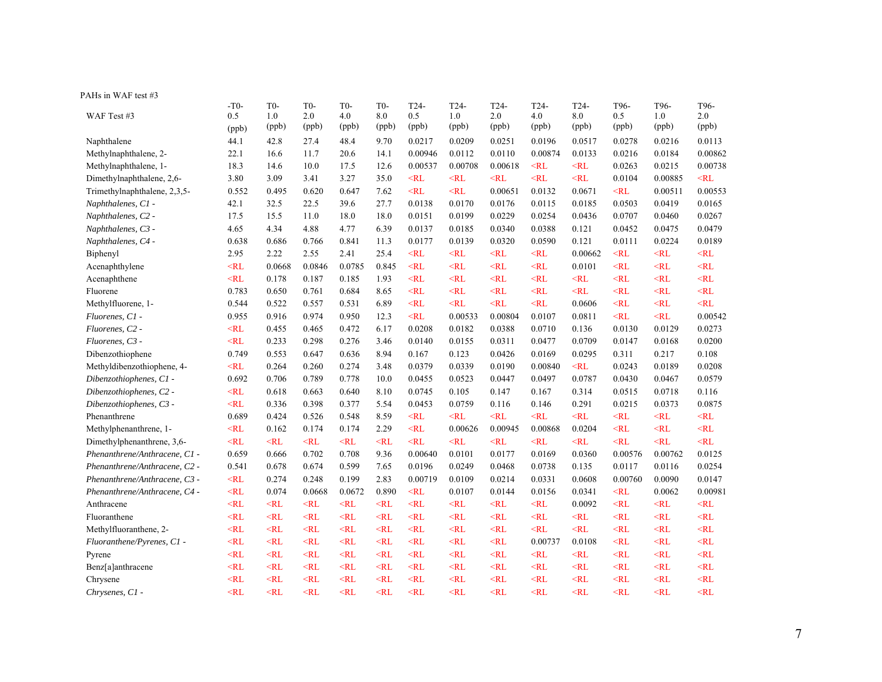| PAHs in WAF test #3           |           |        |                  |                  |                  |           |         |           |                   |                   |                   |           |           |
|-------------------------------|-----------|--------|------------------|------------------|------------------|-----------|---------|-----------|-------------------|-------------------|-------------------|-----------|-----------|
|                               | $-T0-$    | $T0-$  | T <sub>0</sub> - | T <sub>0</sub> - | T <sub>0</sub> - | $T24-$    | $T24-$  | $T24-$    | T <sub>24</sub> - | T <sub>24</sub> - | T <sub>96</sub> - | T96-      | T96-      |
| WAF Test #3                   | 0.5       | 1.0    | 2.0              | 4.0              | 8.0              | 0.5       | 1.0     | 2.0       | 4.0               | 8.0               | 0.5               | 1.0       | 2.0       |
|                               | (ppb)     | (ppb)  | (ppb)            | (ppb)            | (ppb)            | (ppb)     | (ppb)   | (ppb)     | (ppb)             | (ppb)             | (ppb)             | (ppb)     | (ppb)     |
| Naphthalene                   | 44.1      | 42.8   | 27.4             | 48.4             | 9.70             | 0.0217    | 0.0209  | 0.0251    | 0.0196            | 0.0517            | 0.0278            | 0.0216    | 0.0113    |
| Methylnaphthalene, 2-         | 22.1      | 16.6   | 11.7             | 20.6             | 14.1             | 0.00946   | 0.0112  | 0.0110    | 0.00874           | 0.0133            | 0.0216            | 0.0184    | 0.00862   |
| Methylnaphthalene, 1-         | 18.3      | 14.6   | 10.0             | 17.5             | 12.6             | 0.00537   | 0.00708 | 0.00618   | $<$ RL            | $<$ RL            | 0.0263            | 0.0215    | 0.00738   |
| Dimethylnaphthalene, 2,6-     | 3.80      | 3.09   | 3.41             | 3.27             | 35.0             | $<$ RL    | $<$ RL  | $<$ RL    | $<$ RL            | $<$ RL            | 0.0104            | 0.00885   | $<$ RL    |
| Trimethylnaphthalene, 2,3,5-  | 0.552     | 0.495  | 0.620            | 0.647            | 7.62             | $<$ RL    | $<$ RL  | 0.00651   | 0.0132            | 0.0671            | $<$ RL            | 0.00511   | 0.00553   |
| Naphthalenes, C1 -            | 42.1      | 32.5   | 22.5             | 39.6             | 27.7             | 0.0138    | 0.0170  | 0.0176    | 0.0115            | 0.0185            | 0.0503            | 0.0419    | 0.0165    |
| Naphthalenes, C2 -            | 17.5      | 15.5   | 11.0             | 18.0             | 18.0             | 0.0151    | 0.0199  | 0.0229    | 0.0254            | 0.0436            | 0.0707            | 0.0460    | 0.0267    |
| Naphthalenes, C3 -            | 4.65      | 4.34   | 4.88             | 4.77             | 6.39             | 0.0137    | 0.0185  | 0.0340    | 0.0388            | 0.121             | 0.0452            | 0.0475    | 0.0479    |
| Naphthalenes, C4 -            | 0.638     | 0.686  | 0.766            | 0.841            | 11.3             | 0.0177    | 0.0139  | 0.0320    | 0.0590            | 0.121             | 0.0111            | 0.0224    | 0.0189    |
| Biphenyl                      | 2.95      | 2.22   | 2.55             | 2.41             | 25.4             | $<$ RL    | $<$ RL  | $<$ RL    | $<\!\!RL$         | 0.00662           | $<$ RL            | $<\!\!RL$ | $<\!\!RL$ |
| Acenaphthylene                | $<$ RL    | 0.0668 | 0.0846           | 0.0785           | 0.845            | $<$ RL    | $<$ RL  | $<$ RL    | $<$ RL            | 0.0101            | $<$ RL            | $<$ RL    | $<$ RL    |
| Acenaphthene                  | $<$ RL    | 0.178  | 0.187            | 0.185            | 1.93             | $<\!\!RL$ | $<$ RL  | $<$ RL    | $<\!\!RL$         | $<$ RL            | $<$ RL            | $<$ RL    | $<$ RL    |
| Fluorene                      | 0.783     | 0.650  | 0.761            | 0.684            | 8.65             | $<$ RL    | $<$ RL  | $<$ RL    | $<$ RL            | $<$ RL            | $<$ RL            | $<$ RL    | $<$ RL    |
| Methylfluorene, 1-            | 0.544     | 0.522  | 0.557            | 0.531            | 6.89             | $<$ RL    | $<$ RL  | $<\!\!RL$ | $<$ RL            | 0.0606            | $<$ RL            | $<$ RL    | $<$ RL    |
| Fluorenes, C1 -               | 0.955     | 0.916  | 0.974            | 0.950            | 12.3             | $<$ RL    | 0.00533 | 0.00804   | 0.0107            | 0.0811            | $<$ RL            | $<$ RL    | 0.00542   |
| Fluorenes, C2 -               | $<\!\!RL$ | 0.455  | 0.465            | 0.472            | 6.17             | 0.0208    | 0.0182  | 0.0388    | 0.0710            | 0.136             | 0.0130            | 0.0129    | 0.0273    |
| Fluorenes, C3 -               | $<$ RL    | 0.233  | 0.298            | 0.276            | 3.46             | 0.0140    | 0.0155  | 0.0311    | 0.0477            | 0.0709            | 0.0147            | 0.0168    | 0.0200    |
| Dibenzothiophene              | 0.749     | 0.553  | 0.647            | 0.636            | 8.94             | 0.167     | 0.123   | 0.0426    | 0.0169            | 0.0295            | 0.311             | 0.217     | 0.108     |
| Methyldibenzothiophene, 4-    | $<$ RL    | 0.264  | 0.260            | 0.274            | 3.48             | 0.0379    | 0.0339  | 0.0190    | 0.00840           | $<$ RL            | 0.0243            | 0.0189    | 0.0208    |
| Dibenzothiophenes, C1 -       | 0.692     | 0.706  | 0.789            | 0.778            | 10.0             | 0.0455    | 0.0523  | 0.0447    | 0.0497            | 0.0787            | 0.0430            | 0.0467    | 0.0579    |
| Dibenzothiophenes, C2 -       | $<$ RL    | 0.618  | 0.663            | 0.640            | 8.10             | 0.0745    | 0.105   | 0.147     | 0.167             | 0.314             | 0.0515            | 0.0718    | 0.116     |
| Dibenzothiophenes, C3 -       | $<\!\!RL$ | 0.336  | 0.398            | 0.377            | 5.54             | 0.0453    | 0.0759  | 0.116     | 0.146             | 0.291             | 0.0215            | 0.0373    | 0.0875    |
| Phenanthrene                  | 0.689     | 0.424  | 0.526            | 0.548            | 8.59             | $<$ RL    | $<$ RL  | $<$ RL    | $<$ RL            | $<$ RL            | $<$ RL            | $<$ RL    | $<$ RL    |
| Methylphenanthrene, 1-        | $<\!\!RL$ | 0.162  | 0.174            | 0.174            | 2.29             | $<$ RL    | 0.00626 | 0.00945   | 0.00868           | 0.0204            | $<$ RL            | $<$ RL    | $<$ RL    |
| Dimethylphenanthrene, 3,6-    | $<$ RL    | $<$ RL | $<$ RL           | $<$ RL           | $<$ RL           | $<$ RL    | $<$ RL  | $<$ RL    | $<$ RL            | $<$ RL            | $<$ RL            | $<$ RL    | $<$ RL    |
| Phenanthrene/Anthracene, C1 - | 0.659     | 0.666  | 0.702            | 0.708            | 9.36             | 0.00640   | 0.0101  | 0.0177    | 0.0169            | 0.0360            | 0.00576           | 0.00762   | 0.0125    |
| Phenanthrene/Anthracene, C2 - | 0.541     | 0.678  | 0.674            | 0.599            | 7.65             | 0.0196    | 0.0249  | 0.0468    | 0.0738            | 0.135             | 0.0117            | 0.0116    | 0.0254    |
| Phenanthrene/Anthracene, C3 - | $<$ RL    | 0.274  | 0.248            | 0.199            | 2.83             | 0.00719   | 0.0109  | 0.0214    | 0.0331            | 0.0608            | 0.00760           | 0.0090    | 0.0147    |
| Phenanthrene/Anthracene, C4 - | $<$ RL    | 0.074  | 0.0668           | 0.0672           | 0.890            | $<$ RL    | 0.0107  | 0.0144    | 0.0156            | 0.0341            | $<$ RL            | 0.0062    | 0.00981   |
| Anthracene                    | $<$ RL    | $<$ RL | $<$ RL           | $<$ RL           | $<$ RL           | $<$ RL    | $<$ RL  | $<\!\!RL$ | $<$ RL            | 0.0092            | $<$ RL            | $<$ RL    | $<$ RL    |
| Fluoranthene                  | $<$ RL    | $<$ RL | $<$ RL           | $<$ RL           | $<$ RL           | $<$ RL    | $<$ RL  | $<$ RL    | $<$ RL            | $<$ RL            | $<$ RL            | $<$ RL    | $<$ RL    |
| Methylfluoranthene, 2-        | $<$ RL    | $<$ RL | $<$ RL           | $<$ RL           | $<$ RL           | $<$ RL    | $<$ RL  | $<$ RL    | $<$ RL            | $<$ RL            | $<$ RL            | $<$ RL    | $<$ RL    |
| Fluoranthene/Pyrenes, C1 -    | $<$ RL    | $<$ RL | $<$ RL           | $<$ RL           | $<$ RL           | $<$ RL    | $<$ RL  | $<$ RL    | 0.00737           | 0.0108            | $\leq$ RL         | $<$ RL    | $<$ RL    |
| Pyrene                        | $<$ RL    | $<$ RL | $<$ RL           | $<$ RL           | $<$ RL           | $<$ RL    | $<$ RL  | $<$ RL    | $<$ RL            | $<$ RL            | $<$ RL            | $<$ RL    | $<$ RL    |
| Benz[a]anthracene             | $<$ RL    | $<$ RL | $<$ RL           | $<$ RL           | $<$ RL           | $<$ RL    | $<$ RL  | $<$ RL    | $<$ RL            | $<$ RL            | $<$ RL            | $<$ RL    | $<$ RL    |
| Chrysene                      | $<$ RL    | $<$ RL | $<$ RL           | $<$ RL           | $<$ RL           | $<$ RL    | $<$ RL  | $<$ RL    | $<$ RL            | $<$ RL            | $<$ RL            | $<$ RL    | $<$ RL    |
| Chrysenes, C1 -               | $<$ RL    | $<$ RL | $<$ RL           | $<$ RL           | $\leq$ RL        | $<$ RL    | $<$ RL  | $<$ RL    | $<$ RL            | $<$ RL            | $<$ RL            | $\leq$ RL | $<$ RL    |